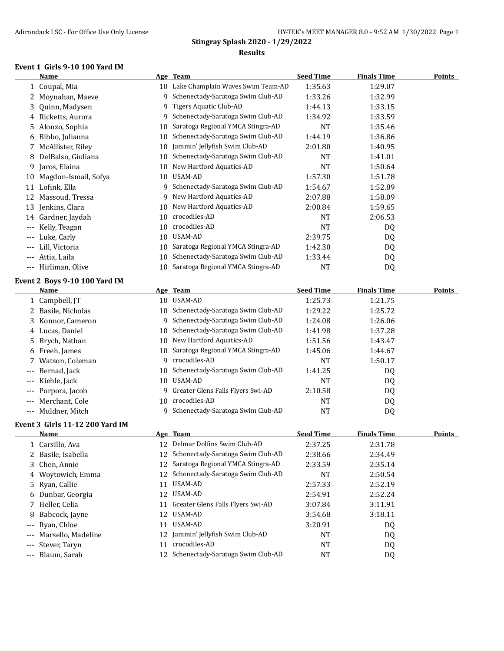#### **Event 1 Girls 9-10 100 Yard IM**

|                   | <b>Name</b>                            |    | Age Team                                           | <b>Seed Time</b> | <b>Finals Time</b> | <b>Points</b> |
|-------------------|----------------------------------------|----|----------------------------------------------------|------------------|--------------------|---------------|
|                   | 1 Coupal, Mia                          | 10 | Lake Champlain Waves Swim Team-AD                  | 1:35.63          | 1:29.07            |               |
|                   | 2 Moynahan, Maeve                      | 9  | Schenectady-Saratoga Swim Club-AD                  | 1:33.26          | 1:32.99            |               |
| 3                 | Quinn, Madysen                         | 9  | Tigers Aquatic Club-AD                             | 1:44.13          | 1:33.15            |               |
| 4                 | Ricketts, Aurora                       | 9  | Schenectady-Saratoga Swim Club-AD                  | 1:34.92          | 1:33.59            |               |
|                   | 5 Alonzo, Sophia                       | 10 | Saratoga Regional YMCA Stingra-AD                  | NT               | 1:35.46            |               |
|                   | 6 Bibbo, Julianna                      | 10 | Schenectady-Saratoga Swim Club-AD                  | 1:44.19          | 1:36.86            |               |
|                   | 7 McAllister, Riley                    | 10 | Jammin' Jellyfish Swim Club-AD                     | 2:01.80          | 1:40.95            |               |
|                   | 8 DelBalso, Giuliana                   | 10 | Schenectady-Saratoga Swim Club-AD                  | NT               | 1:41.01            |               |
|                   | 9 Jaros, Elaina                        | 10 | New Hartford Aquatics-AD                           | <b>NT</b>        | 1:50.64            |               |
|                   | 10 Magdon-Ismail, Sofya                | 10 | USAM-AD                                            | 1:57.30          | 1:51.78            |               |
|                   | 11 Lofink, Ella                        | 9. | Schenectady-Saratoga Swim Club-AD                  | 1:54.67          | 1:52.89            |               |
|                   | 12 Massoud, Tressa                     | 9  | New Hartford Aquatics-AD                           | 2:07.88          | 1:58.09            |               |
|                   | 13 Jenkins, Clara                      | 10 | New Hartford Aquatics-AD                           | 2:00.84          | 1:59.65            |               |
|                   | 14 Gardner, Jaydah                     | 10 | crocodiles-AD                                      | NT               | 2:06.53            |               |
|                   | Kelly, Teagan                          | 10 | crocodiles-AD                                      | <b>NT</b>        | DQ                 |               |
|                   | Luke, Carly                            | 10 | USAM-AD                                            | 2:39.75          | DQ                 |               |
|                   | Lill, Victoria                         | 10 | Saratoga Regional YMCA Stingra-AD                  | 1:42.30          | DQ                 |               |
|                   | Attia, Laila                           | 10 | Schenectady-Saratoga Swim Club-AD                  | 1:33.44          | DQ                 |               |
|                   | Hirliman, Olive                        | 10 | Saratoga Regional YMCA Stingra-AD                  | <b>NT</b>        | DQ                 |               |
|                   |                                        |    |                                                    |                  |                    |               |
|                   | Event 2 Boys 9-10 100 Yard IM<br>Name  |    | Age Team                                           | <b>Seed Time</b> | <b>Finals Time</b> | <b>Points</b> |
|                   |                                        |    | 10 USAM-AD                                         | 1:25.73          |                    |               |
|                   | 1 Campbell, JT<br>2 Basile, Nicholas   |    | 10 Schenectady-Saratoga Swim Club-AD               | 1:29.22          | 1:21.75<br>1:25.72 |               |
|                   |                                        | 9  | Schenectady-Saratoga Swim Club-AD                  |                  |                    |               |
|                   | 3 Konnor, Cameron                      |    | Schenectady-Saratoga Swim Club-AD                  | 1:24.08          | 1:26.06            |               |
|                   | 4 Lucas, Daniel                        | 10 | New Hartford Aquatics-AD                           | 1:41.98          | 1:37.28            |               |
| 5                 | Brych, Nathan                          | 10 | Saratoga Regional YMCA Stingra-AD                  | 1:51.56          | 1:43.47            |               |
|                   | 6 Freeh, James                         | 10 | crocodiles-AD                                      | 1:45.06          | 1:44.67            |               |
|                   | Watson, Coleman                        | 9  | Schenectady-Saratoga Swim Club-AD                  | <b>NT</b>        | 1:50.17            |               |
|                   | Bernad, Jack                           | 10 | USAM-AD                                            | 1:41.25          | DQ                 |               |
|                   | Kiehle, Jack                           | 10 |                                                    | <b>NT</b>        | DQ                 |               |
|                   | Porpora, Jacob                         | 9  | Greater Glens Falls Flyers Swi-AD<br>crocodiles-AD | 2:10.58          | DQ                 |               |
| ---               | Merchant, Cole                         | 10 |                                                    | NT               | DQ                 |               |
| $---$             | Muldner, Mitch                         |    | 9 Schenectady-Saratoga Swim Club-AD                | <b>NT</b>        | DQ                 |               |
|                   | <b>Event 3 Girls 11-12 200 Yard IM</b> |    |                                                    |                  |                    |               |
|                   | Name                                   |    | Age Team                                           | <b>Seed Time</b> | <b>Finals Time</b> | <b>Points</b> |
| ı.                | Carsillo, Ava                          |    | Delmar Dolfins Swim Club-AD                        | 2:37.25          | 2:31.78            |               |
| 2                 | Basile, Isabella                       | 12 | Schenectady-Saratoga Swim Club-AD                  | 2:38.66          | 2:34.49            |               |
| 3.                | Chen, Annie                            | 12 | Saratoga Regional YMCA Stingra-AD                  | 2:33.59          | 2:35.14            |               |
|                   | 4 Woytowich, Emma                      | 12 | Schenectady-Saratoga Swim Club-AD                  | NT               | 2:50.54            |               |
| 5.                | Ryan, Callie                           | 11 | USAM-AD                                            | 2:57.33          | 2:52.19            |               |
| 6                 | Dunbar, Georgia                        |    | 12 USAM-AD                                         | 2:54.91          | 2:52.24            |               |
| 7.                | Heller, Celia                          | 11 | Greater Glens Falls Flyers Swi-AD                  | 3:07.84          | 3:11.91            |               |
| 8                 | Babcock, Jayne                         |    | 12 USAM-AD                                         | 3:54.68          | 3:18.11            |               |
| $---$             | Ryan, Chloe                            |    | 11 USAM-AD                                         | 3:20.91          | DQ                 |               |
|                   | Marsello, Madeline                     | 12 | Jammin' Jellyfish Swim Club-AD                     | NT               | DQ                 |               |
|                   | Stever, Taryn                          | 11 | crocodiles-AD                                      | <b>NT</b>        | DQ                 |               |
| $\qquad \qquad -$ | Blaum, Sarah                           |    | 12 Schenectady-Saratoga Swim Club-AD               | NT               | DQ                 |               |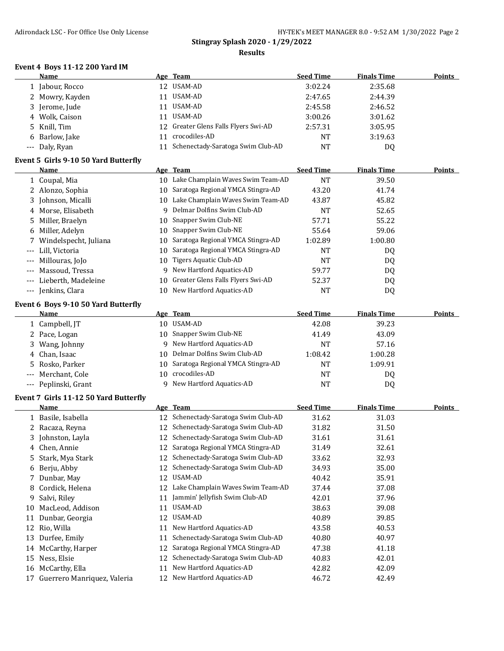#### **Event 4 Boys 11-12 200 Yard IM**

|       | Name                                  |    | Age Team                             | <b>Seed Time</b> | <b>Finals Time</b> | <b>Points</b> |
|-------|---------------------------------------|----|--------------------------------------|------------------|--------------------|---------------|
|       | 1 Jabour, Rocco                       |    | 12 USAM-AD                           | 3:02.24          | 2:35.68            |               |
|       | 2 Mowry, Kayden                       |    | 11 USAM-AD                           | 2:47.65          | 2:44.39            |               |
|       | 3 Jerome, Jude                        |    | 11 USAM-AD                           | 2:45.58          | 2:46.52            |               |
|       | 4 Wolk, Caison                        | 11 | USAM-AD                              | 3:00.26          | 3:01.62            |               |
| 5     | Knill, Tim                            |    | 12 Greater Glens Falls Flyers Swi-AD | 2:57.31          | 3:05.95            |               |
| 6     | Barlow, Jake                          | 11 | crocodiles-AD                        | <b>NT</b>        | 3:19.63            |               |
| ---   | Daly, Ryan                            |    | 11 Schenectady-Saratoga Swim Club-AD | <b>NT</b>        | DQ                 |               |
|       | Event 5 Girls 9-10 50 Yard Butterfly  |    |                                      |                  |                    |               |
|       | <u>Name</u>                           |    | Age Team                             | <b>Seed Time</b> | <b>Finals Time</b> | Points        |
|       | 1 Coupal, Mia                         |    | 10 Lake Champlain Waves Swim Team-AD | <b>NT</b>        | 39.50              |               |
|       | 2 Alonzo, Sophia                      |    | 10 Saratoga Regional YMCA Stingra-AD | 43.20            | 41.74              |               |
|       | 3 Johnson, Micalli                    |    | 10 Lake Champlain Waves Swim Team-AD | 43.87            | 45.82              |               |
|       | 4 Morse, Elisabeth                    | 9. | Delmar Dolfins Swim Club-AD          | <b>NT</b>        | 52.65              |               |
| 5     | Miller, Braelyn                       |    | 10 Snapper Swim Club-NE              | 57.71            | 55.22              |               |
| 6     | Miller, Adelyn                        |    | 10 Snapper Swim Club-NE              | 55.64            | 59.06              |               |
| 7     | Windelspecht, Juliana                 |    | 10 Saratoga Regional YMCA Stingra-AD | 1:02.89          | 1:00.80            |               |
|       | Lill, Victoria                        |    | 10 Saratoga Regional YMCA Stingra-AD | <b>NT</b>        |                    |               |
|       |                                       |    | 10 Tigers Aquatic Club-AD            | <b>NT</b>        | DQ                 |               |
| $---$ | Millouras, JoJo                       |    | New Hartford Aquatics-AD             |                  | DQ                 |               |
| $---$ | Massoud, Tressa                       | 9  | Greater Glens Falls Flyers Swi-AD    | 59.77            | DQ                 |               |
| ---   | Lieberth, Madeleine                   | 10 |                                      | 52.37            | DQ                 |               |
|       | --- Jenkins, Clara                    |    | 10 New Hartford Aquatics-AD          | <b>NT</b>        | DQ                 |               |
|       | Event 6 Boys 9-10 50 Yard Butterfly   |    |                                      |                  |                    |               |
|       | <b>Name</b>                           |    | Age Team                             | <b>Seed Time</b> | <b>Finals Time</b> | <b>Points</b> |
|       | 1 Campbell, JT                        |    | 10 USAM-AD                           | 42.08            | 39.23              |               |
|       | 2 Pace, Logan                         |    | 10 Snapper Swim Club-NE              | 41.49            | 43.09              |               |
| 3     | Wang, Johnny                          |    | 9 New Hartford Aquatics-AD           | <b>NT</b>        | 57.16              |               |
| 4     | Chan, Isaac                           |    | 10 Delmar Dolfins Swim Club-AD       | 1:08.42          | 1:00.28            |               |
| 5.    | Rosko, Parker                         | 10 | Saratoga Regional YMCA Stingra-AD    | NT               | 1:09.91            |               |
|       | Merchant, Cole                        | 10 | crocodiles-AD                        | <b>NT</b>        | DQ                 |               |
|       | --- Peplinski, Grant                  |    | 9 New Hartford Aquatics-AD           | <b>NT</b>        | DQ                 |               |
|       | Event 7 Girls 11-12 50 Yard Butterfly |    |                                      |                  |                    |               |
|       | Name                                  |    | Age Team                             | <b>Seed Time</b> | <b>Finals Time</b> | <b>Points</b> |
|       | 1 Basile, Isabella                    |    | 12 Schenectady-Saratoga Swim Club-AD | 31.62            | 31.03              |               |
|       | 2 Racaza, Reyna                       |    | 12 Schenectady-Saratoga Swim Club-AD | 31.82            | 31.50              |               |
| 3     | Johnston, Layla                       |    | 12 Schenectady-Saratoga Swim Club-AD | 31.61            | 31.61              |               |
| 4     | Chen, Annie                           |    | 12 Saratoga Regional YMCA Stingra-AD | 31.49            | 32.61              |               |
| 5     | Stark, Mya Stark                      | 12 | Schenectady-Saratoga Swim Club-AD    | 33.62            | 32.93              |               |
| 6     | Berju, Abby                           | 12 | Schenectady-Saratoga Swim Club-AD    | 34.93            | 35.00              |               |
| 7     | Dunbar, May                           | 12 | USAM-AD                              | 40.42            | 35.91              |               |
| 8     | Cordick, Helena                       | 12 | Lake Champlain Waves Swim Team-AD    | 37.44            | 37.08              |               |
| 9     | Salvi, Riley                          | 11 | Jammin' Jellyfish Swim Club-AD       | 42.01            | 37.96              |               |
| 10    | MacLeod, Addison                      | 11 | USAM-AD                              | 38.63            | 39.08              |               |
| 11    | Dunbar, Georgia                       | 12 | USAM-AD                              | 40.89            | 39.85              |               |
| 12    | Rio, Willa                            | 11 | New Hartford Aquatics-AD             | 43.58            | 40.53              |               |
|       | 13 Durfee, Emily                      | 11 | Schenectady-Saratoga Swim Club-AD    | 40.80            | 40.97              |               |
|       | 14 McCarthy, Harper                   | 12 | Saratoga Regional YMCA Stingra-AD    | 47.38            | 41.18              |               |
|       | 15 Ness, Elsie                        | 12 | Schenectady-Saratoga Swim Club-AD    | 40.83            | 42.01              |               |
|       | 16 McCarthy, Ella                     | 11 | New Hartford Aquatics-AD             | 42.82            | 42.09              |               |
| 17    | Guerrero Manriquez, Valeria           |    | 12 New Hartford Aquatics-AD          | 46.72            | 42.49              |               |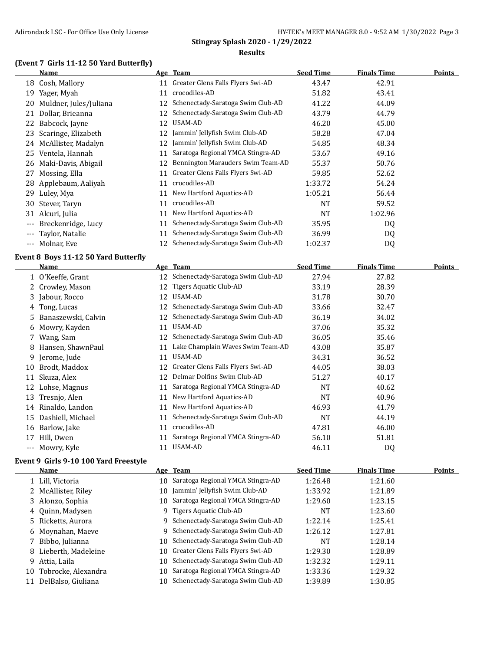#### **(Event 7 Girls 11-12 50 Yard Butterfly)**

|          | Name                   |     | Age Team                             | <b>Seed Time</b> | <b>Finals Time</b> | <b>Points</b> |
|----------|------------------------|-----|--------------------------------------|------------------|--------------------|---------------|
| 18       | Cosh, Mallory          | 11  | Greater Glens Falls Flyers Swi-AD    | 43.47            | 42.91              |               |
| 19       | Yager, Myah            | 11  | crocodiles-AD                        | 51.82            | 43.41              |               |
| 20       | Muldner, Jules/Juliana | 12  | Schenectady-Saratoga Swim Club-AD    | 41.22            | 44.09              |               |
| 21       | Dollar, Brieanna       | 12  | Schenectady-Saratoga Swim Club-AD    | 43.79            | 44.79              |               |
| 22       | Babcock, Jayne         | 12  | USAM-AD                              | 46.20            | 45.00              |               |
| 23       | Scaringe, Elizabeth    | 12. | Jammin' Jellyfish Swim Club-AD       | 58.28            | 47.04              |               |
| 24       | McAllister, Madalyn    | 12  | Jammin' Jellyfish Swim Club-AD       | 54.85            | 48.34              |               |
| 25       | Ventela, Hannah        | 11  | Saratoga Regional YMCA Stingra-AD    | 53.67            | 49.16              |               |
| 26       | Maki-Davis, Abigail    | 12  | Bennington Marauders Swim Team-AD    | 55.37            | 50.76              |               |
| 27       | Mossing, Ella          | 11  | Greater Glens Falls Flyers Swi-AD    | 59.85            | 52.62              |               |
| 28       | Applebaum, Aaliyah     | 11  | crocodiles-AD                        | 1:33.72          | 54.24              |               |
| 29       | Luley, Mya             | 11  | New Hartford Aquatics-AD             | 1:05.21          | 56.44              |               |
| 30       | Stever, Taryn          | 11  | crocodiles-AD                        | <b>NT</b>        | 59.52              |               |
|          | 31 Alcuri, Julia       | 11  | New Hartford Aquatics-AD             | NT               | 1:02.96            |               |
| $---$    | Breckenridge, Lucy     | 11  | Schenectady-Saratoga Swim Club-AD    | 35.95            | DQ                 |               |
|          | --- Taylor, Natalie    | 11  | Schenectady-Saratoga Swim Club-AD    | 36.99            | DQ                 |               |
| $\cdots$ | Molnar, Eve            |     | 12 Schenectady-Saratoga Swim Club-AD | 1:02.37          | DQ                 |               |

#### **Event 8 Boys 11-12 50 Yard Butterfly**

|       | Name                |    | Age Team                          | <b>Seed Time</b> | <b>Finals Time</b> | Points |
|-------|---------------------|----|-----------------------------------|------------------|--------------------|--------|
|       | 1 O'Keeffe, Grant   | 12 | Schenectady-Saratoga Swim Club-AD | 27.94            | 27.82              |        |
|       | 2 Crowley, Mason    | 12 | Tigers Aquatic Club-AD            | 33.19            | 28.39              |        |
|       | 3 Jabour, Rocco     | 12 | USAM-AD                           | 31.78            | 30.70              |        |
| 4     | Tong, Lucas         | 12 | Schenectady-Saratoga Swim Club-AD | 33.66            | 32.47              |        |
| 5.    | Banaszewski, Calvin | 12 | Schenectady-Saratoga Swim Club-AD | 36.19            | 34.02              |        |
| 6     | Mowry, Kayden       | 11 | USAM-AD                           | 37.06            | 35.32              |        |
|       | 7 Wang, Sam         | 12 | Schenectady-Saratoga Swim Club-AD | 36.05            | 35.46              |        |
| 8     | Hansen, ShawnPaul   | 11 | Lake Champlain Waves Swim Team-AD | 43.08            | 35.87              |        |
|       | 9 Jerome, Jude      | 11 | USAM-AD                           | 34.31            | 36.52              |        |
| 10    | Brodt, Maddox       | 12 | Greater Glens Falls Flyers Swi-AD | 44.05            | 38.03              |        |
| 11    | Skuza, Alex         | 12 | Delmar Dolfins Swim Club-AD       | 51.27            | 40.17              |        |
| 12    | Lohse, Magnus       | 11 | Saratoga Regional YMCA Stingra-AD | <b>NT</b>        | 40.62              |        |
| 13    | Tresnjo, Alen       | 11 | New Hartford Aquatics-AD          | <b>NT</b>        | 40.96              |        |
| 14    | Rinaldo, Landon     | 11 | New Hartford Aquatics-AD          | 46.93            | 41.79              |        |
| 15    | Dashiell, Michael   | 11 | Schenectady-Saratoga Swim Club-AD | <b>NT</b>        | 44.19              |        |
| 16    | Barlow, Jake        | 11 | crocodiles-AD                     | 47.81            | 46.00              |        |
| 17    | Hill, Owen          | 11 | Saratoga Regional YMCA Stingra-AD | 56.10            | 51.81              |        |
| $---$ | Mowry, Kyle         | 11 | USAM-AD                           | 46.11            | DQ                 |        |

#### **Event 9 Girls 9-10 100 Yard Freestyle**

|    | Name                  |     | Age Team                             | <b>Seed Time</b> | <b>Finals Time</b> | <b>Points</b> |
|----|-----------------------|-----|--------------------------------------|------------------|--------------------|---------------|
|    | 1 Lill, Victoria      | 10. | Saratoga Regional YMCA Stingra-AD    | 1:26.48          | 1:21.60            |               |
|    | 2 McAllister, Riley   | 10. | Jammin' Jellyfish Swim Club-AD       | 1:33.92          | 1:21.89            |               |
|    | 3 Alonzo, Sophia      | 10. | Saratoga Regional YMCA Stingra-AD    | 1:29.60          | 1:23.15            |               |
|    | 4 Quinn, Madysen      | 9   | Tigers Aquatic Club-AD               | <b>NT</b>        | 1:23.60            |               |
|    | 5 Ricketts, Aurora    | 9   | Schenectady-Saratoga Swim Club-AD    | 1:22.14          | 1:25.41            |               |
|    | 6 Moynahan, Maeye     | 9   | Schenectady-Saratoga Swim Club-AD    | 1:26.12          | 1:27.81            |               |
|    | 7 Bibbo, Julianna     | 10. | Schenectady-Saratoga Swim Club-AD    | <b>NT</b>        | 1:28.14            |               |
|    | 8 Lieberth, Madeleine |     | 10 Greater Glens Falls Flyers Swi-AD | 1:29.30          | 1:28.89            |               |
|    | 9 Attia, Laila        | 10. | Schenectady-Saratoga Swim Club-AD    | 1:32.32          | 1:29.11            |               |
| 10 | Tobrocke, Alexandra   | 10. | Saratoga Regional YMCA Stingra-AD    | 1:33.36          | 1:29.32            |               |
| 11 | DelBalso, Giuliana    |     | 10 Schenectady-Saratoga Swim Club-AD | 1:39.89          | 1:30.85            |               |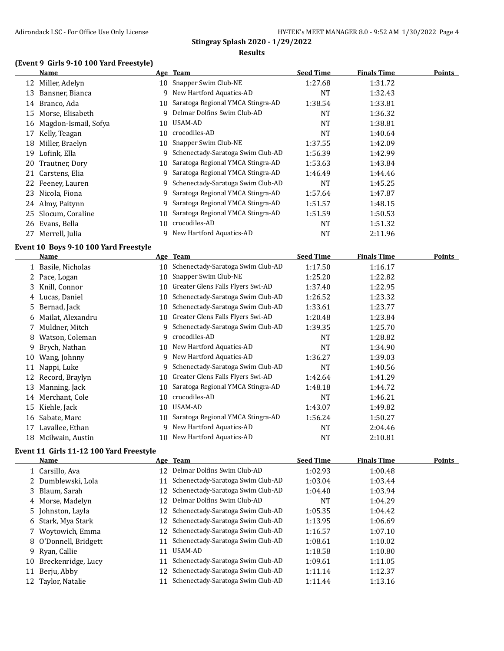#### **(Event 9 Girls 9-10 100 Yard Freestyle)**

|    | Name                 |    | Age Team                             | <b>Seed Time</b> | <b>Finals Time</b> | <b>Points</b> |
|----|----------------------|----|--------------------------------------|------------------|--------------------|---------------|
| 12 | Miller, Adelyn       | 10 | Snapper Swim Club-NE                 | 1:27.68          | 1:31.72            |               |
| 13 | Bansner, Bianca      | 9. | New Hartford Aquatics-AD             | <b>NT</b>        | 1:32.43            |               |
| 14 | Branco, Ada          | 10 | Saratoga Regional YMCA Stingra-AD    | 1:38.54          | 1:33.81            |               |
| 15 | Morse, Elisabeth     | 9  | Delmar Dolfins Swim Club-AD          | NT               | 1:36.32            |               |
| 16 | Magdon-Ismail, Sofya | 10 | USAM-AD                              | <b>NT</b>        | 1:38.81            |               |
| 17 | Kelly, Teagan        | 10 | crocodiles-AD                        | NT               | 1:40.64            |               |
| 18 | Miller, Braelyn      | 10 | Snapper Swim Club-NE                 | 1:37.55          | 1:42.09            |               |
| 19 | Lofink, Ella         | 9. | Schenectady-Saratoga Swim Club-AD    | 1:56.39          | 1:42.99            |               |
| 20 | Trautner, Dory       |    | 10 Saratoga Regional YMCA Stingra-AD | 1:53.63          | 1:43.84            |               |
|    | 21 Carstens, Elia    |    | Saratoga Regional YMCA Stingra-AD    | 1:46.49          | 1:44.46            |               |
|    | 22 Feeney, Lauren    |    | Schenectady-Saratoga Swim Club-AD    | NT               | 1:45.25            |               |
|    | 23 Nicola, Fiona     | 9. | Saratoga Regional YMCA Stingra-AD    | 1:57.64          | 1:47.87            |               |
|    | 24 Almy, Paitynn     | 9  | Saratoga Regional YMCA Stingra-AD    | 1:51.57          | 1:48.15            |               |
| 25 | Slocum, Coraline     | 10 | Saratoga Regional YMCA Stingra-AD    | 1:51.59          | 1:50.53            |               |
| 26 | Evans, Bella         | 10 | crocodiles-AD                        | NT               | 1:51.32            |               |
| 27 | Merrell, Julia       | Q. | New Hartford Aquatics-AD             | NT               | 2:11.96            |               |

#### **Event 10 Boys 9-10 100 Yard Freestyle**

|    | Name               |    | Age Team                             | <b>Seed Time</b> | <b>Finals Time</b> | <b>Points</b> |
|----|--------------------|----|--------------------------------------|------------------|--------------------|---------------|
|    | 1 Basile, Nicholas |    | 10 Schenectady-Saratoga Swim Club-AD | 1:17.50          | 1:16.17            |               |
|    | 2 Pace, Logan      | 10 | Snapper Swim Club-NE                 | 1:25.20          | 1:22.82            |               |
|    | 3 Knill, Connor    | 10 | Greater Glens Falls Flyers Swi-AD    | 1:37.40          | 1:22.95            |               |
|    | 4 Lucas, Daniel    | 10 | Schenectady-Saratoga Swim Club-AD    | 1:26.52          | 1:23.32            |               |
| 5. | Bernad, Jack       | 10 | Schenectady-Saratoga Swim Club-AD    | 1:33.61          | 1:23.77            |               |
| 6  | Mailat, Alexandru  |    | 10 Greater Glens Falls Flyers Swi-AD | 1:20.48          | 1:23.84            |               |
|    | 7 Muldner, Mitch   | 9  | Schenectady-Saratoga Swim Club-AD    | 1:39.35          | 1:25.70            |               |
| 8  | Watson, Coleman    | 9  | crocodiles-AD                        | NT               | 1:28.82            |               |
| 9. | Brych, Nathan      | 10 | New Hartford Aquatics-AD             | NT               | 1:34.90            |               |
| 10 | Wang, Johnny       | 9  | New Hartford Aquatics-AD             | 1:36.27          | 1:39.03            |               |
| 11 | Nappi, Luke        | 9  | Schenectady-Saratoga Swim Club-AD    | NT               | 1:40.56            |               |
| 12 | Record, Braylyn    | 10 | Greater Glens Falls Flyers Swi-AD    | 1:42.64          | 1:41.29            |               |
| 13 | Manning, Jack      | 10 | Saratoga Regional YMCA Stingra-AD    | 1:48.18          | 1:44.72            |               |
| 14 | Merchant, Cole     | 10 | crocodiles-AD                        | NT               | 1:46.21            |               |
| 15 | Kiehle, Jack       | 10 | USAM-AD                              | 1:43.07          | 1:49.82            |               |
| 16 | Sabate, Marc       | 10 | Saratoga Regional YMCA Stingra-AD    | 1:56.24          | 1:50.27            |               |
| 17 | Lavallee, Ethan    | 9  | New Hartford Aquatics-AD             | NT               | 2:04.46            |               |
| 18 | Mcilwain, Austin   | 10 | New Hartford Aquatics-AD             | NT               | 2:10.81            |               |

# **Event 11 Girls 11-12 100 Yard Freestyle**

|     | Name                  |    | Age Team                             | <b>Seed Time</b> | <b>Finals Time</b> | Points |
|-----|-----------------------|----|--------------------------------------|------------------|--------------------|--------|
|     | 1 Carsillo, Ava       | 12 | Delmar Dolfins Swim Club-AD          | 1:02.93          | 1:00.48            |        |
|     | 2 Dumblewski, Lola    | 11 | Schenectady-Saratoga Swim Club-AD    | 1:03.04          | 1:03.44            |        |
|     | 3 Blaum, Sarah        |    | 12 Schenectady-Saratoga Swim Club-AD | 1:04.40          | 1:03.94            |        |
|     | 4 Morse, Madelyn      |    | 12 Delmar Dolfins Swim Club-AD       | <b>NT</b>        | 1:04.29            |        |
|     | 5 Johnston, Layla     |    | 12 Schenectady-Saratoga Swim Club-AD | 1:05.35          | 1:04.42            |        |
|     | 6 Stark, Mya Stark    |    | 12 Schenectady-Saratoga Swim Club-AD | 1:13.95          | 1:06.69            |        |
|     | 7 Woytowich, Emma     |    | 12 Schenectady-Saratoga Swim Club-AD | 1:16.57          | 1:07.10            |        |
|     | 8 O'Donnell, Bridgett | 11 | Schenectady-Saratoga Swim Club-AD    | 1:08.61          | 1:10.02            |        |
|     | 9 Ryan, Callie        | 11 | USAM-AD                              | 1:18.58          | 1:10.80            |        |
| 10- | Breckenridge, Lucy    | 11 | Schenectady-Saratoga Swim Club-AD    | 1:09.61          | 1:11.05            |        |
| 11  | Berju, Abby           | 12 | Schenectady-Saratoga Swim Club-AD    | 1:11.14          | 1:12.37            |        |
|     | 12 Taylor, Natalie    | 11 | Schenectady-Saratoga Swim Club-AD    | 1:11.44          | 1:13.16            |        |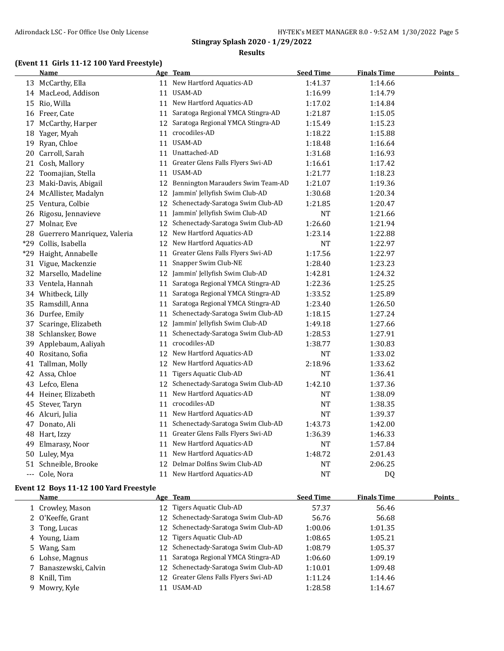# **(Event 11 Girls 11-12 100 Yard Freestyle)**

|     | Name                        |    | Age Team                             | <b>Seed Time</b> | <b>Finals Time</b> | <b>Points</b> |
|-----|-----------------------------|----|--------------------------------------|------------------|--------------------|---------------|
|     | 13 McCarthy, Ella           |    | 11 New Hartford Aquatics-AD          | 1:41.37          | 1:14.66            |               |
|     | 14 MacLeod, Addison         |    | 11 USAM-AD                           | 1:16.99          | 1:14.79            |               |
|     | 15 Rio, Willa               |    | 11 New Hartford Aquatics-AD          | 1:17.02          | 1:14.84            |               |
|     | 16 Freer, Cate              |    | 11 Saratoga Regional YMCA Stingra-AD | 1:21.87          | 1:15.05            |               |
|     | 17 McCarthy, Harper         | 12 | Saratoga Regional YMCA Stingra-AD    | 1:15.49          | 1:15.23            |               |
| 18  | Yager, Myah                 |    | 11 crocodiles-AD                     | 1:18.22          | 1:15.88            |               |
|     | 19 Ryan, Chloe              |    | 11 USAM-AD                           | 1:18.48          | 1:16.64            |               |
| 20  | Carroll, Sarah              |    | 11 Unattached-AD                     | 1:31.68          | 1:16.93            |               |
|     | 21 Cosh, Mallory            | 11 | Greater Glens Falls Flyers Swi-AD    | 1:16.61          | 1:17.42            |               |
|     | 22 Toomajian, Stella        | 11 | USAM-AD                              | 1:21.77          | 1:18.23            |               |
| 23  | Maki-Davis, Abigail         | 12 | Bennington Marauders Swim Team-AD    | 1:21.07          | 1:19.36            |               |
|     | 24 McAllister, Madalyn      |    | 12 Jammin' Jellyfish Swim Club-AD    | 1:30.68          | 1:20.34            |               |
|     | 25 Ventura, Colbie          | 12 | Schenectady-Saratoga Swim Club-AD    | 1:21.85          | 1:20.47            |               |
|     | 26 Rigosu, Jennavieve       | 11 | Jammin' Jellyfish Swim Club-AD       | <b>NT</b>        | 1:21.66            |               |
| 27  | Molnar, Eve                 | 12 | Schenectady-Saratoga Swim Club-AD    | 1:26.60          | 1:21.94            |               |
| 28  | Guerrero Manriquez, Valeria | 12 | New Hartford Aquatics-AD             | 1:23.14          | 1:22.88            |               |
| *29 | Collis, Isabella            | 12 | New Hartford Aquatics-AD             | <b>NT</b>        | 1:22.97            |               |
| *29 | Haight, Annabelle           |    | 11 Greater Glens Falls Flyers Swi-AD | 1:17.56          | 1:22.97            |               |
|     | 31 Vigue, Mackenzie         | 11 | Snapper Swim Club-NE                 | 1:28.40          | 1:23.23            |               |
| 32  | Marsello, Madeline          | 12 | Jammin' Jellyfish Swim Club-AD       | 1:42.81          | 1:24.32            |               |
|     | 33 Ventela, Hannah          | 11 | Saratoga Regional YMCA Stingra-AD    | 1:22.36          | 1:25.25            |               |
|     | 34 Whitbeck, Lilly          | 11 | Saratoga Regional YMCA Stingra-AD    | 1:33.52          | 1:25.89            |               |
|     | 35 Ramsdill, Anna           | 11 | Saratoga Regional YMCA Stingra-AD    | 1:23.40          | 1:26.50            |               |
|     | 36 Durfee, Emily            |    | 11 Schenectady-Saratoga Swim Club-AD | 1:18.15          | 1:27.24            |               |
| 37  | Scaringe, Elizabeth         | 12 | Jammin' Jellyfish Swim Club-AD       | 1:49.18          | 1:27.66            |               |
|     | 38 Schlansker, Bowe         | 11 | Schenectady-Saratoga Swim Club-AD    | 1:28.53          | 1:27.91            |               |
| 39  | Applebaum, Aaliyah          |    | 11 crocodiles-AD                     | 1:38.77          | 1:30.83            |               |
|     | 40 Rositano, Sofia          | 12 | New Hartford Aquatics-AD             | <b>NT</b>        | 1:33.02            |               |
| 41  | Tallman, Molly              |    | 12 New Hartford Aquatics-AD          | 2:18.96          | 1:33.62            |               |
|     | 42 Assa, Chloe              |    | 11 Tigers Aquatic Club-AD            | NT               | 1:36.41            |               |
|     | 43 Lefco, Elena             | 12 | Schenectady-Saratoga Swim Club-AD    | 1:42.10          | 1:37.36            |               |
|     | 44 Heiner, Elizabeth        | 11 | New Hartford Aquatics-AD             | <b>NT</b>        | 1:38.09            |               |
|     | 45 Stever, Taryn            | 11 | crocodiles-AD                        | <b>NT</b>        | 1:38.35            |               |
|     | 46 Alcuri, Julia            | 11 | New Hartford Aquatics-AD             | NT               | 1:39.37            |               |
|     | 47 Donato, Ali              | 11 | Schenectady-Saratoga Swim Club-AD    | 1:43.73          | 1:42.00            |               |
|     | 48 Hart, Izzy               |    | 11 Greater Glens Falls Flyers Swi-AD | 1:36.39          | 1:46.33            |               |
| 49  | Elmarasy, Noor              |    | 11 New Hartford Aquatics-AD          | NT               | 1:57.84            |               |
|     | 50 Luley, Mya               | 11 | New Hartford Aquatics-AD             | 1:48.72          | 2:01.43            |               |
|     | 51 Schneible, Brooke        | 12 | Delmar Dolfins Swim Club-AD          | <b>NT</b>        | 2:06.25            |               |
|     | --- Cole, Nora              |    | 11 New Hartford Aquatics-AD          | <b>NT</b>        | DQ                 |               |
|     |                             |    |                                      |                  |                    |               |

#### **Event 12 Boys 11-12 100 Yard Freestyle**

| Name                  | Age Team                             | <b>Seed Time</b> | <b>Finals Time</b> | Points |
|-----------------------|--------------------------------------|------------------|--------------------|--------|
| 1 Crowley, Mason      | 12 Tigers Aquatic Club-AD            | 57.37            | 56.46              |        |
| 2 O'Keeffe, Grant     | 12 Schenectady-Saratoga Swim Club-AD | 56.76            | 56.68              |        |
| 3 Tong, Lucas         | 12 Schenectady-Saratoga Swim Club-AD | 1:00.06          | 1:01.35            |        |
| 4 Young, Liam         | 12 Tigers Aquatic Club-AD            | 1:08.65          | 1:05.21            |        |
| 5 Wang, Sam           | 12 Schenectady-Saratoga Swim Club-AD | 1:08.79          | 1:05.37            |        |
| 6 Lohse, Magnus       | 11 Saratoga Regional YMCA Stingra-AD | 1:06.60          | 1:09.19            |        |
| 7 Banaszewski, Calvin | 12 Schenectady-Saratoga Swim Club-AD | 1:10.01          | 1:09.48            |        |
| 8 Knill, Tim          | 12 Greater Glens Falls Flyers Swi-AD | 1:11.24          | 1:14.46            |        |
| 9 Mowry, Kyle         | USAM-AD                              | 1:28.58          | 1:14.67            |        |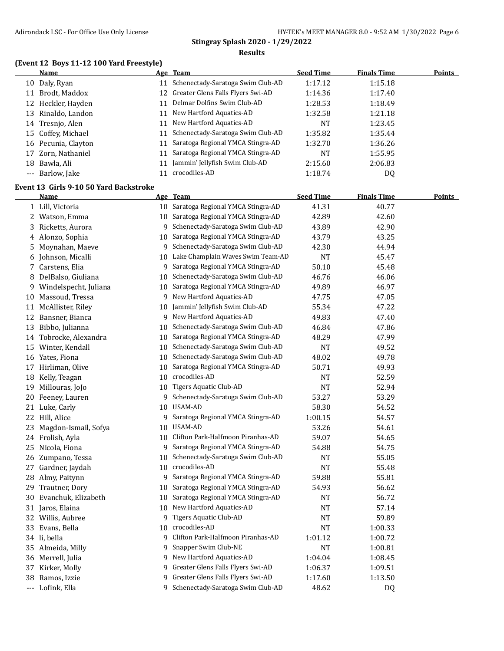# **(Event 12 Boys 11-12 100 Yard Freestyle)**

|    | Name                                           |    | Age Team                             | <b>Seed Time</b> | <b>Finals Time</b> | <b>Points</b> |
|----|------------------------------------------------|----|--------------------------------------|------------------|--------------------|---------------|
|    | 10 Daly, Ryan                                  |    | 11 Schenectady-Saratoga Swim Club-AD | 1:17.12          | 1:15.18            |               |
|    | 11 Brodt, Maddox                               | 12 | Greater Glens Falls Flyers Swi-AD    | 1:14.36          | 1:17.40            |               |
|    | 12 Heckler, Hayden                             | 11 | Delmar Dolfins Swim Club-AD          | 1:28.53          | 1:18.49            |               |
| 13 | Rinaldo, Landon                                | 11 | New Hartford Aquatics-AD             | 1:32.58          | 1:21.18            |               |
| 14 | Tresnjo, Alen                                  | 11 | New Hartford Aquatics-AD             | <b>NT</b>        | 1:23.45            |               |
| 15 | Coffey, Michael                                | 11 | Schenectady-Saratoga Swim Club-AD    | 1:35.82          | 1:35.44            |               |
|    | 16 Pecunia, Clayton                            | 11 | Saratoga Regional YMCA Stingra-AD    | 1:32.70          | 1:36.26            |               |
| 17 | Zorn, Nathaniel                                | 11 | Saratoga Regional YMCA Stingra-AD    | <b>NT</b>        | 1:55.95            |               |
| 18 | Bawla, Ali                                     | 11 | Jammin' Jellyfish Swim Club-AD       | 2:15.60          | 2:06.83            |               |
|    | --- Barlow, Jake                               |    | 11 crocodiles-AD                     | 1:18.74          | DQ                 |               |
|    |                                                |    |                                      |                  |                    |               |
|    | Event 13 Girls 9-10 50 Yard Backstroke<br>Name |    |                                      | <b>Seed Time</b> | <b>Finals Time</b> | <b>Points</b> |
|    |                                                |    | Age Team                             |                  |                    |               |
|    | 1 Lill, Victoria                               |    | 10 Saratoga Regional YMCA Stingra-AD | 41.31            | 40.77              |               |
|    | 2 Watson, Emma                                 | 10 | Saratoga Regional YMCA Stingra-AD    | 42.89            | 42.60              |               |
| 3  | Ricketts, Aurora                               | 9. | Schenectady-Saratoga Swim Club-AD    | 43.89            | 42.90              |               |
|    | 4 Alonzo, Sophia                               | 10 | Saratoga Regional YMCA Stingra-AD    | 43.79            | 43.25              |               |
| 5  | Moynahan, Maeve                                | 9  | Schenectady-Saratoga Swim Club-AD    | 42.30            | 44.94              |               |
| 6  | Johnson, Micalli                               |    | 10 Lake Champlain Waves Swim Team-AD | <b>NT</b>        | 45.47              |               |
|    | 7 Carstens, Elia                               | 9. | Saratoga Regional YMCA Stingra-AD    | 50.10            | 45.48              |               |
| 8  | DelBalso, Giuliana                             | 10 | Schenectady-Saratoga Swim Club-AD    | 46.76            | 46.06              |               |
| 9  | Windelspecht, Juliana                          | 10 | Saratoga Regional YMCA Stingra-AD    | 49.89            | 46.97              |               |
| 10 | Massoud, Tressa                                | 9  | New Hartford Aquatics-AD             | 47.75            | 47.05              |               |
| 11 | McAllister, Riley                              | 10 | Jammin' Jellyfish Swim Club-AD       | 55.34            | 47.22              |               |
| 12 | Bansner, Bianca                                | 9  | New Hartford Aquatics-AD             | 49.83            | 47.40              |               |
| 13 | Bibbo, Julianna                                | 10 | Schenectady-Saratoga Swim Club-AD    | 46.84            | 47.86              |               |
| 14 | Tobrocke, Alexandra                            | 10 | Saratoga Regional YMCA Stingra-AD    | 48.29            | 47.99              |               |
|    | 15 Winter, Kendall                             | 10 | Schenectady-Saratoga Swim Club-AD    | <b>NT</b>        | 49.52              |               |
|    | 16 Yates, Fiona                                | 10 | Schenectady-Saratoga Swim Club-AD    | 48.02            | 49.78              |               |
| 17 | Hirliman, Olive                                | 10 | Saratoga Regional YMCA Stingra-AD    | 50.71            | 49.93              |               |
| 18 | Kelly, Teagan                                  | 10 | crocodiles-AD                        | NT               | 52.59              |               |
| 19 | Millouras, JoJo                                | 10 | Tigers Aquatic Club-AD               | <b>NT</b>        | 52.94              |               |
| 20 | Feeney, Lauren                                 | 9  | Schenectady-Saratoga Swim Club-AD    | 53.27            | 53.29              |               |
|    | 21 Luke, Carly                                 | 10 | <b>USAM-AD</b>                       | 58.30            | 54.52              |               |
|    | 22 Hill, Alice                                 | 9. | Saratoga Regional YMCA Stingra-AD    | 1:00.15          | 54.57              |               |
|    | 23 Magdon-Ismail, Sofya                        |    | 10 USAM-AD                           | 53.26            | 54.61              |               |
|    | 24 Frolish, Ayla                               |    | 10 Clifton Park-Halfmoon Piranhas-AD | 59.07            | 54.65              |               |
|    | 25 Nicola, Fiona                               |    | 9 Saratoga Regional YMCA Stingra-AD  | 54.88            | 54.75              |               |
|    | 26 Zumpano, Tessa                              | 10 | Schenectady-Saratoga Swim Club-AD    | <b>NT</b>        | 55.05              |               |
|    | 27 Gardner, Jaydah                             | 10 | crocodiles-AD                        | NT               | 55.48              |               |
| 28 | Almy, Paitynn                                  | 9  | Saratoga Regional YMCA Stingra-AD    | 59.88            | 55.81              |               |
| 29 | Trautner, Dory                                 | 10 | Saratoga Regional YMCA Stingra-AD    | 54.93            | 56.62              |               |
| 30 | Evanchuk, Elizabeth                            | 10 | Saratoga Regional YMCA Stingra-AD    | NT               | 56.72              |               |
|    | 31 Jaros, Elaina                               | 10 | New Hartford Aquatics-AD             | NT               | 57.14              |               |
|    | 32 Willis, Aubree                              | 9  | <b>Tigers Aquatic Club-AD</b>        | NT               | 59.89              |               |
|    | 33 Evans, Bella                                | 10 | crocodiles-AD                        | NT               | 1:00.33            |               |
|    | 34 li, bella                                   | 9  | Clifton Park-Halfmoon Piranhas-AD    | 1:01.12          | 1:00.72            |               |
|    | 35 Almeida, Milly                              | 9  | Snapper Swim Club-NE                 | NT               | 1:00.81            |               |
|    | 36 Merrell, Julia                              | 9  | New Hartford Aquatics-AD             | 1:04.04          | 1:08.45            |               |
| 37 | Kirker, Molly                                  | 9  | Greater Glens Falls Flyers Swi-AD    | 1:06.37          | 1:09.51            |               |
| 38 | Ramos, Izzie                                   | 9  | Greater Glens Falls Flyers Swi-AD    | 1:17.60          | 1:13.50            |               |
|    | --- Lofink, Ella                               |    | 9 Schenectady-Saratoga Swim Club-AD  | 48.62            | DQ                 |               |
|    |                                                |    |                                      |                  |                    |               |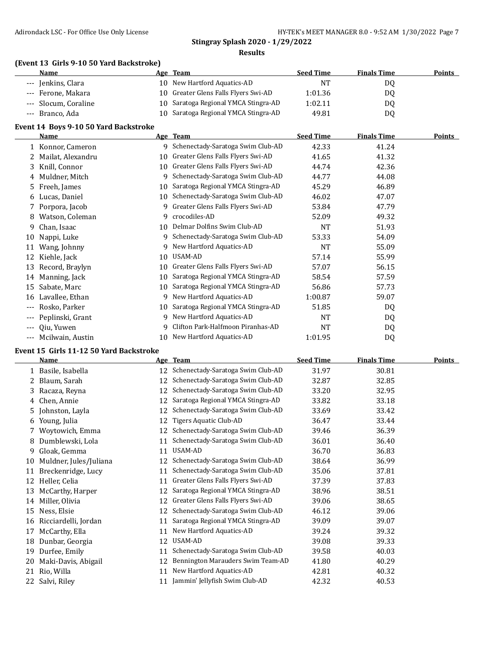#### **(Event 13 Girls 9-10 50 Yard Backstroke)**

| <b>Name</b>          | Age Team                             | <b>Seed Time</b> | <b>Finals Time</b> | <b>Points</b> |
|----------------------|--------------------------------------|------------------|--------------------|---------------|
| --- Jenkins, Clara   | 10 New Hartford Aquatics-AD          | NT               | DO.                |               |
| --- Ferone, Makara   | 10 Greater Glens Falls Flyers Swi-AD | 1:01.36          | DO                 |               |
| --- Slocum, Coraline | 10 Saratoga Regional YMCA Stingra-AD | 1:02.11          | DO                 |               |
| --- Branco, Ada      | 10 Saratoga Regional YMCA Stingra-AD | 49.81            | DQ                 |               |

#### **Event 14 Boys 9-10 50 Yard Backstroke**

|       | <b>Name</b>       |    | Age Team                          | <b>Seed Time</b> | <b>Finals Time</b> | <b>Points</b> |
|-------|-------------------|----|-----------------------------------|------------------|--------------------|---------------|
|       | 1 Konnor, Cameron | 9  | Schenectady-Saratoga Swim Club-AD | 42.33            | 41.24              |               |
|       | Mailat, Alexandru | 10 | Greater Glens Falls Flyers Swi-AD | 41.65            | 41.32              |               |
| 3.    | Knill, Connor     | 10 | Greater Glens Falls Flyers Swi-AD | 44.74            | 42.36              |               |
|       | 4 Muldner, Mitch  | 9  | Schenectady-Saratoga Swim Club-AD | 44.77            | 44.08              |               |
|       | 5 Freeh, James    | 10 | Saratoga Regional YMCA Stingra-AD | 45.29            | 46.89              |               |
|       | 6 Lucas, Daniel   | 10 | Schenectady-Saratoga Swim Club-AD | 46.02            | 47.07              |               |
|       | Porpora, Jacob    | 9  | Greater Glens Falls Flyers Swi-AD | 53.84            | 47.79              |               |
| 8     | Watson, Coleman   | 9  | crocodiles-AD                     | 52.09            | 49.32              |               |
| 9.    | Chan, Isaac       | 10 | Delmar Dolfins Swim Club-AD       | NT               | 51.93              |               |
| 10    | Nappi, Luke       | 9  | Schenectady-Saratoga Swim Club-AD | 53.33            | 54.09              |               |
| 11    | Wang, Johnny      | 9  | New Hartford Aquatics-AD          | <b>NT</b>        | 55.09              |               |
| 12    | Kiehle, Jack      | 10 | USAM-AD                           | 57.14            | 55.99              |               |
| 13    | Record, Braylyn   | 10 | Greater Glens Falls Flyers Swi-AD | 57.07            | 56.15              |               |
| 14    | Manning, Jack     | 10 | Saratoga Regional YMCA Stingra-AD | 58.54            | 57.59              |               |
| 15    | Sabate, Marc      | 10 | Saratoga Regional YMCA Stingra-AD | 56.86            | 57.73              |               |
| 16    | Lavallee, Ethan   | 9  | New Hartford Aquatics-AD          | 1:00.87          | 59.07              |               |
| $---$ | Rosko, Parker     | 10 | Saratoga Regional YMCA Stingra-AD | 51.85            | DQ                 |               |
| ---   | Peplinski, Grant  | 9  | New Hartford Aquatics-AD          | NT               | DQ                 |               |
| $---$ | Oiu, Yuwen        | 9  | Clifton Park-Halfmoon Piranhas-AD | NT               | DQ                 |               |
| $---$ | Mcilwain, Austin  | 10 | New Hartford Aquatics-AD          | 1:01.95          | DQ                 |               |

#### **Event 15 Girls 11-12 50 Yard Backstroke**

|    | <b>Name</b>            |    | Age Team                          | <b>Seed Time</b> | <b>Finals Time</b> | <b>Points</b> |
|----|------------------------|----|-----------------------------------|------------------|--------------------|---------------|
|    | 1 Basile, Isabella     | 12 | Schenectady-Saratoga Swim Club-AD | 31.97            | 30.81              |               |
| 2  | Blaum, Sarah           | 12 | Schenectady-Saratoga Swim Club-AD | 32.87            | 32.85              |               |
|    | 3 Racaza, Reyna        | 12 | Schenectady-Saratoga Swim Club-AD | 33.20            | 32.95              |               |
| 4  | Chen, Annie            | 12 | Saratoga Regional YMCA Stingra-AD | 33.82            | 33.18              |               |
|    | 5 Johnston, Layla      | 12 | Schenectady-Saratoga Swim Club-AD | 33.69            | 33.42              |               |
| 6  | Young, Julia           | 12 | Tigers Aquatic Club-AD            | 36.47            | 33.44              |               |
|    | Woytowich, Emma        | 12 | Schenectady-Saratoga Swim Club-AD | 39.46            | 36.39              |               |
| 8  | Dumblewski, Lola       | 11 | Schenectady-Saratoga Swim Club-AD | 36.01            | 36.40              |               |
| 9  | Gloak, Gemma           | 11 | USAM-AD                           | 36.70            | 36.83              |               |
| 10 | Muldner, Jules/Juliana | 12 | Schenectady-Saratoga Swim Club-AD | 38.64            | 36.99              |               |
| 11 | Breckenridge, Lucy     | 11 | Schenectady-Saratoga Swim Club-AD | 35.06            | 37.81              |               |
| 12 | Heller, Celia          | 11 | Greater Glens Falls Flyers Swi-AD | 37.39            | 37.83              |               |
| 13 | McCarthy, Harper       | 12 | Saratoga Regional YMCA Stingra-AD | 38.96            | 38.51              |               |
| 14 | Miller, Olivia         | 12 | Greater Glens Falls Flyers Swi-AD | 39.06            | 38.65              |               |
| 15 | Ness, Elsie            | 12 | Schenectady-Saratoga Swim Club-AD | 46.12            | 39.06              |               |
| 16 | Ricciardelli, Jordan   | 11 | Saratoga Regional YMCA Stingra-AD | 39.09            | 39.07              |               |
| 17 | McCarthy, Ella         | 11 | New Hartford Aquatics-AD          | 39.24            | 39.32              |               |
| 18 | Dunbar, Georgia        | 12 | USAM-AD                           | 39.08            | 39.33              |               |
| 19 | Durfee, Emily          | 11 | Schenectady-Saratoga Swim Club-AD | 39.58            | 40.03              |               |
| 20 | Maki-Davis, Abigail    | 12 | Bennington Marauders Swim Team-AD | 41.80            | 40.29              |               |
| 21 | Rio, Willa             | 11 | New Hartford Aquatics-AD          | 42.81            | 40.32              |               |
|    | 22 Salvi, Riley        | 11 | Jammin' Jellyfish Swim Club-AD    | 42.32            | 40.53              |               |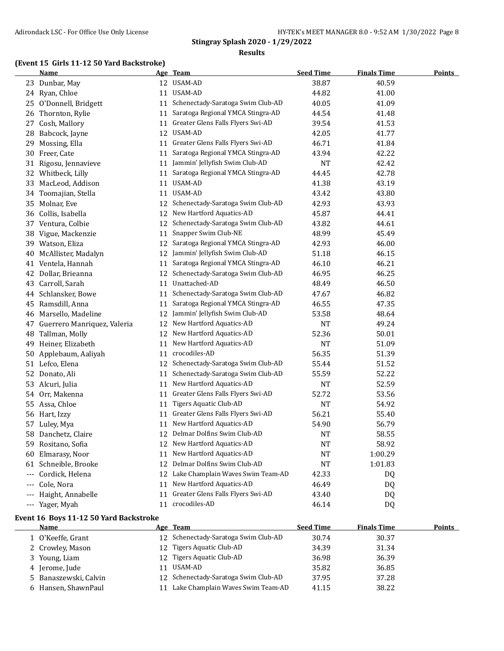# **(Event 15 Girls 11-12 50 Yard Backstroke)**

|                     | <b>Name</b>                 |    | Age Team                          | <b>Seed Time</b> | <b>Finals Time</b> | <b>Points</b> |
|---------------------|-----------------------------|----|-----------------------------------|------------------|--------------------|---------------|
| 23                  | Dunbar, May                 |    | 12 USAM-AD                        | 38.87            | 40.59              |               |
| 24                  | Ryan, Chloe                 | 11 | USAM-AD                           | 44.82            | 41.00              |               |
| 25                  | O'Donnell, Bridgett         | 11 | Schenectady-Saratoga Swim Club-AD | 40.05            | 41.09              |               |
| 26                  | Thornton, Rylie             | 11 | Saratoga Regional YMCA Stingra-AD | 44.54            | 41.48              |               |
| 27                  | Cosh, Mallory               | 11 | Greater Glens Falls Flyers Swi-AD | 39.54            | 41.53              |               |
| 28                  | Babcock, Jayne              | 12 | <b>USAM-AD</b>                    | 42.05            | 41.77              |               |
| 29                  | Mossing, Ella               | 11 | Greater Glens Falls Flyers Swi-AD | 46.71            | 41.84              |               |
| 30                  | Freer, Cate                 | 11 | Saratoga Regional YMCA Stingra-AD | 43.94            | 42.22              |               |
|                     | 31 Rigosu, Jennavieve       | 11 | Jammin' Jellyfish Swim Club-AD    | <b>NT</b>        | 42.42              |               |
|                     | 32 Whitbeck, Lilly          | 11 | Saratoga Regional YMCA Stingra-AD | 44.45            | 42.78              |               |
| 33                  | MacLeod, Addison            | 11 | USAM-AD                           | 41.38            | 43.19              |               |
| 34                  | Toomajian, Stella           | 11 | USAM-AD                           | 43.42            | 43.80              |               |
| 35                  | Molnar, Eve                 | 12 | Schenectady-Saratoga Swim Club-AD | 42.93            | 43.93              |               |
| 36                  | Collis, Isabella            | 12 | New Hartford Aquatics-AD          | 45.87            | 44.41              |               |
| 37                  | Ventura, Colbie             | 12 | Schenectady-Saratoga Swim Club-AD | 43.82            | 44.61              |               |
| 38                  | Vigue, Mackenzie            | 11 | Snapper Swim Club-NE              | 48.99            | 45.49              |               |
| 39                  | Watson, Eliza               | 12 | Saratoga Regional YMCA Stingra-AD | 42.93            | 46.00              |               |
| 40                  | McAllister, Madalyn         | 12 | Jammin' Jellyfish Swim Club-AD    | 51.18            | 46.15              |               |
|                     | 41 Ventela, Hannah          | 11 | Saratoga Regional YMCA Stingra-AD | 46.10            | 46.21              |               |
| 42                  | Dollar, Brieanna            | 12 | Schenectady-Saratoga Swim Club-AD | 46.95            | 46.25              |               |
| 43                  | Carroll, Sarah              | 11 | Unattached-AD                     | 48.49            | 46.50              |               |
|                     | 44 Schlansker, Bowe         | 11 | Schenectady-Saratoga Swim Club-AD | 47.67            | 46.82              |               |
| 45                  | Ramsdill, Anna              | 11 | Saratoga Regional YMCA Stingra-AD | 46.55            | 47.35              |               |
| 46                  | Marsello, Madeline          | 12 | Jammin' Jellyfish Swim Club-AD    | 53.58            | 48.64              |               |
| 47                  | Guerrero Manriquez, Valeria |    | 12 New Hartford Aquatics-AD       | <b>NT</b>        | 49.24              |               |
| 48                  | Tallman, Molly              |    | 12 New Hartford Aquatics-AD       | 52.36            | 50.01              |               |
| 49                  | Heiner, Elizabeth           | 11 | New Hartford Aquatics-AD          | <b>NT</b>        | 51.09              |               |
| 50                  | Applebaum, Aaliyah          | 11 | crocodiles-AD                     | 56.35            | 51.39              |               |
|                     | 51 Lefco, Elena             | 12 | Schenectady-Saratoga Swim Club-AD | 55.44            | 51.52              |               |
| 52                  | Donato, Ali                 | 11 | Schenectady-Saratoga Swim Club-AD | 55.59            | 52.22              |               |
| 53                  | Alcuri, Julia               | 11 | New Hartford Aquatics-AD          | <b>NT</b>        | 52.59              |               |
| 54                  | Orr, Makenna                | 11 | Greater Glens Falls Flyers Swi-AD | 52.72            | 53.56              |               |
| 55                  | Assa, Chloe                 | 11 | Tigers Aquatic Club-AD            | <b>NT</b>        | 54.92              |               |
|                     | 56 Hart, Izzy               | 11 | Greater Glens Falls Flyers Swi-AD | 56.21            | 55.40              |               |
| 57                  | Luley, Mya                  | 11 | New Hartford Aquatics-AD          | 54.90            | 56.79              |               |
| 58                  | Danchetz, Claire            |    | 12 Delmar Dolfins Swim Club-AD    | NT               | 58.55              |               |
|                     | 59 Rositano, Sofia          |    | 12 New Hartford Aquatics-AD       | NT               | 58.92              |               |
| 60                  | Elmarasy, Noor              | 11 | New Hartford Aquatics-AD          | <b>NT</b>        | 1:00.29            |               |
|                     | 61 Schneible, Brooke        | 12 | Delmar Dolfins Swim Club-AD       | $\bf NT$         | 1:01.83            |               |
|                     | --- Cordick, Helena         | 12 | Lake Champlain Waves Swim Team-AD | 42.33            | DQ                 |               |
| $\qquad \qquad - -$ | Cole, Nora                  | 11 | New Hartford Aquatics-AD          | 46.49            | DQ                 |               |
|                     | Haight, Annabelle           | 11 | Greater Glens Falls Flyers Swi-AD | 43.40            | DQ                 |               |
|                     | --- Yager, Myah             |    | 11 crocodiles-AD                  | 46.14            | DQ                 |               |

#### **Event 16 Boys 11-12 50 Yard Backstroke**

| <b>Name</b>           |                 | Age Team                             | <b>Seed Time</b> | <b>Finals Time</b> | <b>Points</b> |
|-----------------------|-----------------|--------------------------------------|------------------|--------------------|---------------|
| 1 O'Keeffe, Grant     |                 | 12 Schenectady-Saratoga Swim Club-AD | 30.74            | 30.37              |               |
| 2 Crowley, Mason      | 12 <sup>1</sup> | Tigers Aquatic Club-AD               | 34.39            | 31.34              |               |
| 3 Young, Liam         | 12.             | Tigers Aquatic Club-AD               | 36.98            | 36.39              |               |
| 4 Jerome, Jude        |                 | USAM-AD                              | 35.82            | 36.85              |               |
| 5 Banaszewski, Calvin |                 | 12 Schenectady-Saratoga Swim Club-AD | 37.95            | 37.28              |               |
| 6 Hansen, ShawnPaul   |                 | Lake Champlain Waves Swim Team-AD    | 41.15            | 38.22              |               |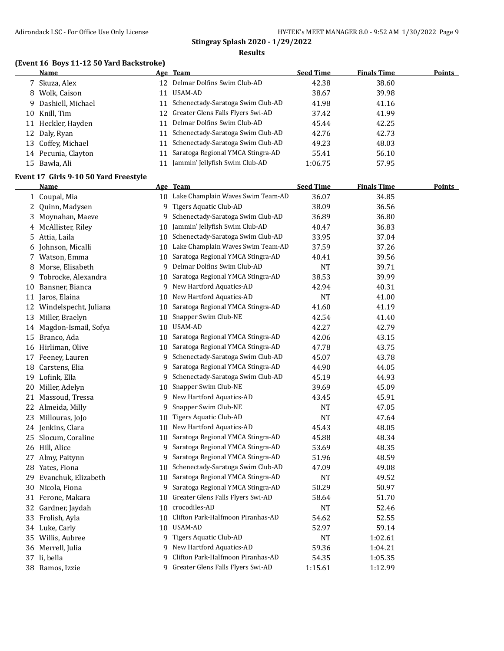#### **(Event 16 Boys 11-12 50 Yard Backstroke)**

|     | Name                |                 | Age Team                             | <b>Seed Time</b> | <b>Finals Time</b> | <b>Points</b> |
|-----|---------------------|-----------------|--------------------------------------|------------------|--------------------|---------------|
|     | 7 Skuza, Alex       | 12 <sup>1</sup> | Delmar Dolfins Swim Club-AD          | 42.38            | 38.60              |               |
|     | 8 Wolk, Caison      | 11              | USAM-AD                              | 38.67            | 39.98              |               |
|     | 9 Dashiell, Michael |                 | 11 Schenectady-Saratoga Swim Club-AD | 41.98            | 41.16              |               |
| 10- | Knill, Tim          |                 | 12 Greater Glens Falls Flyers Swi-AD | 37.42            | 41.99              |               |
|     | 11 Heckler, Hayden  |                 | 11 Delmar Dolfins Swim Club-AD       | 45.44            | 42.25              |               |
|     | 12 Daly, Ryan       | 11              | Schenectady-Saratoga Swim Club-AD    | 42.76            | 42.73              |               |
|     | 13 Coffey, Michael  | 11              | Schenectady-Saratoga Swim Club-AD    | 49.23            | 48.03              |               |
|     | 14 Pecunia, Clayton |                 | 11 Saratoga Regional YMCA Stingra-AD | 55.41            | 56.10              |               |
|     | 15 Bawla, Ali       |                 | Jammin' Jellyfish Swim Club-AD       | 1:06.75          | 57.95              |               |

#### **Event 17 Girls 9-10 50 Yard Freestyle**

|     | <b>Name</b>              |                 | Age Team                             | <b>Seed Time</b> | <b>Finals Time</b> | <b>Points</b> |
|-----|--------------------------|-----------------|--------------------------------------|------------------|--------------------|---------------|
|     | 1 Coupal, Mia            |                 | 10 Lake Champlain Waves Swim Team-AD | 36.07            | 34.85              |               |
| 2   | Quinn, Madysen           |                 | 9 Tigers Aquatic Club-AD             | 38.09            | 36.56              |               |
|     | 3 Moynahan, Maeve        | 9               | Schenectady-Saratoga Swim Club-AD    | 36.89            | 36.80              |               |
|     | 4 McAllister, Riley      | 10              | Jammin' Jellyfish Swim Club-AD       | 40.47            | 36.83              |               |
|     | 5 Attia, Laila           | 10              | Schenectady-Saratoga Swim Club-AD    | 33.95            | 37.04              |               |
| 6   | Johnson, Micalli         | 10              | Lake Champlain Waves Swim Team-AD    | 37.59            | 37.26              |               |
|     | 7 Watson, Emma           | 10              | Saratoga Regional YMCA Stingra-AD    | 40.41            | 39.56              |               |
| 8   | Morse, Elisabeth         | 9               | Delmar Dolfins Swim Club-AD          | <b>NT</b>        | 39.71              |               |
| 9   | Tobrocke, Alexandra      | 10              | Saratoga Regional YMCA Stingra-AD    | 38.53            | 39.99              |               |
| 10  | Bansner, Bianca          | 9               | New Hartford Aquatics-AD             | 42.94            | 40.31              |               |
|     | 11 Jaros, Elaina         | 10              | New Hartford Aquatics-AD             | <b>NT</b>        | 41.00              |               |
|     | 12 Windelspecht, Juliana | 10              | Saratoga Regional YMCA Stingra-AD    | 41.60            | 41.19              |               |
| 13  | Miller, Braelyn          | 10              | Snapper Swim Club-NE                 | 42.54            | 41.40              |               |
|     | 14 Magdon-Ismail, Sofya  | 10              | USAM-AD                              | 42.27            | 42.79              |               |
|     | 15 Branco, Ada           | 10              | Saratoga Regional YMCA Stingra-AD    | 42.06            | 43.15              |               |
|     | 16 Hirliman, Olive       | 10              | Saratoga Regional YMCA Stingra-AD    | 47.78            | 43.75              |               |
|     | 17 Feeney, Lauren        |                 | 9 Schenectady-Saratoga Swim Club-AD  | 45.07            | 43.78              |               |
| 18  | Carstens, Elia           | 9.              | Saratoga Regional YMCA Stingra-AD    | 44.90            | 44.05              |               |
|     | 19 Lofink, Ella          | 9               | Schenectady-Saratoga Swim Club-AD    | 45.19            | 44.93              |               |
|     | 20 Miller, Adelyn        | 10              | Snapper Swim Club-NE                 | 39.69            | 45.09              |               |
|     | 21 Massoud, Tressa       | 9               | New Hartford Aquatics-AD             | 43.45            | 45.91              |               |
|     | 22 Almeida, Milly        | 9               | Snapper Swim Club-NE                 | NT               | 47.05              |               |
| 23  | Millouras, JoJo          | 10              | <b>Tigers Aquatic Club-AD</b>        | <b>NT</b>        | 47.64              |               |
|     | 24 Jenkins, Clara        | 10 <sup>°</sup> | New Hartford Aquatics-AD             | 45.43            | 48.05              |               |
|     | 25 Slocum, Coraline      | 10              | Saratoga Regional YMCA Stingra-AD    | 45.88            | 48.34              |               |
|     | 26 Hill, Alice           | 9               | Saratoga Regional YMCA Stingra-AD    | 53.69            | 48.35              |               |
|     | 27 Almy, Paitynn         |                 | 9 Saratoga Regional YMCA Stingra-AD  | 51.96            | 48.59              |               |
|     | 28 Yates, Fiona          | 10              | Schenectady-Saratoga Swim Club-AD    | 47.09            | 49.08              |               |
| 29. | Evanchuk, Elizabeth      | 10              | Saratoga Regional YMCA Stingra-AD    | <b>NT</b>        | 49.52              |               |
|     | 30 Nicola, Fiona         | 9               | Saratoga Regional YMCA Stingra-AD    | 50.29            | 50.97              |               |
|     | 31 Ferone, Makara        |                 | 10 Greater Glens Falls Flyers Swi-AD | 58.64            | 51.70              |               |
|     | 32 Gardner, Jaydah       | 10              | crocodiles-AD                        | <b>NT</b>        | 52.46              |               |
|     | 33 Frolish, Ayla         |                 | 10 Clifton Park-Halfmoon Piranhas-AD | 54.62            | 52.55              |               |
|     | 34 Luke, Carly           |                 | 10 USAM-AD                           | 52.97            | 59.14              |               |
|     | 35 Willis, Aubree        |                 | 9 Tigers Aquatic Club-AD             | NT               | 1:02.61            |               |
|     | 36 Merrell, Julia        |                 | 9 New Hartford Aquatics-AD           | 59.36            | 1:04.21            |               |
|     | 37 li, bella             |                 | 9 Clifton Park-Halfmoon Piranhas-AD  | 54.35            | 1:05.35            |               |
|     | 38 Ramos, Izzie          |                 | 9 Greater Glens Falls Flyers Swi-AD  | 1:15.61          | 1:12.99            |               |
|     |                          |                 |                                      |                  |                    |               |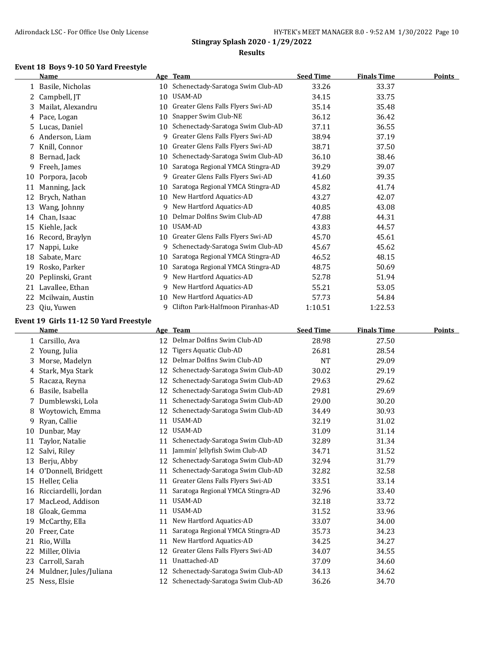#### **Event 18 Boys 9-10 50 Yard Freestyle**

|    | <b>Name</b>        | Age | <b>Team</b>                       | <b>Seed Time</b> | <b>Finals Time</b> | <b>Points</b> |
|----|--------------------|-----|-----------------------------------|------------------|--------------------|---------------|
|    | 1 Basile, Nicholas | 10  | Schenectady-Saratoga Swim Club-AD | 33.26            | 33.37              |               |
|    | 2 Campbell, JT     | 10  | <b>USAM-AD</b>                    | 34.15            | 33.75              |               |
| 3. | Mailat, Alexandru  | 10  | Greater Glens Falls Flyers Swi-AD | 35.14            | 35.48              |               |
|    | 4 Pace, Logan      | 10  | Snapper Swim Club-NE              | 36.12            | 36.42              |               |
| 5. | Lucas, Daniel      | 10  | Schenectady-Saratoga Swim Club-AD | 37.11            | 36.55              |               |
| 6  | Anderson, Liam     | 9   | Greater Glens Falls Flyers Swi-AD | 38.94            | 37.19              |               |
| 7  | Knill, Connor      | 10  | Greater Glens Falls Flyers Swi-AD | 38.71            | 37.50              |               |
| 8  | Bernad, Jack       | 10  | Schenectady-Saratoga Swim Club-AD | 36.10            | 38.46              |               |
| 9  | Freeh, James       | 10  | Saratoga Regional YMCA Stingra-AD | 39.29            | 39.07              |               |
| 10 | Porpora, Jacob     | 9   | Greater Glens Falls Flyers Swi-AD | 41.60            | 39.35              |               |
| 11 | Manning, Jack      | 10  | Saratoga Regional YMCA Stingra-AD | 45.82            | 41.74              |               |
| 12 | Brych, Nathan      | 10  | New Hartford Aquatics-AD          | 43.27            | 42.07              |               |
| 13 | Wang, Johnny       | 9   | New Hartford Aquatics-AD          | 40.85            | 43.08              |               |
| 14 | Chan, Isaac        | 10  | Delmar Dolfins Swim Club-AD       | 47.88            | 44.31              |               |
| 15 | Kiehle, Jack       | 10  | <b>USAM-AD</b>                    | 43.83            | 44.57              |               |
| 16 | Record, Braylyn    | 10  | Greater Glens Falls Flyers Swi-AD | 45.70            | 45.61              |               |
| 17 | Nappi, Luke        | 9   | Schenectady-Saratoga Swim Club-AD | 45.67            | 45.62              |               |
| 18 | Sabate, Marc       | 10  | Saratoga Regional YMCA Stingra-AD | 46.52            | 48.15              |               |
| 19 | Rosko, Parker      | 10  | Saratoga Regional YMCA Stingra-AD | 48.75            | 50.69              |               |
| 20 | Peplinski, Grant   | 9   | New Hartford Aquatics-AD          | 52.78            | 51.94              |               |
| 21 | Lavallee, Ethan    | 9   | New Hartford Aquatics-AD          | 55.21            | 53.05              |               |
| 22 | Mcilwain, Austin   | 10  | New Hartford Aquatics-AD          | 57.73            | 54.84              |               |
| 23 | Qiu, Yuwen         | 9   | Clifton Park-Halfmoon Piranhas-AD | 1:10.51          | 1:22.53            |               |

#### **Event 19 Girls 11-12 50 Yard Freestyle**

|              | Name                   |    | Age Team                          | <b>Seed Time</b> | <b>Finals Time</b> | <b>Points</b> |
|--------------|------------------------|----|-----------------------------------|------------------|--------------------|---------------|
| $\mathbf{1}$ | Carsillo, Ava          | 12 | Delmar Dolfins Swim Club-AD       | 28.98            | 27.50              |               |
| 2.           | Young, Julia           | 12 | Tigers Aquatic Club-AD            | 26.81            | 28.54              |               |
| 3.           | Morse, Madelyn         | 12 | Delmar Dolfins Swim Club-AD       | <b>NT</b>        | 29.09              |               |
| 4            | Stark, Mya Stark       | 12 | Schenectady-Saratoga Swim Club-AD | 30.02            | 29.19              |               |
| 5.           | Racaza, Reyna          | 12 | Schenectady-Saratoga Swim Club-AD | 29.63            | 29.62              |               |
| 6            | Basile, Isabella       | 12 | Schenectady-Saratoga Swim Club-AD | 29.81            | 29.69              |               |
| 7            | Dumblewski, Lola       | 11 | Schenectady-Saratoga Swim Club-AD | 29.00            | 30.20              |               |
| 8            | Woytowich, Emma        | 12 | Schenectady-Saratoga Swim Club-AD | 34.49            | 30.93              |               |
| 9            | Ryan, Callie           | 11 | USAM-AD                           | 32.19            | 31.02              |               |
| 10           | Dunbar, May            | 12 | USAM-AD                           | 31.09            | 31.14              |               |
| 11           | Taylor, Natalie        | 11 | Schenectady-Saratoga Swim Club-AD | 32.89            | 31.34              |               |
| 12           | Salvi, Rilev           | 11 | Jammin' Jellyfish Swim Club-AD    | 34.71            | 31.52              |               |
| 13           | Berju, Abby            | 12 | Schenectady-Saratoga Swim Club-AD | 32.94            | 31.79              |               |
| 14           | O'Donnell, Bridgett    | 11 | Schenectady-Saratoga Swim Club-AD | 32.82            | 32.58              |               |
| 15           | Heller, Celia          | 11 | Greater Glens Falls Flyers Swi-AD | 33.51            | 33.14              |               |
| 16           | Ricciardelli, Jordan   | 11 | Saratoga Regional YMCA Stingra-AD | 32.96            | 33.40              |               |
| 17           | MacLeod, Addison       | 11 | USAM-AD                           | 32.18            | 33.72              |               |
| 18           | Gloak, Gemma           | 11 | <b>USAM-AD</b>                    | 31.52            | 33.96              |               |
| 19           | McCarthy, Ella         | 11 | New Hartford Aquatics-AD          | 33.07            | 34.00              |               |
| 20           | Freer, Cate            | 11 | Saratoga Regional YMCA Stingra-AD | 35.73            | 34.23              |               |
| 21           | Rio, Willa             | 11 | New Hartford Aquatics-AD          | 34.25            | 34.27              |               |
| 22           | Miller, Olivia         | 12 | Greater Glens Falls Flyers Swi-AD | 34.07            | 34.55              |               |
| 23           | Carroll, Sarah         | 11 | Unattached-AD                     | 37.09            | 34.60              |               |
| 24           | Muldner, Jules/Juliana | 12 | Schenectady-Saratoga Swim Club-AD | 34.13            | 34.62              |               |
| 25           | Ness, Elsie            | 12 | Schenectady-Saratoga Swim Club-AD | 36.26            | 34.70              |               |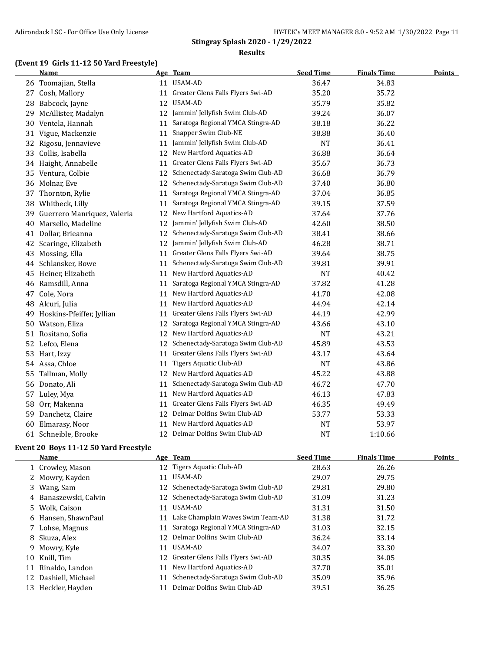# **(Event 19 Girls 11-12 50 Yard Freestyle)**

|    | Name                        |    | Age Team                          | <b>Seed Time</b> | <b>Finals Time</b> | <b>Points</b> |
|----|-----------------------------|----|-----------------------------------|------------------|--------------------|---------------|
|    | 26 Toomajian, Stella        | 11 | USAM-AD                           | 36.47            | 34.83              |               |
| 27 | Cosh, Mallory               | 11 | Greater Glens Falls Flyers Swi-AD | 35.20            | 35.72              |               |
| 28 | Babcock, Jayne              | 12 | <b>USAM-AD</b>                    | 35.79            | 35.82              |               |
| 29 | McAllister, Madalyn         | 12 | Jammin' Jellyfish Swim Club-AD    | 39.24            | 36.07              |               |
| 30 | Ventela, Hannah             | 11 | Saratoga Regional YMCA Stingra-AD | 38.18            | 36.22              |               |
|    | 31 Vigue, Mackenzie         | 11 | Snapper Swim Club-NE              | 38.88            | 36.40              |               |
| 32 | Rigosu, Jennavieve          | 11 | Jammin' Jellyfish Swim Club-AD    | <b>NT</b>        | 36.41              |               |
| 33 | Collis, Isabella            | 12 | New Hartford Aquatics-AD          | 36.88            | 36.64              |               |
|    | 34 Haight, Annabelle        | 11 | Greater Glens Falls Flyers Swi-AD | 35.67            | 36.73              |               |
| 35 | Ventura, Colbie             | 12 | Schenectady-Saratoga Swim Club-AD | 36.68            | 36.79              |               |
| 36 | Molnar, Eve                 | 12 | Schenectady-Saratoga Swim Club-AD | 37.40            | 36.80              |               |
| 37 | Thornton, Rylie             | 11 | Saratoga Regional YMCA Stingra-AD | 37.04            | 36.85              |               |
| 38 | Whitbeck, Lilly             | 11 | Saratoga Regional YMCA Stingra-AD | 39.15            | 37.59              |               |
| 39 | Guerrero Manriquez, Valeria | 12 | New Hartford Aquatics-AD          | 37.64            | 37.76              |               |
| 40 | Marsello, Madeline          | 12 | Jammin' Jellyfish Swim Club-AD    | 42.60            | 38.50              |               |
| 41 | Dollar, Brieanna            | 12 | Schenectady-Saratoga Swim Club-AD | 38.41            | 38.66              |               |
| 42 | Scaringe, Elizabeth         | 12 | Jammin' Jellyfish Swim Club-AD    | 46.28            | 38.71              |               |
| 43 | Mossing, Ella               | 11 | Greater Glens Falls Flyers Swi-AD | 39.64            | 38.75              |               |
| 44 | Schlansker, Bowe            | 11 | Schenectady-Saratoga Swim Club-AD | 39.81            | 39.91              |               |
|    | 45 Heiner, Elizabeth        | 11 | New Hartford Aquatics-AD          | <b>NT</b>        | 40.42              |               |
| 46 | Ramsdill, Anna              | 11 | Saratoga Regional YMCA Stingra-AD | 37.82            | 41.28              |               |
| 47 | Cole, Nora                  | 11 | New Hartford Aquatics-AD          | 41.70            | 42.08              |               |
| 48 | Alcuri, Julia               | 11 | New Hartford Aquatics-AD          | 44.94            | 42.14              |               |
| 49 | Hoskins-Pfeiffer, Jyllian   | 11 | Greater Glens Falls Flyers Swi-AD | 44.19            | 42.99              |               |
| 50 | Watson, Eliza               | 12 | Saratoga Regional YMCA Stingra-AD | 43.66            | 43.10              |               |
| 51 | Rositano, Sofia             | 12 | New Hartford Aquatics-AD          | <b>NT</b>        | 43.21              |               |
| 52 | Lefco, Elena                | 12 | Schenectady-Saratoga Swim Club-AD | 45.89            | 43.53              |               |
| 53 | Hart, Izzy                  | 11 | Greater Glens Falls Flyers Swi-AD | 43.17            | 43.64              |               |
| 54 | Assa, Chloe                 | 11 | <b>Tigers Aquatic Club-AD</b>     | <b>NT</b>        | 43.86              |               |
| 55 | Tallman, Molly              | 12 | New Hartford Aquatics-AD          | 45.22            | 43.88              |               |
|    | 56 Donato, Ali              | 11 | Schenectady-Saratoga Swim Club-AD | 46.72            | 47.70              |               |
| 57 | Luley, Mya                  | 11 | New Hartford Aquatics-AD          | 46.13            | 47.83              |               |
| 58 | Orr, Makenna                | 11 | Greater Glens Falls Flyers Swi-AD | 46.35            | 49.49              |               |
| 59 | Danchetz, Claire            | 12 | Delmar Dolfins Swim Club-AD       | 53.77            | 53.33              |               |
| 60 | Elmarasy, Noor              | 11 | New Hartford Aquatics-AD          | <b>NT</b>        | 53.97              |               |
|    | 61 Schneible, Brooke        |    | 12 Delmar Dolfins Swim Club-AD    | <b>NT</b>        | 1:10.66            |               |

#### **Event 20 Boys 11-12 50 Yard Freestyle**

 $\overline{a}$ 

|    | Name                  |    | Age Team                             | <b>Seed Time</b> | <b>Finals Time</b> | Points |
|----|-----------------------|----|--------------------------------------|------------------|--------------------|--------|
|    | 1 Crowley, Mason      |    | 12 Tigers Aquatic Club-AD            | 28.63            | 26.26              |        |
|    | 2 Mowry, Kayden       | 11 | USAM-AD                              | 29.07            | 29.75              |        |
|    | 3 Wang, Sam           | 12 | Schenectady-Saratoga Swim Club-AD    | 29.81            | 29.80              |        |
|    | 4 Banaszewski, Calvin |    | 12 Schenectady-Saratoga Swim Club-AD | 31.09            | 31.23              |        |
|    | 5 Wolk, Caison        | 11 | USAM-AD                              | 31.31            | 31.50              |        |
| 6  | Hansen, ShawnPaul     | 11 | Lake Champlain Waves Swim Team-AD    | 31.38            | 31.72              |        |
|    | 7 Lohse, Magnus       | 11 | Saratoga Regional YMCA Stingra-AD    | 31.03            | 32.15              |        |
|    | 8 Skuza, Alex         | 12 | Delmar Dolfins Swim Club-AD          | 36.24            | 33.14              |        |
| 9  | Mowry, Kyle           | 11 | USAM-AD                              | 34.07            | 33.30              |        |
| 10 | Knill, Tim            | 12 | Greater Glens Falls Flyers Swi-AD    | 30.35            | 34.05              |        |
| 11 | Rinaldo, Landon       | 11 | New Hartford Aquatics-AD             | 37.70            | 35.01              |        |
|    | 12 Dashiell, Michael  | 11 | Schenectady-Saratoga Swim Club-AD    | 35.09            | 35.96              |        |
|    | 13 Heckler, Hayden    | 11 | Delmar Dolfins Swim Club-AD          | 39.51            | 36.25              |        |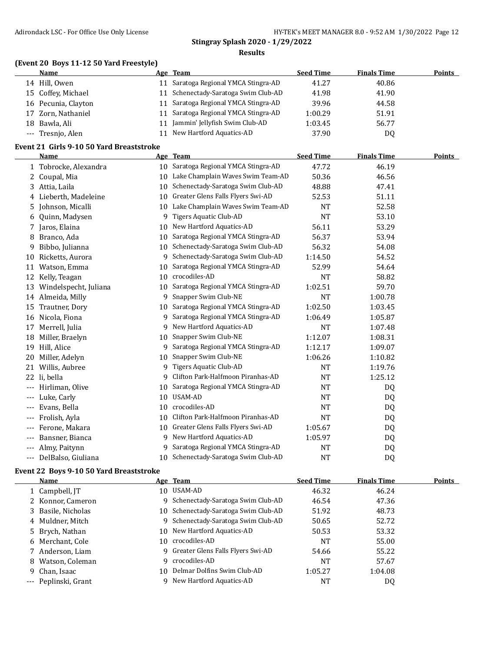# **(Event 20 Boys 11-12 50 Yard Freestyle)**

|    | Name                |    | Age Team                             | <b>Seed Time</b> | <b>Finals Time</b> | <b>Points</b> |
|----|---------------------|----|--------------------------------------|------------------|--------------------|---------------|
|    | 14 Hill, Owen       |    | 11 Saratoga Regional YMCA Stingra-AD | 41.27            | 40.86              |               |
|    | 15 Coffey, Michael  |    | 11 Schenectady-Saratoga Swim Club-AD | 41.98            | 41.90              |               |
|    | 16 Pecunia, Clayton |    | 11 Saratoga Regional YMCA Stingra-AD | 39.96            | 44.58              |               |
|    | 17 Zorn, Nathaniel  |    | 11 Saratoga Regional YMCA Stingra-AD | 1:00.29          | 51.91              |               |
| 18 | Bawla, Ali          | 11 | Jammin' Jellyfish Swim Club-AD       | 1:03.45          | 56.77              |               |
|    | --- Tresnjo, Alen   |    | 11 New Hartford Aquatics-AD          | 37.90            | D <sub>0</sub>     |               |

#### **Event 21 Girls 9-10 50 Yard Breaststroke**

|       | <b>Name</b>           |    | Age Team                          | <b>Seed Time</b> | <b>Finals Time</b> | <b>Points</b> |
|-------|-----------------------|----|-----------------------------------|------------------|--------------------|---------------|
| 1     | Tobrocke, Alexandra   | 10 | Saratoga Regional YMCA Stingra-AD | 47.72            | 46.19              |               |
| 2     | Coupal, Mia           | 10 | Lake Champlain Waves Swim Team-AD | 50.36            | 46.56              |               |
| 3     | Attia, Laila          | 10 | Schenectady-Saratoga Swim Club-AD | 48.88            | 47.41              |               |
| 4     | Lieberth, Madeleine   | 10 | Greater Glens Falls Flyers Swi-AD | 52.53            | 51.11              |               |
| 5     | Johnson, Micalli      | 10 | Lake Champlain Waves Swim Team-AD | <b>NT</b>        | 52.58              |               |
| 6     | Quinn, Madysen        | 9  | Tigers Aquatic Club-AD            | <b>NT</b>        | 53.10              |               |
| 7     | Jaros, Elaina         | 10 | New Hartford Aquatics-AD          | 56.11            | 53.29              |               |
| 8     | Branco, Ada           | 10 | Saratoga Regional YMCA Stingra-AD | 56.37            | 53.94              |               |
| 9     | Bibbo, Julianna       | 10 | Schenectady-Saratoga Swim Club-AD | 56.32            | 54.08              |               |
| 10    | Ricketts, Aurora      | 9  | Schenectady-Saratoga Swim Club-AD | 1:14.50          | 54.52              |               |
| 11    | Watson, Emma          | 10 | Saratoga Regional YMCA Stingra-AD | 52.99            | 54.64              |               |
| 12    | Kelly, Teagan         | 10 | crocodiles-AD                     | <b>NT</b>        | 58.82              |               |
| 13    | Windelspecht, Juliana | 10 | Saratoga Regional YMCA Stingra-AD | 1:02.51          | 59.70              |               |
| 14    | Almeida, Milly        | 9  | Snapper Swim Club-NE              | <b>NT</b>        | 1:00.78            |               |
| 15    | Trautner, Dory        | 10 | Saratoga Regional YMCA Stingra-AD | 1:02.50          | 1:03.45            |               |
| 16    | Nicola, Fiona         | 9  | Saratoga Regional YMCA Stingra-AD | 1:06.49          | 1:05.87            |               |
| 17    | Merrell, Julia        | 9  | New Hartford Aquatics-AD          | <b>NT</b>        | 1:07.48            |               |
| 18    | Miller, Braelyn       | 10 | Snapper Swim Club-NE              | 1:12.07          | 1:08.31            |               |
| 19    | Hill, Alice           | 9  | Saratoga Regional YMCA Stingra-AD | 1:12.17          | 1:09.07            |               |
| 20    | Miller, Adelyn        | 10 | Snapper Swim Club-NE              | 1:06.26          | 1:10.82            |               |
| 21    | Willis, Aubree        | 9  | Tigers Aquatic Club-AD            | <b>NT</b>        | 1:19.76            |               |
| 22    | li, bella             | 9  | Clifton Park-Halfmoon Piranhas-AD | <b>NT</b>        | 1:25.12            |               |
| ---   | Hirliman, Olive       | 10 | Saratoga Regional YMCA Stingra-AD | NT               | DQ                 |               |
|       | Luke, Carly           | 10 | USAM-AD                           | <b>NT</b>        | DQ                 |               |
| ---   | Evans, Bella          | 10 | crocodiles-AD                     | <b>NT</b>        | DQ                 |               |
| $---$ | Frolish, Ayla         | 10 | Clifton Park-Halfmoon Piranhas-AD | <b>NT</b>        | DQ                 |               |
| ---   | Ferone, Makara        | 10 | Greater Glens Falls Flyers Swi-AD | 1:05.67          | DQ                 |               |
| ---   | Bansner, Bianca       | 9  | New Hartford Aquatics-AD          | 1:05.97          | DQ                 |               |
| ---   | Almy, Paitynn         | 9  | Saratoga Regional YMCA Stingra-AD | NT               | DQ                 |               |
| ---   | DelBalso, Giuliana    | 10 | Schenectady-Saratoga Swim Club-AD | <b>NT</b>        | DQ                 |               |

#### **Event 22 Boys 9-10 50 Yard Breaststroke**

| Name                 |    | Age Team                             | <b>Seed Time</b> | <b>Finals Time</b> | Points |
|----------------------|----|--------------------------------------|------------------|--------------------|--------|
| 1 Campbell, JT       |    | 10 USAM-AD                           | 46.32            | 46.24              |        |
| 2 Konnor, Cameron    |    | 9 Schenectady-Saratoga Swim Club-AD  | 46.54            | 47.36              |        |
| 3 Basile, Nicholas   |    | 10 Schenectady-Saratoga Swim Club-AD | 51.92            | 48.73              |        |
| 4 Muldner, Mitch     |    | 9 Schenectady-Saratoga Swim Club-AD  | 50.65            | 52.72              |        |
| 5 Brych, Nathan      |    | 10 New Hartford Aquatics-AD          | 50.53            | 53.32              |        |
| 6 Merchant, Cole     | 10 | crocodiles-AD                        | NT               | 55.00              |        |
| 7 Anderson, Liam     |    | 9 Greater Glens Falls Flyers Swi-AD  | 54.66            | 55.22              |        |
| 8 Watson, Coleman    | 9. | crocodiles-AD                        | <b>NT</b>        | 57.67              |        |
| 9 Chan, Isaac        | 10 | Delmar Dolfins Swim Club-AD          | 1:05.27          | 1:04.08            |        |
| --- Peplinski, Grant | q  | New Hartford Aquatics-AD             | NT               | DQ                 |        |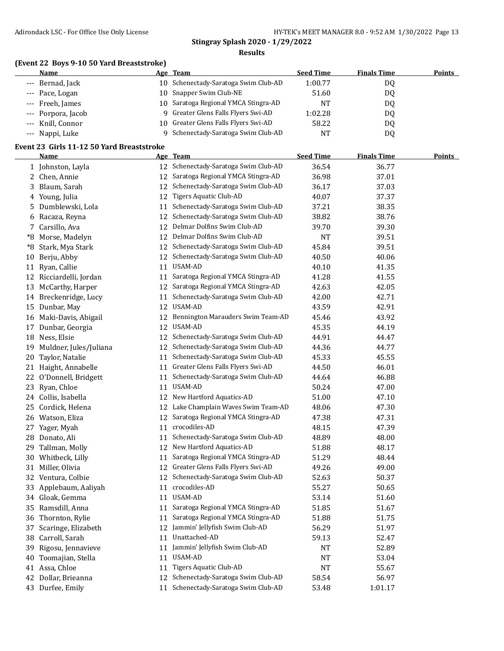#### **(Event 22 Boys 9-10 50 Yard Breaststroke)**

| Name               | Age Team                               | <b>Seed Time</b> | <b>Finals Time</b> | <b>Points</b> |
|--------------------|----------------------------------------|------------------|--------------------|---------------|
| --- Bernad, Jack   | 10 Schenectady-Saratoga Swim Club-AD   | 1:00.77          | D0                 |               |
| --- Pace, Logan    | 10 Snapper Swim Club-NE                | 51.60            | DO                 |               |
| --- Freeh, James   | 10 Saratoga Regional YMCA Stingra-AD   | <b>NT</b>        | DO                 |               |
| --- Porpora, Jacob | 9 Greater Glens Falls Flyers Swi-AD    | 1:02.28          | DO                 |               |
| --- Knill, Connor  | 10 Greater Glens Falls Flyers Swi-AD   | 58.22            | D0                 |               |
| --- Nappi, Luke    | Schenectady-Saratoga Swim Club-AD<br>Q | NT               | D0                 |               |

#### **Event 23 Girls 11-12 50 Yard Breaststroke**

|    | <b>Name</b>             |    | Age Team                             | <b>Seed Time</b> | <b>Finals Time</b> | <b>Points</b> |
|----|-------------------------|----|--------------------------------------|------------------|--------------------|---------------|
|    | 1 Johnston, Layla       |    | 12 Schenectady-Saratoga Swim Club-AD | 36.54            | 36.77              |               |
|    | 2 Chen, Annie           | 12 | Saratoga Regional YMCA Stingra-AD    | 36.98            | 37.01              |               |
| 3. | Blaum, Sarah            | 12 | Schenectady-Saratoga Swim Club-AD    | 36.17            | 37.03              |               |
|    | 4 Young, Julia          | 12 | Tigers Aquatic Club-AD               | 40.07            | 37.37              |               |
| 5. | Dumblewski, Lola        | 11 | Schenectady-Saratoga Swim Club-AD    | 37.21            | 38.35              |               |
| 6  | Racaza, Reyna           | 12 | Schenectady-Saratoga Swim Club-AD    | 38.82            | 38.76              |               |
|    | 7 Carsillo, Ava         | 12 | Delmar Dolfins Swim Club-AD          | 39.70            | 39.30              |               |
| *8 | Morse, Madelyn          | 12 | Delmar Dolfins Swim Club-AD          | <b>NT</b>        | 39.51              |               |
| *8 | Stark, Mya Stark        | 12 | Schenectady-Saratoga Swim Club-AD    | 45.84            | 39.51              |               |
| 10 | Berju, Abby             | 12 | Schenectady-Saratoga Swim Club-AD    | 40.50            | 40.06              |               |
|    | 11 Ryan, Callie         | 11 | USAM-AD                              | 40.10            | 41.35              |               |
|    | 12 Ricciardelli, Jordan | 11 | Saratoga Regional YMCA Stingra-AD    | 41.28            | 41.55              |               |
| 13 | McCarthy, Harper        | 12 | Saratoga Regional YMCA Stingra-AD    | 42.63            | 42.05              |               |
|    | 14 Breckenridge, Lucy   | 11 | Schenectady-Saratoga Swim Club-AD    | 42.00            | 42.71              |               |
|    | 15 Dunbar, May          | 12 | USAM-AD                              | 43.59            | 42.91              |               |
|    | 16 Maki-Davis, Abigail  | 12 | Bennington Marauders Swim Team-AD    | 45.46            | 43.92              |               |
|    | 17 Dunbar, Georgia      | 12 | USAM-AD                              | 45.35            | 44.19              |               |
|    | 18 Ness, Elsie          | 12 | Schenectady-Saratoga Swim Club-AD    | 44.91            | 44.47              |               |
| 19 | Muldner, Jules/Juliana  | 12 | Schenectady-Saratoga Swim Club-AD    | 44.36            | 44.77              |               |
| 20 | Taylor, Natalie         | 11 | Schenectady-Saratoga Swim Club-AD    | 45.33            | 45.55              |               |
|    | 21 Haight, Annabelle    | 11 | Greater Glens Falls Flyers Swi-AD    | 44.50            | 46.01              |               |
|    | 22 O'Donnell, Bridgett  | 11 | Schenectady-Saratoga Swim Club-AD    | 44.64            | 46.88              |               |
| 23 | Ryan, Chloe             | 11 | <b>USAM-AD</b>                       | 50.24            | 47.00              |               |
|    | 24 Collis, Isabella     |    | 12 New Hartford Aquatics-AD          | 51.00            | 47.10              |               |
| 25 | Cordick, Helena         |    | 12 Lake Champlain Waves Swim Team-AD | 48.06            | 47.30              |               |
|    | 26 Watson, Eliza        |    | 12 Saratoga Regional YMCA Stingra-AD | 47.38            | 47.31              |               |
| 27 | Yager, Myah             | 11 | crocodiles-AD                        | 48.15            | 47.39              |               |
| 28 | Donato, Ali             | 11 | Schenectady-Saratoga Swim Club-AD    | 48.89            | 48.00              |               |
| 29 | Tallman, Molly          |    | 12 New Hartford Aquatics-AD          | 51.88            | 48.17              |               |
|    | 30 Whitbeck, Lilly      | 11 | Saratoga Regional YMCA Stingra-AD    | 51.29            | 48.44              |               |
|    | 31 Miller, Olivia       |    | 12 Greater Glens Falls Flyers Swi-AD | 49.26            | 49.00              |               |
|    | 32 Ventura, Colbie      | 12 | Schenectady-Saratoga Swim Club-AD    | 52.63            | 50.37              |               |
| 33 | Applebaum, Aaliyah      | 11 | crocodiles-AD                        | 55.27            | 50.65              |               |
|    | 34 Gloak, Gemma         | 11 | <b>USAM-AD</b>                       | 53.14            | 51.60              |               |
| 35 | Ramsdill, Anna          | 11 | Saratoga Regional YMCA Stingra-AD    | 51.85            | 51.67              |               |
|    | 36 Thornton, Rylie      |    | 11 Saratoga Regional YMCA Stingra-AD | 51.88            | 51.75              |               |
|    | 37 Scaringe, Elizabeth  |    | 12 Jammin' Jellyfish Swim Club-AD    | 56.29            | 51.97              |               |
|    | 38 Carroll, Sarah       |    | 11 Unattached-AD                     | 59.13            | 52.47              |               |
|    | 39 Rigosu, Jennavieve   | 11 | Jammin' Jellyfish Swim Club-AD       | NT               | 52.89              |               |
| 40 | Toomajian, Stella       | 11 | USAM-AD                              | <b>NT</b>        | 53.04              |               |
|    | 41 Assa, Chloe          | 11 | <b>Tigers Aquatic Club-AD</b>        | $\rm{NT}$        | 55.67              |               |
|    | 42 Dollar, Brieanna     | 12 | Schenectady-Saratoga Swim Club-AD    | 58.54            | 56.97              |               |
|    | 43 Durfee, Emily        |    | 11 Schenectady-Saratoga Swim Club-AD | 53.48            | 1:01.17            |               |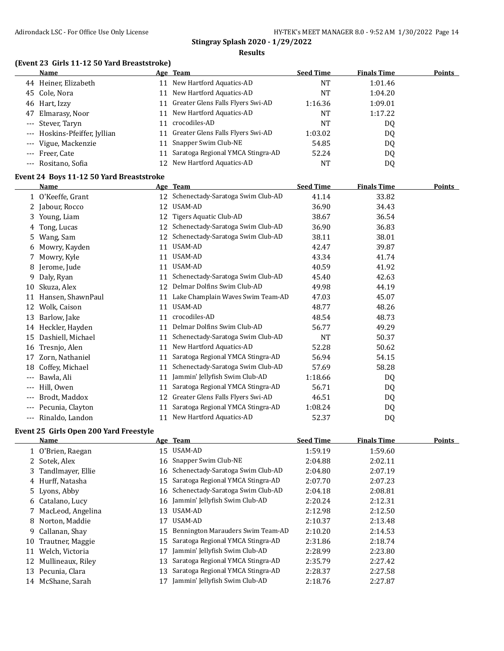#### **(Event 23 Girls 11-12 50 Yard Breaststroke)**

|    | Name                          |    | Age Team                             | <b>Seed Time</b> | <b>Finals Time</b> | <b>Points</b> |
|----|-------------------------------|----|--------------------------------------|------------------|--------------------|---------------|
|    | 44 Heiner, Elizabeth          | 11 | New Hartford Aquatics-AD             | NT               | 1:01.46            |               |
|    | 45 Cole, Nora                 | 11 | New Hartford Aquatics-AD             | NT               | 1:04.20            |               |
|    | 46 Hart, Izzy                 |    | 11 Greater Glens Falls Flyers Swi-AD | 1:16.36          | 1:09.01            |               |
| 47 | Elmarasy, Noor                | 11 | New Hartford Aquatics-AD             | NT               | 1:17.22            |               |
|    | --- Stever, Taryn             | 11 | crocodiles-AD                        | NT               | DQ                 |               |
|    | --- Hoskins-Pfeiffer, Jyllian |    | 11 Greater Glens Falls Flyers Swi-AD | 1:03.02          | DQ                 |               |
|    | --- Vigue, Mackenzie          | 11 | Snapper Swim Club-NE                 | 54.85            | DQ                 |               |
|    | --- Freer, Cate               |    | 11 Saratoga Regional YMCA Stingra-AD | 52.24            | DQ                 |               |
|    | --- Rositano, Sofia           | 12 | New Hartford Aquatics-AD             | <b>NT</b>        | D <sub>0</sub>     |               |

#### **Event 24 Boys 11-12 50 Yard Breaststroke**

|     | <b>Name</b>       |    | Age Team                          | <b>Seed Time</b> | <b>Finals Time</b> | <b>Points</b> |
|-----|-------------------|----|-----------------------------------|------------------|--------------------|---------------|
|     | O'Keeffe, Grant   | 12 | Schenectady-Saratoga Swim Club-AD | 41.14            | 33.82              |               |
|     | 2 Jabour, Rocco   | 12 | USAM-AD                           | 36.90            | 34.43              |               |
| 3   | Young, Liam       | 12 | Tigers Aquatic Club-AD            | 38.67            | 36.54              |               |
| 4   | Tong, Lucas       | 12 | Schenectady-Saratoga Swim Club-AD | 36.90            | 36.83              |               |
| 5   | Wang, Sam         | 12 | Schenectady-Saratoga Swim Club-AD | 38.11            | 38.01              |               |
| 6   | Mowry, Kayden     | 11 | USAM-AD                           | 42.47            | 39.87              |               |
| 7   | Mowry, Kyle       | 11 | USAM-AD                           | 43.34            | 41.74              |               |
| 8   | Jerome, Jude      | 11 | USAM-AD                           | 40.59            | 41.92              |               |
| 9   | Daly, Ryan        | 11 | Schenectady-Saratoga Swim Club-AD | 45.40            | 42.63              |               |
| 10  | Skuza, Alex       | 12 | Delmar Dolfins Swim Club-AD       | 49.98            | 44.19              |               |
| 11  | Hansen, ShawnPaul | 11 | Lake Champlain Waves Swim Team-AD | 47.03            | 45.07              |               |
| 12  | Wolk, Caison      | 11 | USAM-AD                           | 48.77            | 48.26              |               |
| 13  | Barlow, Jake      | 11 | crocodiles-AD                     | 48.54            | 48.73              |               |
| 14  | Heckler, Hayden   | 11 | Delmar Dolfins Swim Club-AD       | 56.77            | 49.29              |               |
| 15  | Dashiell, Michael | 11 | Schenectady-Saratoga Swim Club-AD | NT               | 50.37              |               |
| 16  | Tresnjo, Alen     | 11 | New Hartford Aquatics-AD          | 52.28            | 50.62              |               |
| 17  | Zorn, Nathaniel   | 11 | Saratoga Regional YMCA Stingra-AD | 56.94            | 54.15              |               |
| 18  | Coffey, Michael   | 11 | Schenectady-Saratoga Swim Club-AD | 57.69            | 58.28              |               |
| --- | Bawla, Ali        | 11 | Jammin' Jellyfish Swim Club-AD    | 1:18.66          | DQ.                |               |
| --- | Hill, Owen        | 11 | Saratoga Regional YMCA Stingra-AD | 56.71            | DQ                 |               |
| --- | Brodt, Maddox     | 12 | Greater Glens Falls Flyers Swi-AD | 46.51            | DQ                 |               |
| --- | Pecunia, Clayton  | 11 | Saratoga Regional YMCA Stingra-AD | 1:08.24          | DQ                 |               |
|     | Rinaldo, Landon   | 11 | New Hartford Aquatics-AD          | 52.37            | DQ                 |               |

#### **Event 25 Girls Open 200 Yard Freestyle**

|    | <b>Name</b>         |    | Age Team                             | <b>Seed Time</b> | <b>Finals Time</b> | Points |
|----|---------------------|----|--------------------------------------|------------------|--------------------|--------|
|    | 1 O'Brien, Raegan   |    | 15 USAM-AD                           | 1:59.19          | 1:59.60            |        |
|    | 2 Sotek, Alex       |    | 16 Snapper Swim Club-NE              | 2:04.88          | 2:02.11            |        |
|    | 3 Tandlmayer, Ellie |    | 16 Schenectady-Saratoga Swim Club-AD | 2:04.80          | 2:07.19            |        |
|    | 4 Hurff, Natasha    | 15 | Saratoga Regional YMCA Stingra-AD    | 2:07.70          | 2:07.23            |        |
|    | 5 Lyons, Abby       |    | 16 Schenectady-Saratoga Swim Club-AD | 2:04.18          | 2:08.81            |        |
|    | 6 Catalano, Lucy    |    | 16 Jammin' Jellyfish Swim Club-AD    | 2:20.24          | 2:12.31            |        |
|    | 7 MacLeod, Angelina | 13 | USAM-AD                              | 2:12.98          | 2:12.50            |        |
|    | 8 Norton, Maddie    | 17 | USAM-AD                              | 2:10.37          | 2:13.48            |        |
|    | 9 Callanan, Shay    | 15 | Bennington Marauders Swim Team-AD    | 2:10.20          | 2:14.53            |        |
| 10 | Trautner, Maggie    | 15 | Saratoga Regional YMCA Stingra-AD    | 2:31.86          | 2:18.74            |        |
| 11 | Welch, Victoria     | 17 | Jammin' Jellyfish Swim Club-AD       | 2:28.99          | 2:23.80            |        |
| 12 | Mullineaux, Riley   | 13 | Saratoga Regional YMCA Stingra-AD    | 2:35.79          | 2:27.42            |        |
| 13 | Pecunia, Clara      | 13 | Saratoga Regional YMCA Stingra-AD    | 2:28.37          | 2:27.58            |        |
| 14 | McShane, Sarah      |    | Jammin' Jellyfish Swim Club-AD       | 2:18.76          | 2:27.87            |        |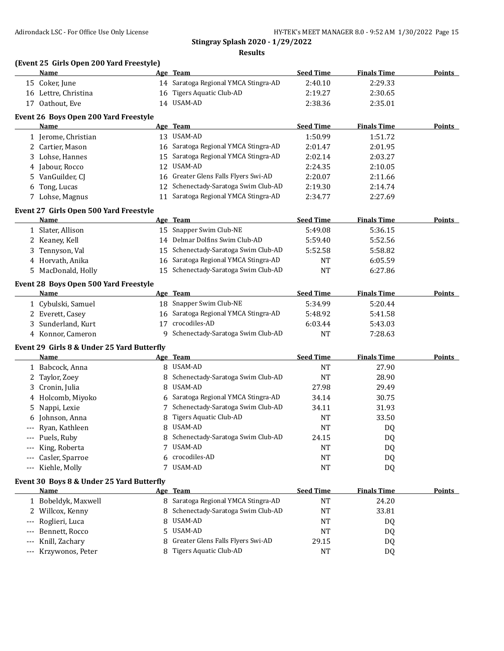#### **(Event 25 Girls Open 200 Yard Freestyle)**

**Event 30 Boys 8 & Under 25 Yard Butterfly**

|    | <b>Name</b>                                |                 | Age Team                             | <b>Seed Time</b> | <b>Finals Time</b> | <b>Points</b> |
|----|--------------------------------------------|-----------------|--------------------------------------|------------------|--------------------|---------------|
|    | 15 Coker, June                             |                 | 14 Saratoga Regional YMCA Stingra-AD | 2:40.10          | 2:29.33            |               |
|    | 16 Lettre, Christina                       | 16              | Tigers Aquatic Club-AD               | 2:19.27          | 2:30.65            |               |
|    | 17 Oathout, Eve                            |                 | 14 USAM-AD                           | 2:38.36          | 2:35.01            |               |
|    | Event 26 Boys Open 200 Yard Freestyle      |                 |                                      |                  |                    |               |
|    | Name                                       |                 | Age Team                             | <b>Seed Time</b> | <b>Finals Time</b> | <b>Points</b> |
|    | 1 Jerome, Christian                        |                 | 13 USAM-AD                           | 1:50.99          | 1:51.72            |               |
|    | 2 Cartier, Mason                           |                 | 16 Saratoga Regional YMCA Stingra-AD | 2:01.47          | 2:01.95            |               |
|    | 3 Lohse, Hannes                            | 15              | Saratoga Regional YMCA Stingra-AD    | 2:02.14          | 2:03.27            |               |
|    | 4 Jabour, Rocco                            | 12              | USAM-AD                              | 2:24.35          | 2:10.05            |               |
| 5. | VanGuilder, CJ                             | 16              | Greater Glens Falls Flyers Swi-AD    | 2:20.07          | 2:11.66            |               |
|    | 6 Tong, Lucas                              | 12              | Schenectady-Saratoga Swim Club-AD    | 2:19.30          | 2:14.74            |               |
|    | 7 Lohse, Magnus                            |                 | 11 Saratoga Regional YMCA Stingra-AD | 2:34.77          | 2:27.69            |               |
|    | Event 27 Girls Open 500 Yard Freestyle     |                 |                                      |                  |                    |               |
|    | Name                                       |                 | Age Team                             | <b>Seed Time</b> | <b>Finals Time</b> | Points        |
|    | 1 Slater, Allison                          |                 | 15 Snapper Swim Club-NE              | 5:49.08          | 5:36.15            |               |
|    | 2 Keaney, Kell                             |                 | 14 Delmar Dolfins Swim Club-AD       | 5:59.40          | 5:52.56            |               |
| 3  | Tennyson, Val                              | 15              | Schenectady-Saratoga Swim Club-AD    | 5:52.58          | 5:58.82            |               |
|    | 4 Horvath, Anika                           | 16              | Saratoga Regional YMCA Stingra-AD    | <b>NT</b>        | 6:05.59            |               |
|    | 5 MacDonald, Holly                         | 15 <sup>2</sup> | Schenectady-Saratoga Swim Club-AD    | <b>NT</b>        | 6:27.86            |               |
|    | Event 28 Boys Open 500 Yard Freestyle      |                 |                                      |                  |                    |               |
|    | Name                                       |                 | Age Team                             | <b>Seed Time</b> | <b>Finals Time</b> | Points        |
|    | 1 Cybulski, Samuel                         | 18              | Snapper Swim Club-NE                 | 5:34.99          | 5:20.44            |               |
|    | 2 Everett, Casey                           | 16              | Saratoga Regional YMCA Stingra-AD    | 5:48.92          | 5:41.58            |               |
|    | 3 Sunderland, Kurt                         | 17              | crocodiles-AD                        | 6:03.44          | 5:43.03            |               |
|    | 4 Konnor, Cameron                          | 9               | Schenectady-Saratoga Swim Club-AD    | <b>NT</b>        | 7:28.63            |               |
|    | Event 29 Girls 8 & Under 25 Yard Butterfly |                 |                                      |                  |                    |               |
|    | Name                                       |                 | Age Team                             | <b>Seed Time</b> | <b>Finals Time</b> | Points        |
|    | 1 Babcock, Anna                            | 8               | USAM-AD                              | <b>NT</b>        | 27.90              |               |
|    | 2 Taylor, Zoey                             | 8               | Schenectady-Saratoga Swim Club-AD    | <b>NT</b>        | 28.90              |               |
| 3  | Cronin, Julia                              | 8               | USAM-AD                              | 27.98            | 29.49              |               |
| 4  | Holcomb, Miyoko                            | 6               | Saratoga Regional YMCA Stingra-AD    | 34.14            | 30.75              |               |
| 5. | Nappi, Lexie                               | 7               | Schenectady-Saratoga Swim Club-AD    | 34.11            | 31.93              |               |
| 6  | Johnson, Anna                              | 8               | <b>Tigers Aquatic Club-AD</b>        | NT               | 33.50              |               |
|    | --- Ryan, Kathleen                         | 8               | USAM-AD                              | <b>NT</b>        | DQ                 |               |

-- Puels, Ruby **8 Schenectady-Saratoga Swim Club-AD** 24.15 DQ --- King, Roberta 7 USAM-AD NT DQ --- Casler, Sparroe 6 crocodiles-AD NT DQ --- Kiehle, Molly 7 USAM-AD NT DQ

1 Bobeldyk, Maxwell 8 Saratoga Regional YMCA Stingra-AD NT 24.20 2 Willcox, Kenny 33.81 8 Schenectady-Saratoga Swim Club-AD NT 33.81 --- Roglieri, Luca 8 USAM-AD NT DQ --- Bennett, Rocco 5 USAM-AD NT DQ -- Knill, Zachary **8 Greater Glens Falls Flyers Swi-AD** 29.15 DQ --- Krzywonos, Peter 8 Tigers Aquatic Club-AD NT NT DQ

**Name Age Team Seed Time Finals Time Points**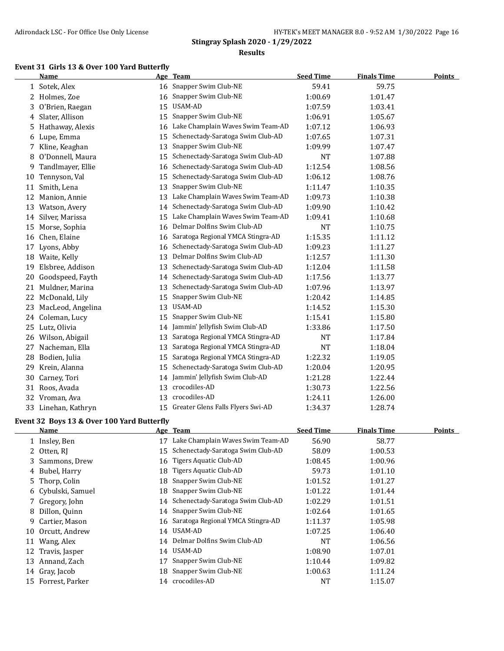#### **Event 31 Girls 13 & Over 100 Yard Butterfly**

|    | <b>Name</b>                                |    | Age Team                             | <b>Seed Time</b> | <b>Finals Time</b> | <b>Points</b> |  |  |
|----|--------------------------------------------|----|--------------------------------------|------------------|--------------------|---------------|--|--|
|    | 1 Sotek, Alex                              |    | 16 Snapper Swim Club-NE              | 59.41            | 59.75              |               |  |  |
|    | 2 Holmes, Zoe                              | 16 | Snapper Swim Club-NE                 | 1:00.69          | 1:01.47            |               |  |  |
| 3  | O'Brien, Raegan                            | 15 | <b>USAM-AD</b>                       | 1:07.59          | 1:03.41            |               |  |  |
| 4  | Slater, Allison                            | 15 | Snapper Swim Club-NE                 | 1:06.91          | 1:05.67            |               |  |  |
| 5. | Hathaway, Alexis                           | 16 | Lake Champlain Waves Swim Team-AD    | 1:07.12          | 1:06.93            |               |  |  |
|    | 6 Lupe, Emma                               | 15 | Schenectady-Saratoga Swim Club-AD    | 1:07.65          | 1:07.31            |               |  |  |
| 7  | Kline, Keaghan                             | 13 | Snapper Swim Club-NE                 | 1:09.99          | 1:07.47            |               |  |  |
| 8  | O'Donnell, Maura                           | 15 | Schenectady-Saratoga Swim Club-AD    | <b>NT</b>        | 1:07.88            |               |  |  |
| 9. | Tandlmayer, Ellie                          | 16 | Schenectady-Saratoga Swim Club-AD    | 1:12.54          | 1:08.56            |               |  |  |
|    | 10 Tennyson, Val                           | 15 | Schenectady-Saratoga Swim Club-AD    | 1:06.12          | 1:08.76            |               |  |  |
|    | 11 Smith, Lena                             | 13 | Snapper Swim Club-NE                 | 1:11.47          | 1:10.35            |               |  |  |
| 12 | Manion, Annie                              | 13 | Lake Champlain Waves Swim Team-AD    | 1:09.73          | 1:10.38            |               |  |  |
|    | 13 Watson, Avery                           | 14 | Schenectady-Saratoga Swim Club-AD    | 1:09.90          | 1:10.42            |               |  |  |
|    | 14 Silver, Marissa                         | 15 | Lake Champlain Waves Swim Team-AD    | 1:09.41          | 1:10.68            |               |  |  |
| 15 | Morse, Sophia                              | 16 | Delmar Dolfins Swim Club-AD          | <b>NT</b>        | 1:10.75            |               |  |  |
| 16 | Chen, Elaine                               | 16 | Saratoga Regional YMCA Stingra-AD    | 1:15.35          | 1:11.12            |               |  |  |
| 17 | Lyons, Abby                                | 16 | Schenectady-Saratoga Swim Club-AD    | 1:09.23          | 1:11.27            |               |  |  |
|    | 18 Waite, Kelly                            | 13 | Delmar Dolfins Swim Club-AD          | 1:12.57          | 1:11.30            |               |  |  |
| 19 | Elsbree, Addison                           | 13 | Schenectady-Saratoga Swim Club-AD    | 1:12.04          | 1:11.58            |               |  |  |
| 20 | Goodspeed, Fayth                           | 14 | Schenectady-Saratoga Swim Club-AD    | 1:17.56          | 1:13.77            |               |  |  |
| 21 | Muldner, Marina                            | 13 | Schenectady-Saratoga Swim Club-AD    | 1:07.96          | 1:13.97            |               |  |  |
| 22 | McDonald, Lily                             | 15 | Snapper Swim Club-NE                 | 1:20.42          | 1:14.85            |               |  |  |
| 23 | MacLeod, Angelina                          | 13 | USAM-AD                              | 1:14.52          | 1:15.30            |               |  |  |
|    | 24 Coleman, Lucy                           | 15 | Snapper Swim Club-NE                 | 1:15.41          | 1:15.80            |               |  |  |
|    | 25 Lutz, Olivia                            | 14 | Jammin' Jellyfish Swim Club-AD       | 1:33.86          | 1:17.50            |               |  |  |
|    | 26 Wilson, Abigail                         | 13 | Saratoga Regional YMCA Stingra-AD    | <b>NT</b>        | 1:17.84            |               |  |  |
| 27 | Nacheman, Ella                             | 13 | Saratoga Regional YMCA Stingra-AD    | <b>NT</b>        | 1:18.04            |               |  |  |
|    | 28 Bodien, Julia                           | 15 | Saratoga Regional YMCA Stingra-AD    | 1:22.32          | 1:19.05            |               |  |  |
|    | 29 Krein, Alanna                           | 15 | Schenectady-Saratoga Swim Club-AD    | 1:20.04          | 1:20.95            |               |  |  |
| 30 | Carney, Tori                               | 14 | Jammin' Jellyfish Swim Club-AD       | 1:21.28          | 1:22.44            |               |  |  |
| 31 | Roos, Avada                                | 13 | crocodiles-AD                        | 1:30.73          | 1:22.56            |               |  |  |
|    | 32 Vroman, Ava                             | 13 | crocodiles-AD                        | 1:24.11          | 1:26.00            |               |  |  |
|    | 33 Linehan, Kathryn                        |    | 15 Greater Glens Falls Flyers Swi-AD | 1:34.37          | 1:28.74            |               |  |  |
|    | Event 32 Boys 13 & Over 100 Yard Butterfly |    |                                      |                  |                    |               |  |  |

|    | Name               |    | Age Team                             | <b>Seed Time</b> | <b>Finals Time</b> | Points |
|----|--------------------|----|--------------------------------------|------------------|--------------------|--------|
|    | 1 Insley, Ben      | 17 | Lake Champlain Waves Swim Team-AD    | 56.90            | 58.77              |        |
|    | 2 Otten, RJ        | 15 | Schenectady-Saratoga Swim Club-AD    | 58.09            | 1:00.53            |        |
|    | 3 Sammons, Drew    |    | 16 Tigers Aquatic Club-AD            | 1:08.45          | 1:00.96            |        |
|    | 4 Bubel, Harry     | 18 | Tigers Aquatic Club-AD               | 59.73            | 1:01.10            |        |
|    | 5 Thorp, Colin     | 18 | Snapper Swim Club-NE                 | 1:01.52          | 1:01.27            |        |
|    | 6 Cybulski, Samuel | 18 | Snapper Swim Club-NE                 | 1:01.22          | 1:01.44            |        |
|    | 7 Gregory, John    | 14 | Schenectady-Saratoga Swim Club-AD    | 1:02.29          | 1:01.51            |        |
|    | 8 Dillon, Quinn    | 14 | Snapper Swim Club-NE                 | 1:02.64          | 1:01.65            |        |
| 9. | Cartier, Mason     |    | 16 Saratoga Regional YMCA Stingra-AD | 1:11.37          | 1:05.98            |        |
| 10 | Orcutt, Andrew     | 14 | USAM-AD                              | 1:07.25          | 1:06.40            |        |
| 11 | Wang, Alex         | 14 | Delmar Dolfins Swim Club-AD          | NT               | 1:06.56            |        |
|    | 12 Travis, Jasper  |    | 14 USAM-AD                           | 1:08.90          | 1:07.01            |        |
| 13 | Annand, Zach       | 17 | Snapper Swim Club-NE                 | 1:10.44          | 1:09.82            |        |
|    | 14 Gray, Jacob     | 18 | Snapper Swim Club-NE                 | 1:00.63          | 1:11.24            |        |
| 15 | Forrest, Parker    | 14 | crocodiles-AD                        | NT               | 1:15.07            |        |
|    |                    |    |                                      |                  |                    |        |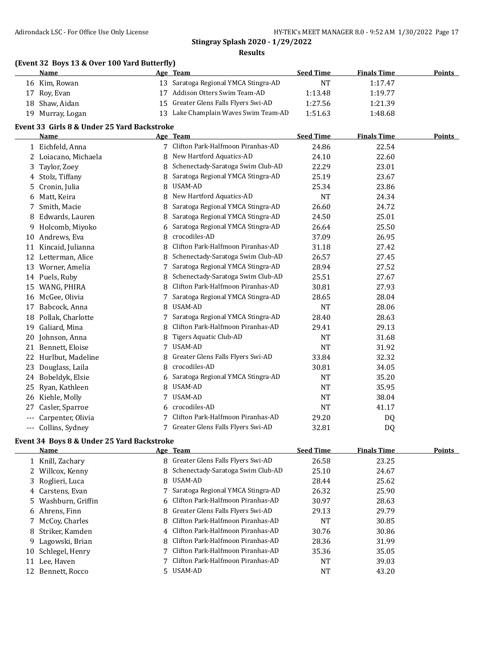#### **(Event 32 Boys 13 & Over 100 Yard Butterfly)**

| <b>Name</b>      | Age Team                             | <b>Seed Time</b> | <b>Finals Time</b> | <b>Points</b> |
|------------------|--------------------------------------|------------------|--------------------|---------------|
| 16 Kim, Rowan    | 13 Saratoga Regional YMCA Stingra-AD | NT               | 1:17.47            |               |
| 17 Roy, Evan     | 17 Addison Otters Swim Team-AD       | 1:13.48          | 1:19.77            |               |
| 18 Shaw, Aidan   | 15 Greater Glens Falls Flyers Swi-AD | 1:27.56          | 1:21.39            |               |
| 19 Murray, Logan | 13 Lake Champlain Waves Swim Team-AD | 1:51.63          | 1:48.68            |               |

#### **Event 33 Girls 8 & Under 25 Yard Backstroke**

|       | <b>Name</b>          |   | Age Team                          | <b>Seed Time</b> | <b>Finals Time</b> | Points |
|-------|----------------------|---|-----------------------------------|------------------|--------------------|--------|
|       | 1 Eichfeld, Anna     | 7 | Clifton Park-Halfmoon Piranhas-AD | 24.86            | 22.54              |        |
|       | 2 Loiacano, Michaela | 8 | New Hartford Aquatics-AD          | 24.10            | 22.60              |        |
| 3.    | Taylor, Zoey         | 8 | Schenectady-Saratoga Swim Club-AD | 22.29            | 23.01              |        |
| 4     | Stolz, Tiffany       | 8 | Saratoga Regional YMCA Stingra-AD | 25.19            | 23.67              |        |
| 5.    | Cronin, Julia        | 8 | USAM-AD                           | 25.34            | 23.86              |        |
| 6     | Matt, Keira          | 8 | New Hartford Aquatics-AD          | <b>NT</b>        | 24.34              |        |
| 7.    | Smith, Macie         | 8 | Saratoga Regional YMCA Stingra-AD | 26.60            | 24.72              |        |
| 8     | Edwards, Lauren      |   | Saratoga Regional YMCA Stingra-AD | 24.50            | 25.01              |        |
| 9     | Holcomb, Miyoko      | 6 | Saratoga Regional YMCA Stingra-AD | 26.64            | 25.50              |        |
| 10    | Andrews, Eva         | 8 | crocodiles-AD                     | 37.09            | 26.95              |        |
| 11    | Kincaid, Julianna    | 8 | Clifton Park-Halfmoon Piranhas-AD | 31.18            | 27.42              |        |
| 12    | Letterman, Alice     | 8 | Schenectady-Saratoga Swim Club-AD | 26.57            | 27.45              |        |
| 13    | Worner, Amelia       | 7 | Saratoga Regional YMCA Stingra-AD | 28.94            | 27.52              |        |
|       | 14 Puels, Ruby       |   | Schenectady-Saratoga Swim Club-AD | 25.51            | 27.67              |        |
| 15    | WANG, PHIRA          | 8 | Clifton Park-Halfmoon Piranhas-AD | 30.81            | 27.93              |        |
| 16    | McGee, Olivia        | 7 | Saratoga Regional YMCA Stingra-AD | 28.65            | 28.04              |        |
| 17    | Babcock, Anna        | 8 | <b>USAM-AD</b>                    | <b>NT</b>        | 28.06              |        |
| 18    | Pollak, Charlotte    |   | Saratoga Regional YMCA Stingra-AD | 28.40            | 28.63              |        |
| 19    | Galiard, Mina        | 8 | Clifton Park-Halfmoon Piranhas-AD | 29.41            | 29.13              |        |
| 20    | Johnson, Anna        |   | Tigers Aquatic Club-AD            | <b>NT</b>        | 31.68              |        |
| 21    | Bennett, Eloise      | 7 | USAM-AD                           | <b>NT</b>        | 31.92              |        |
| 22    | Hurlbut, Madeline    | 8 | Greater Glens Falls Flyers Swi-AD | 33.84            | 32.32              |        |
| 23    | Douglass, Laila      | 8 | crocodiles-AD                     | 30.81            | 34.05              |        |
| 24    | Bobeldyk, Elsie      | 6 | Saratoga Regional YMCA Stingra-AD | <b>NT</b>        | 35.20              |        |
| 25    | Ryan, Kathleen       | 8 | USAM-AD                           | <b>NT</b>        | 35.95              |        |
| 26    | Kiehle, Molly        |   | USAM-AD                           | <b>NT</b>        | 38.04              |        |
| 27    | Casler, Sparroe      | 6 | crocodiles-AD                     | <b>NT</b>        | 41.17              |        |
| $---$ | Carpenter, Olivia    |   | Clifton Park-Halfmoon Piranhas-AD | 29.20            | DQ                 |        |
| ---   | Collins, Sydney      |   | Greater Glens Falls Flyers Swi-AD | 32.81            | DQ                 |        |

#### **Event 34 Boys 8 & Under 25 Yard Backstroke**

|    | <b>Name</b>         | Age Team                            | <b>Seed Time</b> | <b>Finals Time</b> | <b>Points</b> |
|----|---------------------|-------------------------------------|------------------|--------------------|---------------|
|    | 1 Knill, Zachary    | 8 Greater Glens Falls Flyers Swi-AD | 26.58            | 23.25              |               |
|    | 2 Willcox, Kenny    | 8 Schenectady-Saratoga Swim Club-AD | 25.10            | 24.67              |               |
|    | 3 Roglieri, Luca    | 8 USAM-AD                           | 28.44            | 25.62              |               |
|    | 4 Carstens, Evan    | 7 Saratoga Regional YMCA Stingra-AD | 26.32            | 25.90              |               |
|    | 5 Washburn, Griffin | 6 Clifton Park-Halfmoon Piranhas-AD | 30.97            | 28.63              |               |
|    | 6 Ahrens, Finn      | 8 Greater Glens Falls Flyers Swi-AD | 29.13            | 29.79              |               |
|    | 7 McCoy, Charles    | 8 Clifton Park-Halfmoon Piranhas-AD | NT               | 30.85              |               |
|    | 8 Striker, Kamden   | 4 Clifton Park-Halfmoon Piranhas-AD | 30.76            | 30.86              |               |
|    | 9 Lagowski, Brian   | 8 Clifton Park-Halfmoon Piranhas-AD | 28.36            | 31.99              |               |
| 10 | Schlegel, Henry     | 7 Clifton Park-Halfmoon Piranhas-AD | 35.36            | 35.05              |               |
| 11 | Lee, Haven          | Clifton Park-Halfmoon Piranhas-AD   | NT               | 39.03              |               |
| 12 | Bennett. Rocco      | 5 USAM-AD                           | NT               | 43.20              |               |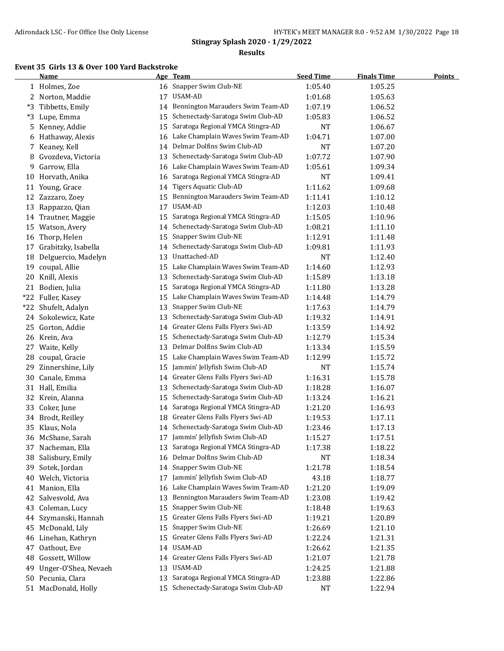#### **Results**

# **Event 35 Girls 13 & Over 100 Yard Backstroke**

|       | <b>Name</b>          |    | Age Team                             | <b>Seed Time</b> | <b>Finals Time</b> | <b>Points</b> |
|-------|----------------------|----|--------------------------------------|------------------|--------------------|---------------|
|       | 1 Holmes, Zoe        | 16 | Snapper Swim Club-NE                 | 1:05.40          | 1:05.25            |               |
|       | 2 Norton, Maddie     | 17 | USAM-AD                              | 1:01.68          | 1:05.63            |               |
| *3    | Tibbetts, Emily      | 14 | Bennington Marauders Swim Team-AD    | 1:07.19          | 1:06.52            |               |
|       | *3 Lupe, Emma        | 15 | Schenectady-Saratoga Swim Club-AD    | 1:05.83          | 1:06.52            |               |
| 5     | Kenney, Addie        | 15 | Saratoga Regional YMCA Stingra-AD    | <b>NT</b>        | 1:06.67            |               |
| 6     | Hathaway, Alexis     | 16 | Lake Champlain Waves Swim Team-AD    | 1:04.71          | 1:07.00            |               |
| 7     | Keaney, Kell         | 14 | Delmar Dolfins Swim Club-AD          | <b>NT</b>        | 1:07.20            |               |
| 8     | Gvozdeva, Victoria   | 13 | Schenectady-Saratoga Swim Club-AD    | 1:07.72          | 1:07.90            |               |
| 9     | Garrow, Ella         | 16 | Lake Champlain Waves Swim Team-AD    | 1:05.61          | 1:09.34            |               |
| 10    | Horvath, Anika       | 16 | Saratoga Regional YMCA Stingra-AD    | <b>NT</b>        | 1:09.41            |               |
| 11    | Young, Grace         | 14 | Tigers Aquatic Club-AD               | 1:11.62          | 1:09.68            |               |
| 12    | Zazzaro, Zoey        | 15 | Bennington Marauders Swim Team-AD    | 1:11.41          | 1:10.12            |               |
| 13    | Rappazzo, Qian       | 17 | USAM-AD                              | 1:12.03          | 1:10.48            |               |
| 14    | Trautner, Maggie     | 15 | Saratoga Regional YMCA Stingra-AD    | 1:15.05          | 1:10.96            |               |
| 15    | Watson, Avery        | 14 | Schenectady-Saratoga Swim Club-AD    | 1:08.21          | 1:11.10            |               |
| 16    | Thorp, Helen         | 15 | Snapper Swim Club-NE                 | 1:12.91          | 1:11.48            |               |
| 17    | Grabitzky, Isabella  | 14 | Schenectady-Saratoga Swim Club-AD    | 1:09.81          | 1:11.93            |               |
| 18    | Delguercio, Madelyn  | 13 | Unattached-AD                        | <b>NT</b>        | 1:12.40            |               |
| 19    | coupal, Allie        | 15 | Lake Champlain Waves Swim Team-AD    | 1:14.60          | 1:12.93            |               |
| 20    | Knill, Alexis        | 13 | Schenectady-Saratoga Swim Club-AD    | 1:15.89          | 1:13.18            |               |
| 21    | Bodien, Julia        | 15 | Saratoga Regional YMCA Stingra-AD    | 1:11.80          | 1:13.28            |               |
|       | *22 Fuller, Kasey    | 15 | Lake Champlain Waves Swim Team-AD    | 1:14.48          | 1:14.79            |               |
| $*22$ | Shufelt, Adalyn      | 13 | Snapper Swim Club-NE                 | 1:17.63          | 1:14.79            |               |
|       | 24 Sokolewicz, Kate  | 13 | Schenectady-Saratoga Swim Club-AD    | 1:19.32          | 1:14.91            |               |
| 25    | Gorton, Addie        | 14 | Greater Glens Falls Flyers Swi-AD    | 1:13.59          | 1:14.92            |               |
| 26    | Krein, Ava           | 15 | Schenectady-Saratoga Swim Club-AD    | 1:12.79          | 1:15.34            |               |
| 27    | Waite, Kelly         | 13 | Delmar Dolfins Swim Club-AD          | 1:13.34          | 1:15.59            |               |
| 28    | coupal, Gracie       | 15 | Lake Champlain Waves Swim Team-AD    | 1:12.99          | 1:15.72            |               |
| 29    | Zinnershine, Lily    | 15 | Jammin' Jellyfish Swim Club-AD       | NT               | 1:15.74            |               |
| 30    | Canale, Emma         | 14 | Greater Glens Falls Flyers Swi-AD    | 1:16.31          | 1:15.78            |               |
|       | 31 Hall, Emilia      | 13 | Schenectady-Saratoga Swim Club-AD    | 1:18.28          | 1:16.07            |               |
| 32    | Krein, Alanna        | 15 | Schenectady-Saratoga Swim Club-AD    | 1:13.24          | 1:16.21            |               |
| 33    | Coker, June          | 14 | Saratoga Regional YMCA Stingra-AD    | 1:21.20          | 1:16.93            |               |
| 34    | Brodt, Reilley       | 18 | Greater Glens Falls Flyers Swi-AD    | 1:19.53          | 1:17.11            |               |
| 35    | Klaus, Nola          | 14 | Schenectady-Saratoga Swim Club-AD    | 1:23.46          | 1:17.13            |               |
| 36    | McShane, Sarah       | 17 | Jammin' Jellyfish Swim Club-AD       | 1:15.27          | 1:17.51            |               |
| 37    | Nacheman, Ella       |    | 13 Saratoga Regional YMCA Stingra-AD | 1:17.38          | 1:18.22            |               |
| 38    | Salisbury, Emily     | 16 | Delmar Dolfins Swim Club-AD          | NT               | 1:18.34            |               |
| 39    | Sotek, Jordan        | 14 | Snapper Swim Club-NE                 | 1:21.78          | 1:18.54            |               |
| 40    | Welch, Victoria      | 17 | Jammin' Jellyfish Swim Club-AD       | 43.18            | 1:18.77            |               |
| 41    | Manion, Ella         | 16 | Lake Champlain Waves Swim Team-AD    | 1:21.20          | 1:19.09            |               |
| 42    | Salvesvold, Ava      | 13 | Bennington Marauders Swim Team-AD    | 1:23.08          | 1:19.42            |               |
| 43    | Coleman, Lucy        | 15 | Snapper Swim Club-NE                 | 1:18.48          | 1:19.63            |               |
| 44    | Szymanski, Hannah    | 15 | Greater Glens Falls Flyers Swi-AD    | 1:19.21          | 1:20.89            |               |
| 45    | McDonald, Lily       | 15 | Snapper Swim Club-NE                 | 1:26.69          | 1:21.10            |               |
| 46    | Linehan, Kathryn     | 15 | Greater Glens Falls Flyers Swi-AD    | 1:22.24          | 1:21.31            |               |
| 47    | Oathout, Eve         | 14 | USAM-AD                              | 1:26.62          | 1:21.35            |               |
| 48    | Gossett, Willow      | 14 | Greater Glens Falls Flyers Swi-AD    | 1:21.07          | 1:21.78            |               |
| 49    | Unger-O'Shea, Nevaeh | 13 | USAM-AD                              | 1:24.25          | 1:21.88            |               |
|       | 50 Pecunia, Clara    |    | 13 Saratoga Regional YMCA Stingra-AD | 1:23.88          | 1:22.86            |               |
|       | 51 MacDonald, Holly  |    | 15 Schenectady-Saratoga Swim Club-AD | <b>NT</b>        | 1:22.94            |               |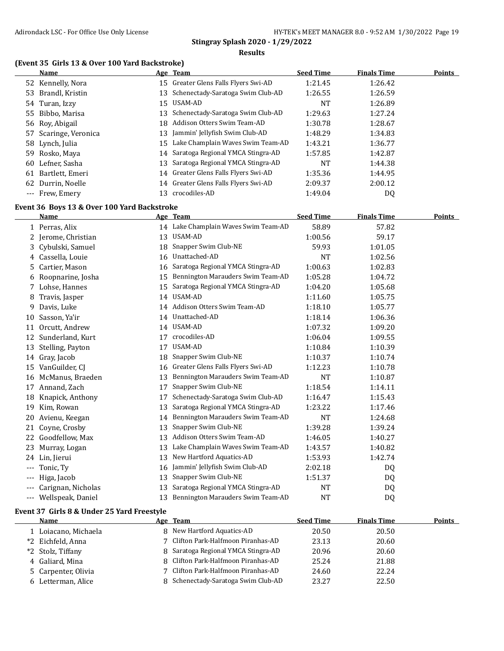#### **Results**

## **(Event 35 Girls 13 & Over 100 Yard Backstroke)**

|     | Name                  |    | Age Team                             | <b>Seed Time</b> | <b>Finals Time</b> | <b>Points</b> |
|-----|-----------------------|----|--------------------------------------|------------------|--------------------|---------------|
|     | 52 Kennelly, Nora     |    | 15 Greater Glens Falls Flyers Swi-AD | 1:21.45          | 1:26.42            |               |
| 53. | Brandl, Kristin       |    | 13 Schenectady-Saratoga Swim Club-AD | 1:26.55          | 1:26.59            |               |
|     | 54 Turan, Izzy        |    | 15 USAM-AD                           | NT               | 1:26.89            |               |
|     | 55 Bibbo, Marisa      |    | 13 Schenectady-Saratoga Swim Club-AD | 1:29.63          | 1:27.24            |               |
|     | 56 Roy, Abigail       |    | 18 Addison Otters Swim Team-AD       | 1:30.78          | 1:28.67            |               |
|     | 57 Scaringe, Veronica |    | 13 Jammin' Jellyfish Swim Club-AD    | 1:48.29          | 1:34.83            |               |
|     | 58 Lynch, Julia       | 15 | Lake Champlain Waves Swim Team-AD    | 1:43.21          | 1:36.77            |               |
|     | 59 Rosko, Maya        |    | 14 Saratoga Regional YMCA Stingra-AD | 1:57.85          | 1:42.87            |               |
| 60  | Lefner, Sasha         | 13 | Saratoga Regional YMCA Stingra-AD    | NT               | 1:44.38            |               |
| 61  | Bartlett, Emeri       |    | 14 Greater Glens Falls Flyers Swi-AD | 1:35.36          | 1:44.95            |               |
| 62  | Durrin, Noelle        |    | 14 Greater Glens Falls Flyers Swi-AD | 2:09.37          | 2:00.12            |               |
|     | --- Frew. Emery       | 13 | crocodiles-AD                        | 1:49.04          | DQ                 |               |

# **Event 36 Boys 13 & Over 100 Yard Backstroke**

|       | Name               |    | Age Team                             | <b>Seed Time</b> | <b>Finals Time</b> | Points |
|-------|--------------------|----|--------------------------------------|------------------|--------------------|--------|
|       | 1 Perras, Alix     |    | 14 Lake Champlain Waves Swim Team-AD | 58.89            | 57.82              |        |
| 2.    | Jerome, Christian  | 13 | USAM-AD                              | 1:00.56          | 59.17              |        |
| 3.    | Cybulski, Samuel   | 18 | Snapper Swim Club-NE                 | 59.93            | 1:01.05            |        |
| 4     | Cassella, Louie    | 16 | Unattached-AD                        | <b>NT</b>        | 1:02.56            |        |
| 5.    | Cartier, Mason     | 16 | Saratoga Regional YMCA Stingra-AD    | 1:00.63          | 1:02.83            |        |
| 6     | Roopnarine, Josha  | 15 | Bennington Marauders Swim Team-AD    | 1:05.28          | 1:04.72            |        |
| 7.    | Lohse, Hannes      | 15 | Saratoga Regional YMCA Stingra-AD    | 1:04.20          | 1:05.68            |        |
| 8     | Travis, Jasper     | 14 | USAM-AD                              | 1:11.60          | 1:05.75            |        |
| 9     | Davis, Luke        | 14 | Addison Otters Swim Team-AD          | 1:18.10          | 1:05.77            |        |
| 10    | Sasson, Ya'ir      |    | 14 Unattached-AD                     | 1:18.14          | 1:06.36            |        |
| 11    | Orcutt, Andrew     | 14 | USAM-AD                              | 1:07.32          | 1:09.20            |        |
| 12    | Sunderland, Kurt   | 17 | crocodiles-AD                        | 1:06.04          | 1:09.55            |        |
| 13    | Stelling, Payton   | 17 | USAM-AD                              | 1:10.84          | 1:10.39            |        |
| 14    | Gray, Jacob        | 18 | Snapper Swim Club-NE                 | 1:10.37          | 1:10.74            |        |
| 15    | VanGuilder, CI     | 16 | Greater Glens Falls Flyers Swi-AD    | 1:12.23          | 1:10.78            |        |
| 16    | McManus, Braeden   | 13 | Bennington Marauders Swim Team-AD    | <b>NT</b>        | 1:10.87            |        |
| 17    | Annand, Zach       | 17 | Snapper Swim Club-NE                 | 1:18.54          | 1:14.11            |        |
| 18    | Knapick, Anthony   | 17 | Schenectady-Saratoga Swim Club-AD    | 1:16.47          | 1:15.43            |        |
| 19    | Kim, Rowan         | 13 | Saratoga Regional YMCA Stingra-AD    | 1:23.22          | 1:17.46            |        |
| 20    | Avienu, Keegan     | 14 | Bennington Marauders Swim Team-AD    | <b>NT</b>        | 1:24.68            |        |
| 21    | Coyne, Crosby      | 13 | Snapper Swim Club-NE                 | 1:39.28          | 1:39.24            |        |
| 22    | Goodfellow, Max    | 13 | Addison Otters Swim Team-AD          | 1:46.05          | 1:40.27            |        |
| 23    | Murray, Logan      | 13 | Lake Champlain Waves Swim Team-AD    | 1:43.57          | 1:40.82            |        |
| 24    | Lin, Jierui        | 13 | New Hartford Aquatics-AD             | 1:53.93          | 1:42.74            |        |
| $---$ | Tonic, Ty          | 16 | Jammin' Jellyfish Swim Club-AD       | 2:02.18          | DQ                 |        |
| $---$ | Higa, Jacob        | 13 | Snapper Swim Club-NE                 | 1:51.37          | DQ                 |        |
|       | Carignan, Nicholas | 13 | Saratoga Regional YMCA Stingra-AD    | <b>NT</b>        | DQ                 |        |
| $---$ | Wellspeak, Daniel  | 13 | Bennington Marauders Swim Team-AD    | NT               | DQ                 |        |

# **Event 37 Girls 8 & Under 25 Yard Freestyle**

| <b>Name</b>          | Age Team                            | <b>Seed Time</b> | <b>Finals Time</b> | Points |
|----------------------|-------------------------------------|------------------|--------------------|--------|
| l Loiacano, Michaela | 8 New Hartford Aquatics-AD          | 20.50            | 20.50              |        |
| *2 Eichfeld, Anna    | 7 Clifton Park-Halfmoon Piranhas-AD | 23.13            | 20.60              |        |
| *2 Stolz, Tiffany    | 8 Saratoga Regional YMCA Stingra-AD | 20.96            | 20.60              |        |
| 4 Galiard, Mina      | 8 Clifton Park-Halfmoon Piranhas-AD | 25.24            | 21.88              |        |
| 5 Carpenter, Olivia  | 7 Clifton Park-Halfmoon Piranhas-AD | 24.60            | 22.24              |        |
| 6 Letterman, Alice   | Schenectady-Saratoga Swim Club-AD   | 23.27            | 22.50              |        |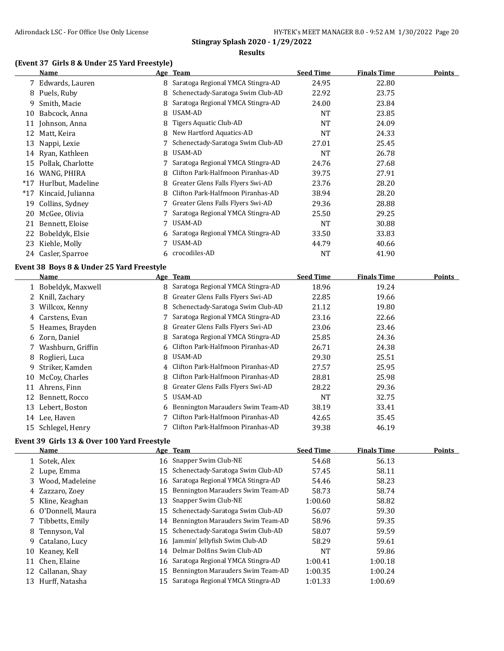# **(Event 37 Girls 8 & Under 25 Yard Freestyle)**

|    | <b>Name</b>                                       |    | Age Team                                                               | <b>Seed Time</b>          | <b>Finals Time</b>          | <b>Points</b> |
|----|---------------------------------------------------|----|------------------------------------------------------------------------|---------------------------|-----------------------------|---------------|
|    | 7 Edwards, Lauren                                 | 8  | Saratoga Regional YMCA Stingra-AD                                      | 24.95                     | 22.80                       |               |
|    | 8 Puels, Ruby                                     | 8  | Schenectady-Saratoga Swim Club-AD                                      | 22.92                     | 23.75                       |               |
| 9  | Smith, Macie                                      | 8  | Saratoga Regional YMCA Stingra-AD                                      | 24.00                     | 23.84                       |               |
| 10 | Babcock, Anna                                     | 8  | <b>USAM-AD</b>                                                         | <b>NT</b>                 | 23.85                       |               |
|    | 11 Johnson, Anna                                  | 8  | <b>Tigers Aquatic Club-AD</b>                                          | <b>NT</b>                 | 24.09                       |               |
|    | 12 Matt, Keira                                    | 8  | New Hartford Aquatics-AD                                               | <b>NT</b>                 | 24.33                       |               |
|    | 13 Nappi, Lexie                                   |    | Schenectady-Saratoga Swim Club-AD                                      | 27.01                     | 25.45                       |               |
|    | 14 Ryan, Kathleen                                 | 8  | USAM-AD                                                                | <b>NT</b>                 | 26.78                       |               |
|    | 15 Pollak, Charlotte                              | 7  | Saratoga Regional YMCA Stingra-AD                                      | 24.76                     | 27.68                       |               |
|    | 16 WANG, PHIRA                                    | 8  | Clifton Park-Halfmoon Piranhas-AD                                      | 39.75                     | 27.91                       |               |
|    | *17 Hurlbut, Madeline                             | 8  | Greater Glens Falls Flyers Swi-AD                                      | 23.76                     | 28.20                       |               |
|    | *17 Kincaid, Julianna                             | 8  | Clifton Park-Halfmoon Piranhas-AD                                      | 38.94                     | 28.20                       |               |
| 19 | Collins, Sydney                                   |    | Greater Glens Falls Flyers Swi-AD                                      | 29.36                     | 28.88                       |               |
|    | 20 McGee, Olivia                                  | 7  | Saratoga Regional YMCA Stingra-AD                                      | 25.50                     | 29.25                       |               |
|    | 21 Bennett, Eloise                                | 7  | USAM-AD                                                                | <b>NT</b>                 | 30.88                       |               |
|    | 22 Bobeldyk, Elsie                                | 6  | Saratoga Regional YMCA Stingra-AD                                      | 33.50                     | 33.83                       |               |
|    | 23 Kiehle, Molly                                  | 7  | <b>USAM-AD</b>                                                         | 44.79                     | 40.66                       |               |
|    |                                                   |    |                                                                        |                           |                             |               |
|    | 24 Casler, Sparroe                                | 6  | crocodiles-AD                                                          | <b>NT</b>                 | 41.90                       |               |
|    |                                                   |    |                                                                        |                           |                             |               |
|    | Event 38 Boys 8 & Under 25 Yard Freestyle<br>Name |    |                                                                        |                           |                             | <b>Points</b> |
|    |                                                   | 8  | Age Team                                                               | <b>Seed Time</b><br>18.96 | <b>Finals Time</b><br>19.24 |               |
|    | 1 Bobeldyk, Maxwell                               | 8  | Saratoga Regional YMCA Stingra-AD<br>Greater Glens Falls Flyers Swi-AD |                           | 19.66                       |               |
|    | 2 Knill, Zachary                                  | 8  | Schenectady-Saratoga Swim Club-AD                                      | 22.85<br>21.12            | 19.80                       |               |
|    | 3 Willcox, Kenny<br>4 Carstens, Evan              | 7. | Saratoga Regional YMCA Stingra-AD                                      | 23.16                     | 22.66                       |               |
|    | 5 Heames, Brayden                                 | 8  | Greater Glens Falls Flyers Swi-AD                                      | 23.06                     | 23.46                       |               |
|    | 6 Zorn, Daniel                                    | 8  | Saratoga Regional YMCA Stingra-AD                                      | 25.85                     | 24.36                       |               |
| 7  | Washburn, Griffin                                 | 6  | Clifton Park-Halfmoon Piranhas-AD                                      | 26.71                     | 24.38                       |               |
| 8  | Roglieri, Luca                                    | 8  | <b>USAM-AD</b>                                                         | 29.30                     | 25.51                       |               |
| 9  | Striker, Kamden                                   | 4  | Clifton Park-Halfmoon Piranhas-AD                                      | 27.57                     | 25.95                       |               |
| 10 |                                                   | 8  | Clifton Park-Halfmoon Piranhas-AD                                      | 28.81                     | 25.98                       |               |
|    | McCoy, Charles<br>11 Ahrens, Finn                 | 8  | Greater Glens Falls Flyers Swi-AD                                      | 28.22                     | 29.36                       |               |
|    | 12 Bennett, Rocco                                 | 5. | USAM-AD                                                                | <b>NT</b>                 | 32.75                       |               |
|    | 13 Lebert, Boston                                 | 6  | Bennington Marauders Swim Team-AD                                      | 38.19                     | 33.41                       |               |
|    | 14 Lee, Haven                                     |    | Clifton Park-Halfmoon Piranhas-AD                                      | 42.65                     | 35.45                       |               |
|    | 15 Schlegel, Henry                                |    | Clifton Park-Halfmoon Piranhas-AD                                      | 39.38                     | 46.19                       |               |

# **Event 39 Girls 13 & Over 100 Yard Freestyle**

|    | <b>Name</b>        |    | Age Team                             | <b>Seed Time</b> | <b>Finals Time</b> | <b>Points</b> |
|----|--------------------|----|--------------------------------------|------------------|--------------------|---------------|
|    | 1 Sotek, Alex      |    | 16 Snapper Swim Club-NE              | 54.68            | 56.13              |               |
|    | 2 Lupe, Emma       | 15 | Schenectady-Saratoga Swim Club-AD    | 57.45            | 58.11              |               |
|    | 3 Wood, Madeleine  |    | 16 Saratoga Regional YMCA Stingra-AD | 54.46            | 58.23              |               |
|    | 4 Zazzaro, Zoey    | 15 | Bennington Marauders Swim Team-AD    | 58.73            | 58.74              |               |
|    | 5 Kline, Keaghan   | 13 | Snapper Swim Club-NE                 | 1:00.60          | 58.82              |               |
|    | 6 O'Donnell, Maura | 15 | Schenectady-Saratoga Swim Club-AD    | 56.07            | 59.30              |               |
|    | 7 Tibbetts, Emily  | 14 | Bennington Marauders Swim Team-AD    | 58.96            | 59.35              |               |
|    | 8 Tennyson, Val    |    | 15 Schenectady-Saratoga Swim Club-AD | 58.07            | 59.59              |               |
|    | 9 Catalano, Lucy   |    | 16 Jammin' Jellyfish Swim Club-AD    | 58.29            | 59.61              |               |
| 10 | Keanev, Kell       | 14 | Delmar Dolfins Swim Club-AD          | <b>NT</b>        | 59.86              |               |
| 11 | Chen, Elaine       |    | 16 Saratoga Regional YMCA Stingra-AD | 1:00.41          | 1:00.18            |               |
|    | 12 Callanan, Shay  | 15 | Bennington Marauders Swim Team-AD    | 1:00.35          | 1:00.24            |               |
| 13 | Hurff, Natasha     | 15 | Saratoga Regional YMCA Stingra-AD    | 1:01.33          | 1:00.69            |               |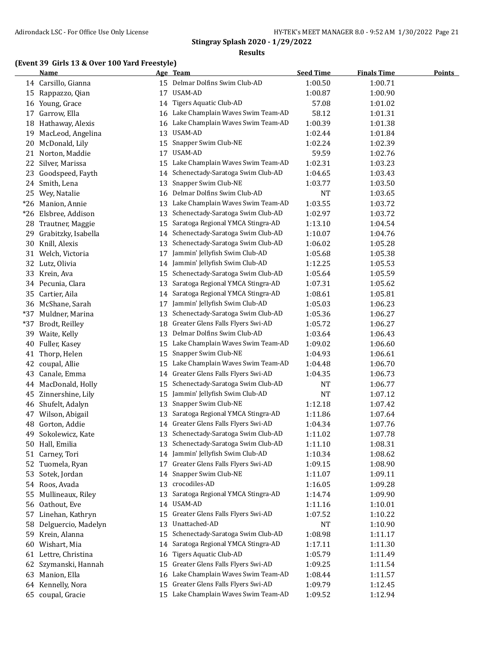#### **Results**

# **(Event 39 Girls 13 & Over 100 Yard Freestyle)**

|       | <b>Name</b>         |    | Age Team                             | <b>Seed Time</b> | <b>Finals Time</b> | <b>Points</b> |
|-------|---------------------|----|--------------------------------------|------------------|--------------------|---------------|
|       | 14 Carsillo, Gianna |    | 15 Delmar Dolfins Swim Club-AD       | 1:00.50          | 1:00.71            |               |
| 15    | Rappazzo, Qian      | 17 | USAM-AD                              | 1:00.87          | 1:00.90            |               |
|       | 16 Young, Grace     | 14 | Tigers Aquatic Club-AD               | 57.08            | 1:01.02            |               |
| 17    | Garrow, Ella        | 16 | Lake Champlain Waves Swim Team-AD    | 58.12            | 1:01.31            |               |
| 18    | Hathaway, Alexis    | 16 | Lake Champlain Waves Swim Team-AD    | 1:00.39          | 1:01.38            |               |
| 19    | MacLeod, Angelina   | 13 | <b>USAM-AD</b>                       | 1:02.44          | 1:01.84            |               |
| 20    | McDonald, Lily      | 15 | Snapper Swim Club-NE                 | 1:02.24          | 1:02.39            |               |
| 21    | Norton, Maddie      | 17 | USAM-AD                              | 59.59            | 1:02.76            |               |
| 22    | Silver, Marissa     | 15 | Lake Champlain Waves Swim Team-AD    | 1:02.31          | 1:03.23            |               |
| 23    | Goodspeed, Fayth    | 14 | Schenectady-Saratoga Swim Club-AD    | 1:04.65          | 1:03.43            |               |
| 24    | Smith, Lena         | 13 | Snapper Swim Club-NE                 | 1:03.77          | 1:03.50            |               |
| 25    | Wey, Natalie        | 16 | Delmar Dolfins Swim Club-AD          | <b>NT</b>        | 1:03.65            |               |
| $*26$ | Manion, Annie       | 13 | Lake Champlain Waves Swim Team-AD    | 1:03.55          | 1:03.72            |               |
| $*26$ | Elsbree, Addison    | 13 | Schenectady-Saratoga Swim Club-AD    | 1:02.97          | 1:03.72            |               |
| 28    | Trautner, Maggie    | 15 | Saratoga Regional YMCA Stingra-AD    | 1:13.10          | 1:04.54            |               |
| 29    | Grabitzky, Isabella | 14 | Schenectady-Saratoga Swim Club-AD    | 1:10.07          | 1:04.76            |               |
| 30    | Knill, Alexis       | 13 | Schenectady-Saratoga Swim Club-AD    | 1:06.02          | 1:05.28            |               |
|       | 31 Welch, Victoria  | 17 | Jammin' Jellyfish Swim Club-AD       | 1:05.68          | 1:05.38            |               |
|       | 32 Lutz, Olivia     | 14 | Jammin' Jellyfish Swim Club-AD       | 1:12.25          | 1:05.53            |               |
| 33    | Krein, Ava          | 15 | Schenectady-Saratoga Swim Club-AD    | 1:05.64          | 1:05.59            |               |
|       | 34 Pecunia, Clara   | 13 | Saratoga Regional YMCA Stingra-AD    | 1:07.31          | 1:05.62            |               |
| 35    | Cartier, Aila       | 14 | Saratoga Regional YMCA Stingra-AD    | 1:08.61          | 1:05.81            |               |
|       | 36 McShane, Sarah   | 17 | Jammin' Jellyfish Swim Club-AD       | 1:05.03          | 1:06.23            |               |
| $*37$ | Muldner, Marina     | 13 | Schenectady-Saratoga Swim Club-AD    | 1:05.36          | 1:06.27            |               |
| $*37$ | Brodt, Reilley      | 18 | Greater Glens Falls Flyers Swi-AD    | 1:05.72          | 1:06.27            |               |
| 39    | Waite, Kelly        | 13 | Delmar Dolfins Swim Club-AD          | 1:03.64          | 1:06.43            |               |
| 40    | Fuller, Kasey       | 15 | Lake Champlain Waves Swim Team-AD    | 1:09.02          | 1:06.60            |               |
| 41    | Thorp, Helen        | 15 | Snapper Swim Club-NE                 | 1:04.93          | 1:06.61            |               |
| 42    | coupal, Allie       | 15 | Lake Champlain Waves Swim Team-AD    | 1:04.48          | 1:06.70            |               |
| 43    | Canale, Emma        | 14 | Greater Glens Falls Flyers Swi-AD    | 1:04.35          | 1:06.73            |               |
| 44    | MacDonald, Holly    | 15 | Schenectady-Saratoga Swim Club-AD    | NT               | 1:06.77            |               |
| 45    | Zinnershine, Lily   | 15 | Jammin' Jellyfish Swim Club-AD       | <b>NT</b>        | 1:07.12            |               |
| 46    | Shufelt, Adalyn     | 13 | Snapper Swim Club-NE                 | 1:12.18          | 1:07.42            |               |
| 47    | Wilson, Abigail     | 13 | Saratoga Regional YMCA Stingra-AD    | 1:11.86          | 1:07.64            |               |
| 48    | Gorton, Addie       | 14 | Greater Glens Falls Flyers Swi-AD    | 1:04.34          | 1:07.76            |               |
| 49    | Sokolewicz, Kate    | 13 | Schenectady-Saratoga Swim Club-AD    | 1:11.02          | 1:07.78            |               |
|       | 50 Hall, Emilia     |    | 13 Schenectady-Saratoga Swim Club-AD | 1:11.10          | 1:08.31            |               |
| 51    | Carney, Tori        |    | 14 Jammin' Jellyfish Swim Club-AD    | 1:10.34          | 1:08.62            |               |
| 52    | Tuomela, Ryan       | 17 | Greater Glens Falls Flyers Swi-AD    | 1:09.15          | 1:08.90            |               |
| 53    | Sotek, Jordan       | 14 | Snapper Swim Club-NE                 | 1:11.07          | 1:09.11            |               |
| 54    | Roos, Avada         | 13 | crocodiles-AD                        | 1:16.05          | 1:09.28            |               |
| 55    | Mullineaux, Riley   | 13 | Saratoga Regional YMCA Stingra-AD    | 1:14.74          | 1:09.90            |               |
|       | 56 Oathout, Eve     | 14 | USAM-AD                              | 1:11.16          | 1:10.01            |               |
| 57    | Linehan, Kathryn    | 15 | Greater Glens Falls Flyers Swi-AD    | 1:07.52          | 1:10.22            |               |
| 58    | Delguercio, Madelyn | 13 | Unattached-AD                        | NT               | 1:10.90            |               |
| 59    | Krein, Alanna       | 15 | Schenectady-Saratoga Swim Club-AD    | 1:08.98          | 1:11.17            |               |
|       | 60 Wishart, Mia     | 14 | Saratoga Regional YMCA Stingra-AD    | 1:17.11          | 1:11.30            |               |
| 61    | Lettre, Christina   | 16 | Tigers Aquatic Club-AD               | 1:05.79          | 1:11.49            |               |
| 62    | Szymanski, Hannah   | 15 | Greater Glens Falls Flyers Swi-AD    | 1:09.25          | 1:11.54            |               |
| 63    | Manion, Ella        | 16 | Lake Champlain Waves Swim Team-AD    | 1:08.44          | 1:11.57            |               |
|       | 64 Kennelly, Nora   | 15 | Greater Glens Falls Flyers Swi-AD    | 1:09.79          | 1:12.45            |               |
|       | 65 coupal, Gracie   |    | 15 Lake Champlain Waves Swim Team-AD | 1:09.52          | 1:12.94            |               |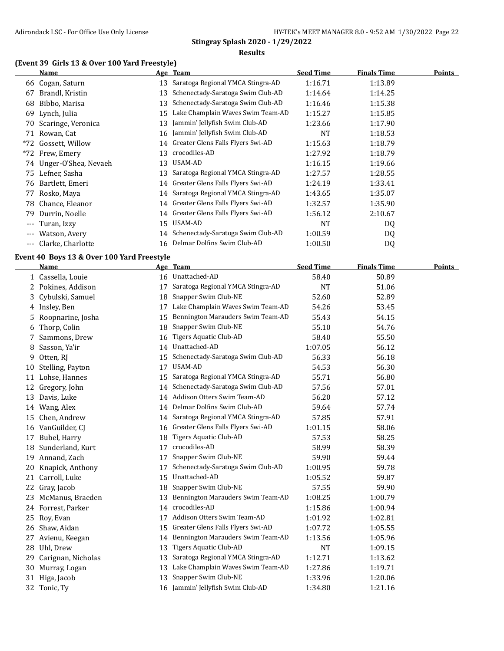#### **(Event 39 Girls 13 & Over 100 Yard Freestyle)**

|                     | Name                 |    | Age Team                          | <b>Seed Time</b> | <b>Finals Time</b> | <b>Points</b> |
|---------------------|----------------------|----|-----------------------------------|------------------|--------------------|---------------|
|                     | 66 Cogan, Saturn     | 13 | Saratoga Regional YMCA Stingra-AD | 1:16.71          | 1:13.89            |               |
| 67                  | Brandl, Kristin      | 13 | Schenectady-Saratoga Swim Club-AD | 1:14.64          | 1:14.25            |               |
| 68                  | Bibbo, Marisa        | 13 | Schenectady-Saratoga Swim Club-AD | 1:16.46          | 1:15.38            |               |
| 69                  | Lynch, Julia         | 15 | Lake Champlain Waves Swim Team-AD | 1:15.27          | 1:15.85            |               |
| 70                  | Scaringe, Veronica   | 13 | Jammin' Jellyfish Swim Club-AD    | 1:23.66          | 1:17.90            |               |
| 71                  | Rowan, Cat           | 16 | Jammin' Jellyfish Swim Club-AD    | NT               | 1:18.53            |               |
|                     | *72 Gossett, Willow  | 14 | Greater Glens Falls Flyers Swi-AD | 1:15.63          | 1:18.79            |               |
|                     | *72 Frew, Emery      | 13 | crocodiles-AD                     | 1:27.92          | 1:18.79            |               |
| 74                  | Unger-O'Shea, Nevaeh | 13 | USAM-AD                           | 1:16.15          | 1:19.66            |               |
| 75                  | Lefner, Sasha        | 13 | Saratoga Regional YMCA Stingra-AD | 1:27.57          | 1:28.55            |               |
| 76                  | Bartlett, Emeri      | 14 | Greater Glens Falls Flyers Swi-AD | 1:24.19          | 1:33.41            |               |
| 77                  | Rosko, Maya          | 14 | Saratoga Regional YMCA Stingra-AD | 1:43.65          | 1:35.07            |               |
| 78                  | Chance, Eleanor      | 14 | Greater Glens Falls Flyers Swi-AD | 1:32.57          | 1:35.90            |               |
| 79                  | Durrin, Noelle       | 14 | Greater Glens Falls Flyers Swi-AD | 1:56.12          | 2:10.67            |               |
| $\qquad \qquad - -$ | Turan, Izzy          | 15 | USAM-AD                           | NT               | DQ                 |               |
| $\cdots$            | Watson, Avery        | 14 | Schenectady-Saratoga Swim Club-AD | 1:00.59          | DQ                 |               |
| ---                 | Clarke, Charlotte    | 16 | Delmar Dolfins Swim Club-AD       | 1:00.50          | DQ                 |               |

#### **Event 40 Boys 13 & Over 100 Yard Freestyle**

|    | <b>Name</b>        |    | Age Team                          | <b>Seed Time</b> | <b>Finals Time</b> | <b>Points</b> |
|----|--------------------|----|-----------------------------------|------------------|--------------------|---------------|
|    | 1 Cassella, Louie  |    | 16 Unattached-AD                  | 58.40            | 50.89              |               |
| 2. | Pokines, Addison   | 17 | Saratoga Regional YMCA Stingra-AD | NT               | 51.06              |               |
| 3  | Cybulski, Samuel   | 18 | Snapper Swim Club-NE              | 52.60            | 52.89              |               |
| 4  | Insley, Ben        | 17 | Lake Champlain Waves Swim Team-AD | 54.26            | 53.45              |               |
| 5  | Roopnarine, Josha  | 15 | Bennington Marauders Swim Team-AD | 55.43            | 54.15              |               |
| 6  | Thorp, Colin       | 18 | Snapper Swim Club-NE              | 55.10            | 54.76              |               |
| 7  | Sammons, Drew      | 16 | <b>Tigers Aquatic Club-AD</b>     | 58.40            | 55.50              |               |
| 8  | Sasson, Ya'ir      | 14 | Unattached-AD                     | 1:07.05          | 56.12              |               |
| 9  | Otten, RJ          | 15 | Schenectady-Saratoga Swim Club-AD | 56.33            | 56.18              |               |
| 10 | Stelling, Payton   | 17 | USAM-AD                           | 54.53            | 56.30              |               |
|    | 11 Lohse, Hannes   | 15 | Saratoga Regional YMCA Stingra-AD | 55.71            | 56.80              |               |
| 12 | Gregory, John      | 14 | Schenectady-Saratoga Swim Club-AD | 57.56            | 57.01              |               |
| 13 | Davis, Luke        | 14 | Addison Otters Swim Team-AD       | 56.20            | 57.12              |               |
| 14 | Wang, Alex         | 14 | Delmar Dolfins Swim Club-AD       | 59.64            | 57.74              |               |
| 15 | Chen, Andrew       | 14 | Saratoga Regional YMCA Stingra-AD | 57.85            | 57.91              |               |
| 16 | VanGuilder, CJ     | 16 | Greater Glens Falls Flyers Swi-AD | 1:01.15          | 58.06              |               |
| 17 | Bubel, Harry       | 18 | <b>Tigers Aquatic Club-AD</b>     | 57.53            | 58.25              |               |
| 18 | Sunderland, Kurt   | 17 | crocodiles-AD                     | 58.99            | 58.39              |               |
| 19 | Annand, Zach       | 17 | Snapper Swim Club-NE              | 59.90            | 59.44              |               |
| 20 | Knapick, Anthony   | 17 | Schenectady-Saratoga Swim Club-AD | 1:00.95          | 59.78              |               |
| 21 | Carroll, Luke      | 15 | Unattached-AD                     | 1:05.52          | 59.87              |               |
| 22 | Gray, Jacob        | 18 | Snapper Swim Club-NE              | 57.55            | 59.90              |               |
| 23 | McManus, Braeden   | 13 | Bennington Marauders Swim Team-AD | 1:08.25          | 1:00.79            |               |
|    | 24 Forrest, Parker | 14 | crocodiles-AD                     | 1:15.86          | 1:00.94            |               |
| 25 | Roy, Evan          | 17 | Addison Otters Swim Team-AD       | 1:01.92          | 1:02.81            |               |
| 26 | Shaw, Aidan        | 15 | Greater Glens Falls Flyers Swi-AD | 1:07.72          | 1:05.55            |               |
| 27 | Avienu, Keegan     | 14 | Bennington Marauders Swim Team-AD | 1:13.56          | 1:05.96            |               |
| 28 | Uhl, Drew          | 13 | Tigers Aquatic Club-AD            | <b>NT</b>        | 1:09.15            |               |
| 29 | Carignan, Nicholas | 13 | Saratoga Regional YMCA Stingra-AD | 1:12.71          | 1:13.62            |               |
| 30 | Murray, Logan      | 13 | Lake Champlain Waves Swim Team-AD | 1:27.86          | 1:19.71            |               |
| 31 | Higa, Jacob        | 13 | Snapper Swim Club-NE              | 1:33.96          | 1:20.06            |               |
|    | 32 Tonic, Ty       | 16 | Jammin' Jellyfish Swim Club-AD    | 1:34.80          | 1:21.16            |               |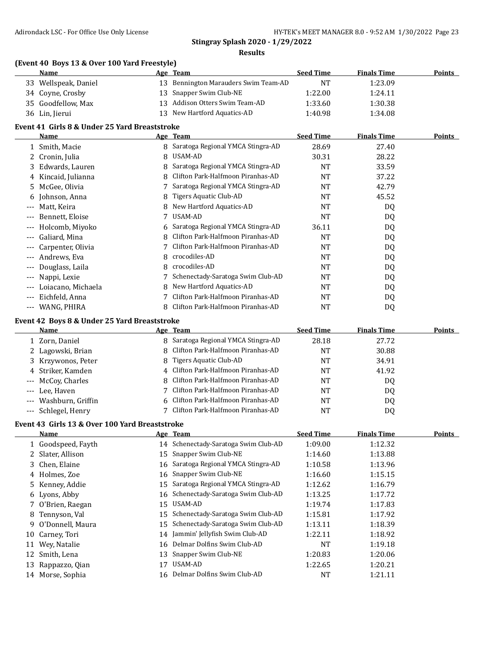**Results**

| (Event 40 Boys 13 & Over 100 Yard Freestyle) |          |
|----------------------------------------------|----------|
| Name                                         | Age Team |

| EVEIL 40 DOYS 15 & OVEL 100 TALU FLEESLYIET |                                                                                  |  |                                                                                                                                              |                    |               |
|---------------------------------------------|----------------------------------------------------------------------------------|--|----------------------------------------------------------------------------------------------------------------------------------------------|--------------------|---------------|
| Name                                        |                                                                                  |  | <b>Seed Time</b>                                                                                                                             | <b>Finals Time</b> | <b>Points</b> |
|                                             |                                                                                  |  | NT                                                                                                                                           | 1:23.09            |               |
|                                             |                                                                                  |  | 1:22.00                                                                                                                                      | 1:24.11            |               |
|                                             |                                                                                  |  | 1:33.60                                                                                                                                      | 1:30.38            |               |
|                                             |                                                                                  |  | 1:40.98                                                                                                                                      | 1:34.08            |               |
|                                             | 33 Wellspeak, Daniel<br>34 Coyne, Crosby<br>35 Goodfellow, Max<br>36 Lin, Jierui |  | Age Team<br>13 Bennington Marauders Swim Team-AD<br>13 Snapper Swim Club-NE<br>13 Addison Otters Swim Team-AD<br>13 New Hartford Aquatics-AD |                    |               |

# **Event 41 Girls 8 & Under 25 Yard Breaststroke**

|                   | <b>Name</b>                                  |   | Age Team                          | <b>Seed Time</b> | <b>Finals Time</b> | Points |  |
|-------------------|----------------------------------------------|---|-----------------------------------|------------------|--------------------|--------|--|
|                   | 1 Smith, Macie                               | 8 | Saratoga Regional YMCA Stingra-AD | 28.69            | 27.40              |        |  |
|                   | 2 Cronin, Julia                              | 8 | USAM-AD                           | 30.31            | 28.22              |        |  |
|                   | 3 Edwards, Lauren                            |   | Saratoga Regional YMCA Stingra-AD | NT               | 33.59              |        |  |
|                   | 4 Kincaid, Julianna                          |   | Clifton Park-Halfmoon Piranhas-AD | <b>NT</b>        | 37.22              |        |  |
| 5.                | McGee, Olivia                                |   | Saratoga Regional YMCA Stingra-AD | NT               | 42.79              |        |  |
| 6                 | Johnson, Anna                                | 8 | Tigers Aquatic Club-AD            | NT               | 45.52              |        |  |
| $---$             | Matt, Keira                                  |   | New Hartford Aquatics-AD          | <b>NT</b>        | DQ                 |        |  |
| ---               | Bennett, Eloise                              |   | USAM-AD                           | <b>NT</b>        | DQ                 |        |  |
| ---               | Holcomb, Miyoko                              | 6 | Saratoga Regional YMCA Stingra-AD | 36.11            | DQ                 |        |  |
| ---               | Galiard, Mina                                |   | Clifton Park-Halfmoon Piranhas-AD | NT               | DQ                 |        |  |
| ---               | Carpenter, Olivia                            |   | Clifton Park-Halfmoon Piranhas-AD | <b>NT</b>        | DQ                 |        |  |
| ---               | Andrews, Eva                                 | 8 | crocodiles-AD                     | NT               | DQ                 |        |  |
| ---               | Douglass, Laila                              | 8 | crocodiles-AD                     | <b>NT</b>        | DQ                 |        |  |
| $---$             | Nappi, Lexie                                 |   | Schenectady-Saratoga Swim Club-AD | <b>NT</b>        | DQ                 |        |  |
| ---               | Loiacano, Michaela                           | 8 | New Hartford Aquatics-AD          | <b>NT</b>        | DQ                 |        |  |
| $---$             | Eichfeld, Anna                               |   | Clifton Park-Halfmoon Piranhas-AD | <b>NT</b>        | DQ                 |        |  |
| $\qquad \qquad -$ | WANG, PHIRA                                  | 8 | Clifton Park-Halfmoon Piranhas-AD | NT               | DQ                 |        |  |
|                   | Event 42 Boys 8 & Under 25 Yard Breaststroke |   |                                   |                  |                    |        |  |

| Name                  | Age Team                            | <b>Seed Time</b> | <b>Finals Time</b> | <b>Points</b> |
|-----------------------|-------------------------------------|------------------|--------------------|---------------|
| 1 Zorn, Daniel        | 8 Saratoga Regional YMCA Stingra-AD | 28.18            | 27.72              |               |
| 2 Lagowski, Brian     | 8 Clifton Park-Halfmoon Piranhas-AD | NT               | 30.88              |               |
| 3 Krzywonos, Peter    | Tigers Aquatic Club-AD<br>8         | NT               | 34.91              |               |
| 4 Striker, Kamden     | 4 Clifton Park-Halfmoon Piranhas-AD | NT               | 41.92              |               |
| --- McCoy, Charles    | 8 Clifton Park-Halfmoon Piranhas-AD | NT               | D <sub>0</sub>     |               |
| --- Lee, Haven        | 7 Clifton Park-Halfmoon Piranhas-AD | NT               | DQ                 |               |
| --- Washburn, Griffin | 6 Clifton Park-Halfmoon Piranhas-AD | NT               | DQ                 |               |
| --- Schlegel, Henry   | Clifton Park-Halfmoon Piranhas-AD   | NT               | DQ                 |               |
|                       |                                     |                  |                    |               |

# **Event 43 Girls 13 & Over 100 Yard Breaststroke**

|    | Name               |    | Age Team                             | <b>Seed Time</b> | <b>Finals Time</b> | Points |
|----|--------------------|----|--------------------------------------|------------------|--------------------|--------|
|    | 1 Goodspeed, Fayth |    | 14 Schenectady-Saratoga Swim Club-AD | 1:09.00          | 1:12.32            |        |
|    | 2 Slater, Allison  | 15 | Snapper Swim Club-NE                 | 1:14.60          | 1:13.88            |        |
|    | 3 Chen, Elaine     |    | 16 Saratoga Regional YMCA Stingra-AD | 1:10.58          | 1:13.96            |        |
|    | 4 Holmes, Zoe      |    | 16 Snapper Swim Club-NE              | 1:16.60          | 1:15.15            |        |
|    | 5 Kenney, Addie    |    | 15 Saratoga Regional YMCA Stingra-AD | 1:12.62          | 1:16.79            |        |
|    | 6 Lyons, Abby      |    | 16 Schenectady-Saratoga Swim Club-AD | 1:13.25          | 1:17.72            |        |
|    | 7 O'Brien, Raegan  |    | 15 USAM-AD                           | 1:19.74          | 1:17.83            |        |
|    | 8 Tennyson, Val    | 15 | Schenectady-Saratoga Swim Club-AD    | 1:15.81          | 1:17.92            |        |
|    | 9 O'Donnell, Maura |    | 15 Schenectady-Saratoga Swim Club-AD | 1:13.11          | 1:18.39            |        |
| 10 | Carney, Tori       |    | 14 Jammin' Jellyfish Swim Club-AD    | 1:22.11          | 1:18.92            |        |
| 11 | Wey, Natalie       |    | 16 Delmar Dolfins Swim Club-AD       | NT               | 1:19.18            |        |
| 12 | Smith, Lena        | 13 | Snapper Swim Club-NE                 | 1:20.83          | 1:20.06            |        |
| 13 | Rappazzo, Qian     |    | USAM-AD                              | 1:22.65          | 1:20.21            |        |
|    | 14 Morse, Sophia   |    | 16 Delmar Dolfins Swim Club-AD       | NT               | 1:21.11            |        |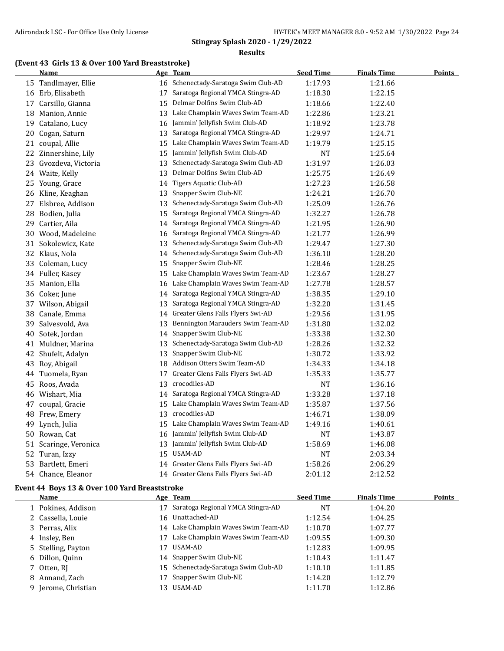#### **Results**

#### **(Event 43 Girls 13 & Over 100 Yard Breaststroke)**

|    | <b>Name</b>          |    | Age Team                             | <b>Seed Time</b> | <b>Finals Time</b> | <b>Points</b> |
|----|----------------------|----|--------------------------------------|------------------|--------------------|---------------|
|    | 15 Tandlmayer, Ellie |    | 16 Schenectady-Saratoga Swim Club-AD | 1:17.93          | 1:21.66            |               |
|    | 16 Erb, Elisabeth    | 17 | Saratoga Regional YMCA Stingra-AD    | 1:18.30          | 1:22.15            |               |
| 17 | Carsillo, Gianna     | 15 | Delmar Dolfins Swim Club-AD          | 1:18.66          | 1:22.40            |               |
|    | 18 Manion, Annie     | 13 | Lake Champlain Waves Swim Team-AD    | 1:22.86          | 1:23.21            |               |
| 19 | Catalano, Lucy       | 16 | Jammin' Jellyfish Swim Club-AD       | 1:18.92          | 1:23.78            |               |
| 20 | Cogan, Saturn        | 13 | Saratoga Regional YMCA Stingra-AD    | 1:29.97          | 1:24.71            |               |
|    | 21 coupal, Allie     | 15 | Lake Champlain Waves Swim Team-AD    | 1:19.79          | 1:25.15            |               |
| 22 | Zinnershine, Lily    | 15 | Jammin' Jellyfish Swim Club-AD       | <b>NT</b>        | 1:25.64            |               |
| 23 | Gvozdeva, Victoria   | 13 | Schenectady-Saratoga Swim Club-AD    | 1:31.97          | 1:26.03            |               |
|    | 24 Waite, Kelly      | 13 | Delmar Dolfins Swim Club-AD          | 1:25.75          | 1:26.49            |               |
|    | 25 Young, Grace      | 14 | Tigers Aquatic Club-AD               | 1:27.23          | 1:26.58            |               |
|    | 26 Kline, Keaghan    | 13 | Snapper Swim Club-NE                 | 1:24.21          | 1:26.70            |               |
| 27 | Elsbree, Addison     | 13 | Schenectady-Saratoga Swim Club-AD    | 1:25.09          | 1:26.76            |               |
| 28 | Bodien, Julia        | 15 | Saratoga Regional YMCA Stingra-AD    | 1:32.27          | 1:26.78            |               |
| 29 | Cartier, Aila        | 14 | Saratoga Regional YMCA Stingra-AD    | 1:21.95          | 1:26.90            |               |
|    | 30 Wood, Madeleine   | 16 | Saratoga Regional YMCA Stingra-AD    | 1:21.77          | 1:26.99            |               |
|    | 31 Sokolewicz, Kate  | 13 | Schenectady-Saratoga Swim Club-AD    | 1:29.47          | 1:27.30            |               |
|    | 32 Klaus, Nola       | 14 | Schenectady-Saratoga Swim Club-AD    | 1:36.10          | 1:28.20            |               |
| 33 | Coleman, Lucy        | 15 | Snapper Swim Club-NE                 | 1:28.46          | 1:28.25            |               |
|    | 34 Fuller, Kasey     | 15 | Lake Champlain Waves Swim Team-AD    | 1:23.67          | 1:28.27            |               |
| 35 | Manion, Ella         | 16 | Lake Champlain Waves Swim Team-AD    | 1:27.78          | 1:28.57            |               |
|    | 36 Coker, June       | 14 | Saratoga Regional YMCA Stingra-AD    | 1:38.35          | 1:29.10            |               |
|    | 37 Wilson, Abigail   | 13 | Saratoga Regional YMCA Stingra-AD    | 1:32.20          | 1:31.45            |               |
| 38 | Canale, Emma         | 14 | Greater Glens Falls Flyers Swi-AD    | 1:29.56          | 1:31.95            |               |
| 39 | Salvesvold, Ava      | 13 | Bennington Marauders Swim Team-AD    | 1:31.80          | 1:32.02            |               |
| 40 | Sotek, Jordan        | 14 | Snapper Swim Club-NE                 | 1:33.38          | 1:32.30            |               |
| 41 | Muldner, Marina      | 13 | Schenectady-Saratoga Swim Club-AD    | 1:28.26          | 1:32.32            |               |
| 42 | Shufelt, Adalyn      | 13 | Snapper Swim Club-NE                 | 1:30.72          | 1:33.92            |               |
|    | 43 Roy, Abigail      | 18 | Addison Otters Swim Team-AD          | 1:34.33          | 1:34.18            |               |
| 44 | Tuomela, Ryan        | 17 | Greater Glens Falls Flyers Swi-AD    | 1:35.33          | 1:35.77            |               |
| 45 | Roos, Avada          | 13 | crocodiles-AD                        | <b>NT</b>        | 1:36.16            |               |
|    | 46 Wishart, Mia      | 14 | Saratoga Regional YMCA Stingra-AD    | 1:33.28          | 1:37.18            |               |
| 47 | coupal, Gracie       | 15 | Lake Champlain Waves Swim Team-AD    | 1:35.87          | 1:37.56            |               |
| 48 | Frew, Emery          | 13 | crocodiles-AD                        | 1:46.71          | 1:38.09            |               |
|    | 49 Lynch, Julia      | 15 | Lake Champlain Waves Swim Team-AD    | 1:49.16          | 1:40.61            |               |
|    | 50 Rowan, Cat        | 16 | Jammin' Jellyfish Swim Club-AD       | <b>NT</b>        | 1:43.87            |               |
| 51 | Scaringe, Veronica   | 13 | Jammin' Jellyfish Swim Club-AD       | 1:58.69          | 1:46.08            |               |
|    | 52 Turan, Izzy       |    | 15 USAM-AD                           | <b>NT</b>        | 2:03.34            |               |
| 53 | Bartlett, Emeri      | 14 | Greater Glens Falls Flyers Swi-AD    | 1:58.26          | 2:06.29            |               |
| 54 | Chance, Eleanor      | 14 | Greater Glens Falls Flyers Swi-AD    | 2:01.12          | 2:12.52            |               |

#### **Event 44 Boys 13 & Over 100 Yard Breaststroke**

| <b>Name</b>         |     | Age Team                             | <b>Seed Time</b> | <b>Finals Time</b> | Points |
|---------------------|-----|--------------------------------------|------------------|--------------------|--------|
| 1 Pokines, Addison  | 17  | Saratoga Regional YMCA Stingra-AD    | NT               | 1:04.20            |        |
| 2 Cassella, Louie   | 16  | Unattached-AD                        | 1:12.54          | 1:04.25            |        |
| 3 Perras, Alix      |     | 14 Lake Champlain Waves Swim Team-AD | 1:10.70          | 1:07.77            |        |
| 4 Insley, Ben       | 17  | Lake Champlain Waves Swim Team-AD    | 1:09.55          | 1:09.30            |        |
| 5 Stelling, Payton  | 17  | USAM-AD                              | 1:12.83          | 1:09.95            |        |
| 6 Dillon, Quinn     |     | 14 Snapper Swim Club-NE              | 1:10.43          | 1:11.47            |        |
| 7 Otten, RI         |     | 15 Schenectady-Saratoga Swim Club-AD | 1:10.10          | 1:11.85            |        |
| 8 Annand, Zach      | 17  | Snapper Swim Club-NE                 | 1:14.20          | 1:12.79            |        |
| 9 Jerome, Christian | 13. | USAM-AD                              | 1:11.70          | 1:12.86            |        |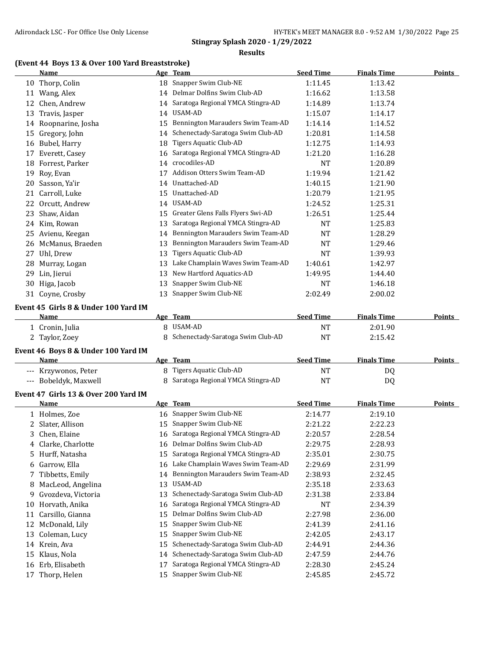#### **Results**

## **(Event 44 Boys 13 & Over 100 Yard Breaststroke)**

|    | <b>Name</b>                                         |    | Age Team                             | <b>Seed Time</b> | <b>Finals Time</b> | <b>Points</b> |
|----|-----------------------------------------------------|----|--------------------------------------|------------------|--------------------|---------------|
|    | 10 Thorp, Colin                                     |    | 18 Snapper Swim Club-NE              | 1:11.45          | 1:13.42            |               |
|    | 11 Wang, Alex                                       |    | 14 Delmar Dolfins Swim Club-AD       | 1:16.62          | 1:13.58            |               |
|    | 12 Chen, Andrew                                     |    | 14 Saratoga Regional YMCA Stingra-AD | 1:14.89          | 1:13.74            |               |
|    | 13 Travis, Jasper                                   |    | 14 USAM-AD                           | 1:15.07          | 1:14.17            |               |
|    | 14 Roopnarine, Josha                                | 15 | Bennington Marauders Swim Team-AD    | 1:14.14          | 1:14.52            |               |
|    | 15 Gregory, John                                    |    | 14 Schenectady-Saratoga Swim Club-AD | 1:20.81          | 1:14.58            |               |
|    | 16 Bubel, Harry                                     | 18 | Tigers Aquatic Club-AD               | 1:12.75          | 1:14.93            |               |
|    | 17 Everett, Casey                                   | 16 | Saratoga Regional YMCA Stingra-AD    | 1:21.20          | 1:16.28            |               |
| 18 | Forrest, Parker                                     | 14 | crocodiles-AD                        | <b>NT</b>        | 1:20.89            |               |
| 19 | Roy, Evan                                           | 17 | Addison Otters Swim Team-AD          | 1:19.94          | 1:21.42            |               |
| 20 | Sasson, Ya'ir                                       | 14 | Unattached-AD                        | 1:40.15          | 1:21.90            |               |
| 21 | Carroll, Luke                                       | 15 | Unattached-AD                        | 1:20.79          | 1:21.95            |               |
| 22 | Orcutt, Andrew                                      | 14 | USAM-AD                              | 1:24.52          | 1:25.31            |               |
| 23 | Shaw, Aidan                                         | 15 | Greater Glens Falls Flyers Swi-AD    | 1:26.51          | 1:25.44            |               |
|    | 24 Kim, Rowan                                       | 13 | Saratoga Regional YMCA Stingra-AD    | <b>NT</b>        | 1:25.83            |               |
|    | 25 Avienu, Keegan                                   | 14 | Bennington Marauders Swim Team-AD    | <b>NT</b>        | 1:28.29            |               |
|    | 26 McManus, Braeden                                 | 13 | Bennington Marauders Swim Team-AD    | <b>NT</b>        | 1:29.46            |               |
|    |                                                     | 13 | Tigers Aquatic Club-AD               | <b>NT</b>        |                    |               |
|    | 27 Uhl, Drew                                        |    | Lake Champlain Waves Swim Team-AD    |                  | 1:39.93            |               |
|    | 28 Murray, Logan                                    | 13 | New Hartford Aquatics-AD             | 1:40.61          | 1:42.97            |               |
|    | 29 Lin, Jierui                                      | 13 | Snapper Swim Club-NE                 | 1:49.95          | 1:44.40            |               |
|    | 30 Higa, Jacob                                      | 13 |                                      | NT               | 1:46.18            |               |
|    | 31 Coyne, Crosby                                    | 13 | Snapper Swim Club-NE                 | 2:02.49          | 2:00.02            |               |
|    | Event 45 Girls 8 & Under 100 Yard IM                |    |                                      |                  |                    |               |
|    | <u>Name</u>                                         |    | Age Team                             | <b>Seed Time</b> | <b>Finals Time</b> | <b>Points</b> |
|    | 1 Cronin, Julia                                     |    | 8 USAM-AD                            | <b>NT</b>        | 2:01.90            |               |
|    | 2 Taylor, Zoey                                      |    | Schenectady-Saratoga Swim Club-AD    | <b>NT</b>        | 2:15.42            |               |
|    | Event 46 Boys 8 & Under 100 Yard IM                 |    |                                      |                  |                    |               |
|    | <u>Name</u>                                         |    | Age Team                             | <b>Seed Time</b> | <b>Finals Time</b> | <b>Points</b> |
|    | --- Krzywonos, Peter                                |    | 8 Tigers Aquatic Club-AD             | <b>NT</b>        | DQ                 |               |
|    | --- Bobeldyk, Maxwell                               |    | 8 Saratoga Regional YMCA Stingra-AD  | <b>NT</b>        | DQ                 |               |
|    |                                                     |    |                                      |                  |                    |               |
|    | Event 47 Girls 13 & Over 200 Yard IM<br><b>Name</b> |    | Age Team                             | <b>Seed Time</b> | <b>Finals Time</b> | <b>Points</b> |
|    |                                                     |    | 16 Snapper Swim Club-NE              | 2:14.77          |                    |               |
|    | 1 Holmes, Zoe                                       |    |                                      |                  | 2:19.10            |               |
|    | 2 Slater, Allison                                   |    | 15 Snapper Swim Club-NE              | 2:21.22          | 2:22.23            |               |
|    | 3 Chen, Elaine                                      |    | 16 Saratoga Regional YMCA Stingra-AD | 2:20.57          | 2:28.54            |               |
|    | 4 Clarke, Charlotte                                 |    | 16 Delmar Dolfins Swim Club-AD       | 2:29.75          | 2:28.93            |               |
|    | 5 Hurff, Natasha                                    | 15 | Saratoga Regional YMCA Stingra-AD    | 2:35.01          | 2:30.75            |               |
|    | 6 Garrow, Ella                                      | 16 | Lake Champlain Waves Swim Team-AD    | 2:29.69          | 2:31.99            |               |
|    | 7 Tibbetts, Emily                                   | 14 | Bennington Marauders Swim Team-AD    | 2:38.93          | 2:32.45            |               |
| 8  | MacLeod, Angelina                                   | 13 | USAM-AD                              | 2:35.18          | 2:33.63            |               |
| 9  | Gvozdeva, Victoria                                  | 13 | Schenectady-Saratoga Swim Club-AD    | 2:31.38          | 2:33.84            |               |
| 10 | Horvath, Anika                                      | 16 | Saratoga Regional YMCA Stingra-AD    | NT               | 2:34.39            |               |
|    | 11 Carsillo, Gianna                                 | 15 | Delmar Dolfins Swim Club-AD          | 2:27.98          | 2:36.00            |               |
| 12 | McDonald, Lily                                      | 15 | Snapper Swim Club-NE                 | 2:41.39          | 2:41.16            |               |
|    | 13 Coleman, Lucy                                    | 15 | Snapper Swim Club-NE                 | 2:42.05          | 2:43.17            |               |
|    | 14 Krein, Ava                                       | 15 | Schenectady-Saratoga Swim Club-AD    | 2:44.91          | 2:44.36            |               |
|    | 15 Klaus, Nola                                      | 14 | Schenectady-Saratoga Swim Club-AD    | 2:47.59          | 2:44.76            |               |
|    | 16 Erb, Elisabeth                                   | 17 | Saratoga Regional YMCA Stingra-AD    | 2:28.30          | 2:45.24            |               |
|    | 17 Thorp, Helen                                     | 15 | Snapper Swim Club-NE                 | 2:45.85          | 2:45.72            |               |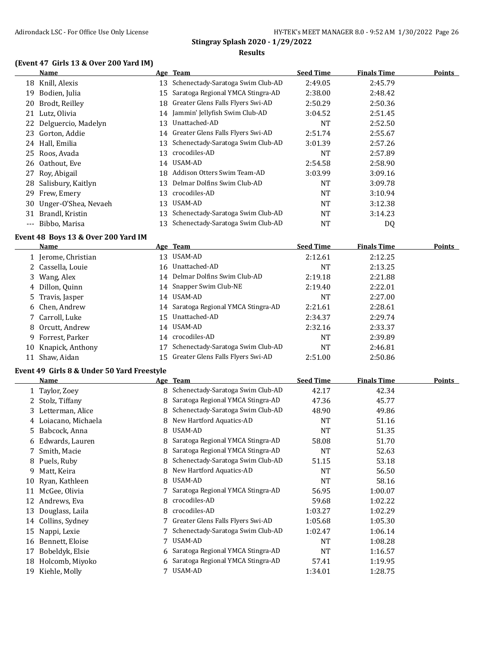#### **(Event 47 Girls 13 & Over 200 Yard IM)**

|       | Name                    |    | Age Team                          | <b>Seed Time</b> | <b>Finals Time</b> | <b>Points</b> |
|-------|-------------------------|----|-----------------------------------|------------------|--------------------|---------------|
|       | 18 Knill, Alexis        | 13 | Schenectady-Saratoga Swim Club-AD | 2:49.05          | 2:45.79            |               |
| 19    | Bodien, Julia           | 15 | Saratoga Regional YMCA Stingra-AD | 2:38.00          | 2:48.42            |               |
| 20    | Brodt, Reilley          | 18 | Greater Glens Falls Flyers Swi-AD | 2:50.29          | 2:50.36            |               |
|       | 21 Lutz, Olivia         | 14 | Jammin' Jellyfish Swim Club-AD    | 3:04.52          | 2:51.45            |               |
|       | 22 Delguercio, Madelyn  | 13 | Unattached-AD                     | NT               | 2:52.50            |               |
|       | 23 Gorton, Addie        | 14 | Greater Glens Falls Flyers Swi-AD | 2:51.74          | 2:55.67            |               |
| 24    | Hall, Emilia            | 13 | Schenectady-Saratoga Swim Club-AD | 3:01.39          | 2:57.26            |               |
|       | 25 Roos, Avada          | 13 | crocodiles-AD                     | NT               | 2:57.89            |               |
|       | 26 Oathout, Eve         | 14 | USAM-AD                           | 2:54.58          | 2:58.90            |               |
| 27    | Roy, Abigail            | 18 | Addison Otters Swim Team-AD       | 3:03.99          | 3:09.16            |               |
|       | 28 Salisbury, Kaitlyn   | 13 | Delmar Dolfins Swim Club-AD       | <b>NT</b>        | 3:09.78            |               |
|       | 29 Frew, Emery          | 13 | crocodiles-AD                     | <b>NT</b>        | 3:10.94            |               |
|       | 30 Unger-O'Shea, Nevaeh | 13 | USAM-AD                           | <b>NT</b>        | 3:12.38            |               |
| 31    | Brandl, Kristin         | 13 | Schenectady-Saratoga Swim Club-AD | NT               | 3:14.23            |               |
| $---$ | Bibbo, Marisa           | 13 | Schenectady-Saratoga Swim Club-AD | NT               | DQ                 |               |

# **Event 48 Boys 13 & Over 200 Yard IM**

|    | Name                |    | Age Team                             | <b>Seed Time</b> | <b>Finals Time</b> | <b>Points</b> |
|----|---------------------|----|--------------------------------------|------------------|--------------------|---------------|
|    | 1 Jerome, Christian | 13 | USAM-AD                              | 2:12.61          | 2:12.25            |               |
|    | 2 Cassella, Louie   |    | 16 Unattached-AD                     | <b>NT</b>        | 2:13.25            |               |
|    | 3 Wang, Alex        |    | 14 Delmar Dolfins Swim Club-AD       | 2:19.18          | 2:21.88            |               |
|    | 4 Dillon, Quinn     |    | 14 Snapper Swim Club-NE              | 2:19.40          | 2:22.01            |               |
|    | 5 Travis, Jasper    |    | 14 USAM-AD                           | NT               | 2:27.00            |               |
|    | 6 Chen, Andrew      |    | 14 Saratoga Regional YMCA Stingra-AD | 2:21.61          | 2:28.61            |               |
|    | 7 Carroll, Luke     |    | 15 Unattached-AD                     | 2:34.37          | 2:29.74            |               |
|    | 8 Orcutt, Andrew    |    | 14 USAM-AD                           | 2:32.16          | 2:33.37            |               |
|    | 9 Forrest, Parker   |    | 14 crocodiles-AD                     | <b>NT</b>        | 2:39.89            |               |
| 10 | Knapick, Anthony    |    | Schenectady-Saratoga Swim Club-AD    | <b>NT</b>        | 2:46.81            |               |
|    | 11 Shaw, Aidan      |    | 15 Greater Glens Falls Flyers Swi-AD | 2:51.00          | 2:50.86            |               |

#### **Event 49 Girls 8 & Under 50 Yard Freestyle**

|    | Name                 |    | Age Team                          | <b>Seed Time</b> | <b>Finals Time</b> | Points |
|----|----------------------|----|-----------------------------------|------------------|--------------------|--------|
|    | 1 Taylor, Zoey       | 8. | Schenectady-Saratoga Swim Club-AD | 42.17            | 42.34              |        |
|    | Stolz, Tiffany       | 8  | Saratoga Regional YMCA Stingra-AD | 47.36            | 45.77              |        |
| 3  | Letterman, Alice     | 8  | Schenectady-Saratoga Swim Club-AD | 48.90            | 49.86              |        |
|    | 4 Loiacano, Michaela | 8  | New Hartford Aquatics-AD          | NT               | 51.16              |        |
| 5  | Babcock, Anna        | 8  | USAM-AD                           | NT               | 51.35              |        |
| 6  | Edwards, Lauren      | 8. | Saratoga Regional YMCA Stingra-AD | 58.08            | 51.70              |        |
|    | Smith, Macie         | 8  | Saratoga Regional YMCA Stingra-AD | <b>NT</b>        | 52.63              |        |
| 8  | Puels, Ruby          | 8  | Schenectady-Saratoga Swim Club-AD | 51.15            | 53.18              |        |
| 9. | Matt, Keira          | 8  | New Hartford Aquatics-AD          | <b>NT</b>        | 56.50              |        |
| 10 | Ryan, Kathleen       | 8  | USAM-AD                           | <b>NT</b>        | 58.16              |        |
| 11 | McGee, Olivia        |    | Saratoga Regional YMCA Stingra-AD | 56.95            | 1:00.07            |        |
| 12 | Andrews, Eva         | 8  | crocodiles-AD                     | 59.68            | 1:02.22            |        |
| 13 | Douglass, Laila      | 8  | crocodiles-AD                     | 1:03.27          | 1:02.29            |        |
| 14 | Collins, Sydney      |    | Greater Glens Falls Flyers Swi-AD | 1:05.68          | 1:05.30            |        |
| 15 | Nappi, Lexie         |    | Schenectady-Saratoga Swim Club-AD | 1:02.47          | 1:06.14            |        |
| 16 | Bennett, Eloise      |    | USAM-AD                           | <b>NT</b>        | 1:08.28            |        |
| 17 | Bobeldyk, Elsie      | 6  | Saratoga Regional YMCA Stingra-AD | <b>NT</b>        | 1:16.57            |        |
| 18 | Holcomb, Miyoko      | 6  | Saratoga Regional YMCA Stingra-AD | 57.41            | 1:19.95            |        |
| 19 | Kiehle, Molly        |    | USAM-AD                           | 1:34.01          | 1:28.75            |        |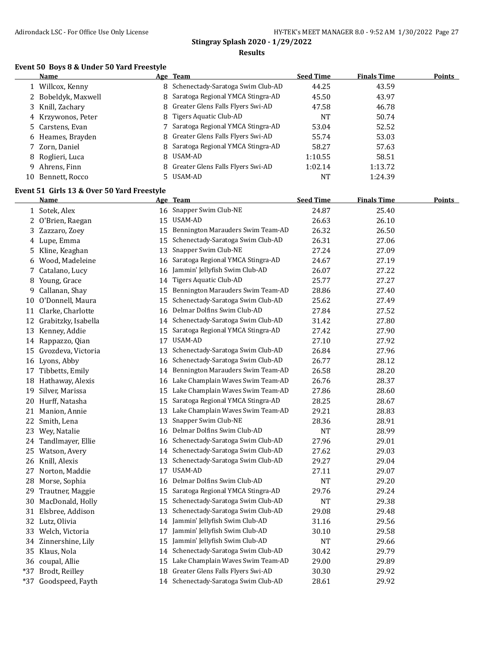#### **Event 50 Boys 8 & Under 50 Yard Freestyle**

|    | Name                | Age Team                            | <b>Seed Time</b> | <b>Finals Time</b> | <b>Points</b> |
|----|---------------------|-------------------------------------|------------------|--------------------|---------------|
|    | Willcox, Kenny      | 8 Schenectady-Saratoga Swim Club-AD | 44.25            | 43.59              |               |
|    | 2 Bobeldyk, Maxwell | 8 Saratoga Regional YMCA Stingra-AD | 45.50            | 43.97              |               |
|    | 3 Knill, Zachary    | 8 Greater Glens Falls Flyers Swi-AD | 47.58            | 46.78              |               |
|    | 4 Krzywonos, Peter  | 8 Tigers Aquatic Club-AD            | NT               | 50.74              |               |
|    | 5 Carstens, Evan    | 7 Saratoga Regional YMCA Stingra-AD | 53.04            | 52.52              |               |
|    | 6 Heames, Brayden   | 8 Greater Glens Falls Flyers Swi-AD | 55.74            | 53.03              |               |
|    | 7 Zorn, Daniel      | 8 Saratoga Regional YMCA Stingra-AD | 58.27            | 57.63              |               |
|    | 8 Roglieri, Luca    | 8 USAM-AD                           | 1:10.55          | 58.51              |               |
| 9  | Ahrens, Finn        | 8 Greater Glens Falls Flyers Swi-AD | 1:02.14          | 1:13.72            |               |
| 10 | Bennett, Rocco      | 5 USAM-AD                           | NT               | 1:24.39            |               |
|    |                     |                                     |                  |                    |               |

# **Event 51 Girls 13 & Over 50 Yard Freestyle**

|    | <u>Name</u>           |    | Age Team                             | <b>Seed Time</b> | <b>Finals Time</b> | Points |
|----|-----------------------|----|--------------------------------------|------------------|--------------------|--------|
|    | 1 Sotek, Alex         |    | 16 Snapper Swim Club-NE              | 24.87            | 25.40              |        |
|    | 2 O'Brien, Raegan     |    | 15 USAM-AD                           | 26.63            | 26.10              |        |
|    | 3 Zazzaro, Zoey       | 15 | Bennington Marauders Swim Team-AD    | 26.32            | 26.50              |        |
|    | 4 Lupe, Emma          | 15 | Schenectady-Saratoga Swim Club-AD    | 26.31            | 27.06              |        |
|    | 5 Kline, Keaghan      | 13 | Snapper Swim Club-NE                 | 27.24            | 27.09              |        |
| 6  | Wood, Madeleine       | 16 | Saratoga Regional YMCA Stingra-AD    | 24.67            | 27.19              |        |
|    | 7 Catalano, Lucy      | 16 | Jammin' Jellyfish Swim Club-AD       | 26.07            | 27.22              |        |
|    | 8 Young, Grace        | 14 | Tigers Aquatic Club-AD               | 25.77            | 27.27              |        |
|    | 9 Callanan, Shay      | 15 | Bennington Marauders Swim Team-AD    | 28.86            | 27.40              |        |
| 10 | O'Donnell, Maura      | 15 | Schenectady-Saratoga Swim Club-AD    | 25.62            | 27.49              |        |
| 11 | Clarke, Charlotte     | 16 | Delmar Dolfins Swim Club-AD          | 27.84            | 27.52              |        |
| 12 | Grabitzky, Isabella   |    | 14 Schenectady-Saratoga Swim Club-AD | 31.42            | 27.80              |        |
|    | 13 Kenney, Addie      |    | 15 Saratoga Regional YMCA Stingra-AD | 27.42            | 27.90              |        |
|    | 14 Rappazzo, Qian     | 17 | USAM-AD                              | 27.10            | 27.92              |        |
|    | 15 Gvozdeva, Victoria | 13 | Schenectady-Saratoga Swim Club-AD    | 26.84            | 27.96              |        |
|    | 16 Lyons, Abby        | 16 | Schenectady-Saratoga Swim Club-AD    | 26.77            | 28.12              |        |
|    | 17 Tibbetts, Emily    | 14 | Bennington Marauders Swim Team-AD    | 26.58            | 28.20              |        |
|    | 18 Hathaway, Alexis   | 16 | Lake Champlain Waves Swim Team-AD    | 26.76            | 28.37              |        |
| 19 | Silver, Marissa       | 15 | Lake Champlain Waves Swim Team-AD    | 27.86            | 28.60              |        |
|    | 20 Hurff, Natasha     | 15 | Saratoga Regional YMCA Stingra-AD    | 28.25            | 28.67              |        |
|    | 21 Manion, Annie      | 13 | Lake Champlain Waves Swim Team-AD    | 29.21            | 28.83              |        |
| 22 | Smith, Lena           | 13 | Snapper Swim Club-NE                 | 28.36            | 28.91              |        |
| 23 | Wey, Natalie          | 16 | Delmar Dolfins Swim Club-AD          | <b>NT</b>        | 28.99              |        |
|    | 24 Tandlmayer, Ellie  | 16 | Schenectady-Saratoga Swim Club-AD    | 27.96            | 29.01              |        |
|    | 25 Watson, Avery      |    | 14 Schenectady-Saratoga Swim Club-AD | 27.62            | 29.03              |        |
|    | 26 Knill, Alexis      | 13 | Schenectady-Saratoga Swim Club-AD    | 29.27            | 29.04              |        |
|    | 27 Norton, Maddie     |    | 17 USAM-AD                           | 27.11            | 29.07              |        |
|    | 28 Morse, Sophia      | 16 | Delmar Dolfins Swim Club-AD          | <b>NT</b>        | 29.20              |        |
|    | 29 Trautner, Maggie   | 15 | Saratoga Regional YMCA Stingra-AD    | 29.76            | 29.24              |        |
|    | 30 MacDonald, Holly   | 15 | Schenectady-Saratoga Swim Club-AD    | <b>NT</b>        | 29.38              |        |
|    | 31 Elsbree, Addison   | 13 | Schenectady-Saratoga Swim Club-AD    | 29.08            | 29.48              |        |
|    | 32 Lutz, Olivia       | 14 | Jammin' Jellyfish Swim Club-AD       | 31.16            | 29.56              |        |
|    | 33 Welch, Victoria    | 17 | Jammin' Jellyfish Swim Club-AD       | 30.10            | 29.58              |        |
|    | 34 Zinnershine, Lily  | 15 | Jammin' Jellyfish Swim Club-AD       | <b>NT</b>        | 29.66              |        |
|    | 35 Klaus, Nola        | 14 | Schenectady-Saratoga Swim Club-AD    | 30.42            | 29.79              |        |
|    | 36 coupal, Allie      | 15 | Lake Champlain Waves Swim Team-AD    | 29.00            | 29.89              |        |
|    | *37 Brodt, Reilley    | 18 | Greater Glens Falls Flyers Swi-AD    | 30.30            | 29.92              |        |
|    | *37 Goodspeed, Fayth  |    | 14 Schenectady-Saratoga Swim Club-AD | 28.61            | 29.92              |        |
|    |                       |    |                                      |                  |                    |        |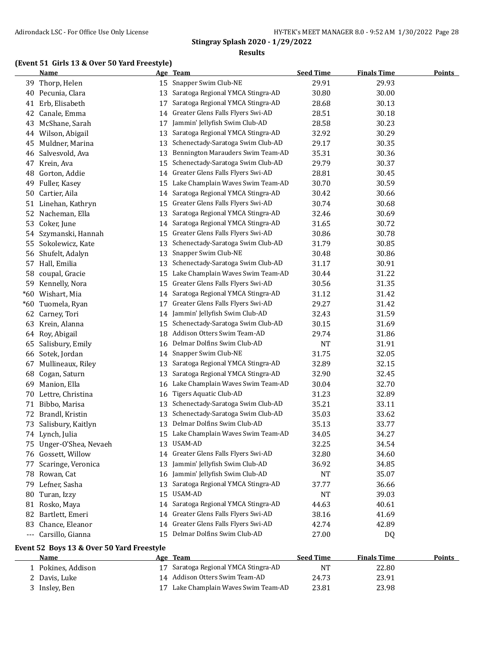# **(Event 51 Girls 13 & Over 50 Yard Freestyle)**

|       | <b>Name</b>             | <u>Age</u> | <b>Team</b>                          | <b>Seed Time</b> | <b>Finals Time</b> | <b>Points</b> |
|-------|-------------------------|------------|--------------------------------------|------------------|--------------------|---------------|
| 39    | Thorp, Helen            | 15         | Snapper Swim Club-NE                 | 29.91            | 29.93              |               |
| 40    | Pecunia, Clara          | 13         | Saratoga Regional YMCA Stingra-AD    | 30.80            | 30.00              |               |
| 41    | Erb, Elisabeth          | 17         | Saratoga Regional YMCA Stingra-AD    | 28.68            | 30.13              |               |
| 42    | Canale, Emma            | 14         | Greater Glens Falls Flyers Swi-AD    | 28.51            | 30.18              |               |
| 43    | McShane, Sarah          | 17         | Jammin' Jellyfish Swim Club-AD       | 28.58            | 30.23              |               |
| 44    | Wilson, Abigail         | 13         | Saratoga Regional YMCA Stingra-AD    | 32.92            | 30.29              |               |
| 45    | Muldner, Marina         | 13         | Schenectady-Saratoga Swim Club-AD    | 29.17            | 30.35              |               |
| 46    | Salvesvold, Ava         | 13         | Bennington Marauders Swim Team-AD    | 35.31            | 30.36              |               |
| 47    | Krein, Ava              | 15         | Schenectady-Saratoga Swim Club-AD    | 29.79            | 30.37              |               |
| 48    | Gorton, Addie           | 14         | Greater Glens Falls Flyers Swi-AD    | 28.81            | 30.45              |               |
| 49    | Fuller, Kasey           | 15         | Lake Champlain Waves Swim Team-AD    | 30.70            | 30.59              |               |
| 50    | Cartier, Aila           | 14         | Saratoga Regional YMCA Stingra-AD    | 30.42            | 30.66              |               |
| 51    | Linehan, Kathryn        | 15         | Greater Glens Falls Flyers Swi-AD    | 30.74            | 30.68              |               |
| 52    | Nacheman, Ella          | 13         | Saratoga Regional YMCA Stingra-AD    | 32.46            | 30.69              |               |
| 53    | Coker, June             | 14         | Saratoga Regional YMCA Stingra-AD    | 31.65            | 30.72              |               |
| 54    | Szymanski, Hannah       | 15         | Greater Glens Falls Flyers Swi-AD    | 30.86            | 30.78              |               |
| 55    | Sokolewicz, Kate        | 13         | Schenectady-Saratoga Swim Club-AD    | 31.79            | 30.85              |               |
| 56    | Shufelt, Adalyn         | 13         | Snapper Swim Club-NE                 | 30.48            | 30.86              |               |
| 57    | Hall, Emilia            | 13         | Schenectady-Saratoga Swim Club-AD    | 31.17            | 30.91              |               |
| 58    | coupal, Gracie          | 15         | Lake Champlain Waves Swim Team-AD    | 30.44            | 31.22              |               |
| 59    | Kennelly, Nora          | 15         | Greater Glens Falls Flyers Swi-AD    | 30.56            | 31.35              |               |
| $*60$ | Wishart, Mia            | 14         | Saratoga Regional YMCA Stingra-AD    | 31.12            | 31.42              |               |
| $*60$ | Tuomela, Ryan           | 17         | Greater Glens Falls Flyers Swi-AD    | 29.27            | 31.42              |               |
| 62    | Carney, Tori            | 14         | Jammin' Jellyfish Swim Club-AD       | 32.43            | 31.59              |               |
| 63    | Krein, Alanna           | 15         | Schenectady-Saratoga Swim Club-AD    | 30.15            | 31.69              |               |
| 64    | Roy, Abigail            | 18         | Addison Otters Swim Team-AD          | 29.74            | 31.86              |               |
| 65    | Salisbury, Emily        | 16         | Delmar Dolfins Swim Club-AD          | <b>NT</b>        | 31.91              |               |
| 66    | Sotek, Jordan           | 14         | Snapper Swim Club-NE                 | 31.75            | 32.05              |               |
| 67    | Mullineaux, Riley       | 13         | Saratoga Regional YMCA Stingra-AD    | 32.89            | 32.15              |               |
| 68    | Cogan, Saturn           | 13         | Saratoga Regional YMCA Stingra-AD    | 32.90            | 32.45              |               |
| 69    | Manion, Ella            | 16         | Lake Champlain Waves Swim Team-AD    | 30.04            | 32.70              |               |
| 70    | Lettre, Christina       | 16         | Tigers Aquatic Club-AD               | 31.23            | 32.89              |               |
| 71    | Bibbo, Marisa           | 13         | Schenectady-Saratoga Swim Club-AD    | 35.21            | 33.11              |               |
| 72    | Brandl, Kristin         | 13         | Schenectady-Saratoga Swim Club-AD    | 35.03            | 33.62              |               |
| 73    | Salisbury, Kaitlyn      | 13         | Delmar Dolfins Swim Club-AD          | 35.13            | 33.77              |               |
|       | 74 Lynch, Julia         |            | 15 Lake Champlain Waves Swim Team-AD | 34.05            | 34.27              |               |
|       | 75 Unger-O'Shea, Nevaeh |            | 13 USAM-AD                           | 32.25            | 34.54              |               |
|       | 76 Gossett, Willow      |            | 14 Greater Glens Falls Flyers Swi-AD | 32.80            | 34.60              |               |
| 77    | Scaringe, Veronica      | 13         | Jammin' Jellyfish Swim Club-AD       | 36.92            | 34.85              |               |
| 78    | Rowan, Cat              | 16         | Jammin' Jellyfish Swim Club-AD       | <b>NT</b>        | 35.07              |               |
| 79    | Lefner, Sasha           | 13         | Saratoga Regional YMCA Stingra-AD    | 37.77            | 36.66              |               |
| 80    | Turan, Izzy             | 15         | USAM-AD                              | <b>NT</b>        | 39.03              |               |
| 81    | Rosko, Maya             | 14         | Saratoga Regional YMCA Stingra-AD    | 44.63            | 40.61              |               |
| 82    | Bartlett, Emeri         | 14         | Greater Glens Falls Flyers Swi-AD    | 38.16            | 41.69              |               |
| 83    | Chance, Eleanor         | 14         | Greater Glens Falls Flyers Swi-AD    | 42.74            | 42.89              |               |
|       | --- Carsillo, Gianna    |            | 15 Delmar Dolfins Swim Club-AD       | 27.00            | DQ                 |               |

# **Event 52 Boys 13 & Over 50 Yard Freestyle**

| <b>Name</b>        | Age Team                             | <b>Seed Time</b> | <b>Finals Time</b> | Points |
|--------------------|--------------------------------------|------------------|--------------------|--------|
| l Pokines, Addison | 17 Saratoga Regional YMCA Stingra-AD | NT               | 22.80              |        |
| 2 Davis, Luke      | 14 Addison Otters Swim Team-AD       | 24.73            | 23.91              |        |
| Insley, Ben        | Lake Champlain Waves Swim Team-AD    | 23.81            | 23.98              |        |